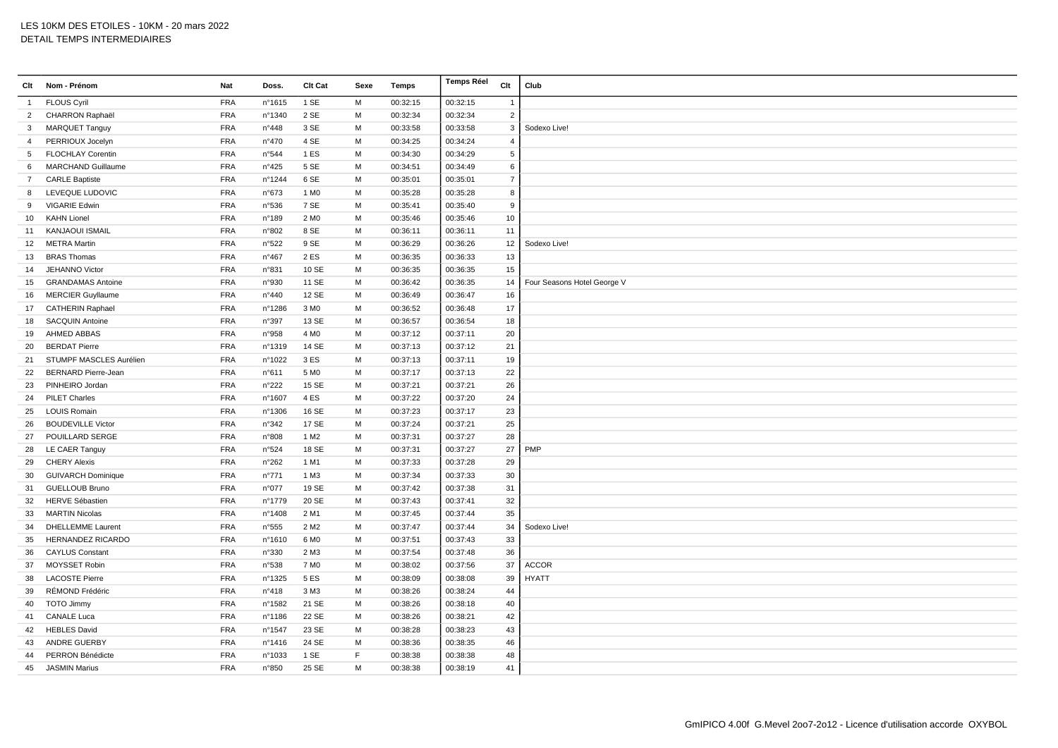| Clt            | Nom - Prénom               | Nat        | Doss.          | Clt Cat          | Sexe | <b>Temps</b> | <b>Temps Réel</b> | Clt              | Club                        |
|----------------|----------------------------|------------|----------------|------------------|------|--------------|-------------------|------------------|-----------------------------|
| $\mathbf{1}$   | <b>FLOUS Cyril</b>         | <b>FRA</b> | n°1615         | 1 SE             | M    | 00:32:15     | 00:32:15          | $\mathbf{1}$     |                             |
| 2              | CHARRON Raphaël            | <b>FRA</b> | n°1340         | 2 SE             | M    | 00:32:34     | 00:32:34          | $\overline{2}$   |                             |
| 3              | <b>MARQUET Tanguy</b>      | <b>FRA</b> | n°448          | 3 SE             | M    | 00:33:58     | 00:33:58          | $\mathbf{3}$     | Sodexo Live!                |
| 4              | PERRIOUX Jocelyn           | <b>FRA</b> | n°470          | 4 SE             | M    | 00:34:25     | 00:34:24          | $\overline{4}$   |                             |
| 5              | <b>FLOCHLAY Corentin</b>   | <b>FRA</b> | n°544          | 1ES              | M    | 00:34:30     | 00:34:29          | $5\phantom{.0}$  |                             |
| 6              | MARCHAND Guillaume         | <b>FRA</b> | n°425          | 5 SE             | M    | 00:34:51     | 00:34:49          | $\,6\,$          |                             |
| $\overline{7}$ | <b>CARLE Baptiste</b>      | <b>FRA</b> | n°1244         | 6 SE             | M    | 00:35:01     | 00:35:01          | $\overline{7}$   |                             |
| 8              | LEVEQUE LUDOVIC            | <b>FRA</b> | n°673          | 1 M <sub>0</sub> | М    | 00:35:28     | 00:35:28          | 8                |                             |
| 9              | VIGARIE Edwin              | <b>FRA</b> | n°536          | 7 SE             | M    | 00:35:41     | 00:35:40          | $\boldsymbol{9}$ |                             |
| 10             | <b>KAHN Lionel</b>         | <b>FRA</b> | n°189          | 2 M <sub>0</sub> | M    | 00:35:46     | 00:35:46          | 10               |                             |
| 11             | <b>KANJAOUI ISMAIL</b>     | <b>FRA</b> | n°802          | 8 SE             | M    | 00:36:11     | 00:36:11          | 11               |                             |
| 12             | <b>METRA Martin</b>        | <b>FRA</b> | n°522          | 9 SE             | M    | 00:36:29     | 00:36:26          | 12               | Sodexo Live!                |
| 13             | <b>BRAS Thomas</b>         | <b>FRA</b> | $n^{\circ}467$ | 2 ES             | M    | 00:36:35     | 00:36:33          | $13\,$           |                             |
| 14             | <b>JEHANNO Victor</b>      | <b>FRA</b> | n°831          | 10 SE            | M    | 00:36:35     | 00:36:35          | 15               |                             |
| 15             | <b>GRANDAMAS Antoine</b>   | <b>FRA</b> | n°930          | 11 SE            | M    | 00:36:42     | 00:36:35          | 14               | Four Seasons Hotel George V |
| 16             | <b>MERCIER Guyllaume</b>   | <b>FRA</b> | n°440          | 12 SE            | M    | 00:36:49     | 00:36:47          | 16               |                             |
| 17             | CATHERIN Raphael           | <b>FRA</b> | n°1286         | 3 M <sub>0</sub> | M    | 00:36:52     | 00:36:48          | 17               |                             |
| 18             | <b>SACQUIN Antoine</b>     | <b>FRA</b> | n°397          | 13 SE            | M    | 00:36:57     | 00:36:54          | 18               |                             |
| 19             | AHMED ABBAS                | <b>FRA</b> | n°958          | 4 M <sub>0</sub> | M    | 00:37:12     | 00:37:11          | 20               |                             |
| 20             | <b>BERDAT Pierre</b>       | <b>FRA</b> | n°1319         | 14 SE            | M    | 00:37:13     | 00:37:12          | 21               |                             |
| 21             | STUMPF MASCLES Aurélien    | <b>FRA</b> | n°1022         | 3 ES             | M    | 00:37:13     | 00:37:11          | 19               |                             |
| 22             | <b>BERNARD Pierre-Jean</b> | <b>FRA</b> | n°611          | 5 M <sub>0</sub> | м    | 00:37:17     | 00:37:13          | 22               |                             |
| 23             | PINHEIRO Jordan            | <b>FRA</b> | n°222          | 15 SE            | M    | 00:37:21     | 00:37:21          | 26               |                             |
| 24             | <b>PILET Charles</b>       | <b>FRA</b> | n°1607         | 4 ES             | M    | 00:37:22     | 00:37:20          | 24               |                             |
| 25             | <b>LOUIS Romain</b>        | <b>FRA</b> | n°1306         | 16 SE            | M    | 00:37:23     | 00:37:17          | 23               |                             |
| 26             | <b>BOUDEVILLE Victor</b>   | <b>FRA</b> | n°342          | 17 SE            | M    | 00:37:24     | 00:37:21          | 25               |                             |
| 27             | POUILLARD SERGE            | <b>FRA</b> | n°808          | 1 M <sub>2</sub> | М    | 00:37:31     | 00:37:27          | 28               |                             |
| 28             | LE CAER Tanguy             | <b>FRA</b> | n°524          | 18 SE            | M    | 00:37:31     | 00:37:27          | 27               | PMP                         |
| 29             | <b>CHERY Alexis</b>        | <b>FRA</b> | n°262          | 1 M1             | M    | 00:37:33     | 00:37:28          | 29               |                             |
| 30             | <b>GUIVARCH Dominique</b>  | <b>FRA</b> | $n^{\circ}771$ | 1 M3             | M    | 00:37:34     | 00:37:33          | $30\,$           |                             |
| 31             | <b>GUELLOUB Bruno</b>      | <b>FRA</b> | n°077          | 19 SE            | M    | 00:37:42     | 00:37:38          | 31               |                             |
| 32             | <b>HERVE Sébastien</b>     | <b>FRA</b> | n°1779         | 20 SE            | M    | 00:37:43     | 00:37:41          | 32               |                             |
| 33             | <b>MARTIN Nicolas</b>      | <b>FRA</b> | n°1408         | 2 M1             | M    | 00:37:45     | 00:37:44          | 35               |                             |
| 34             | <b>DHELLEMME Laurent</b>   | <b>FRA</b> | n°555          | 2 M <sub>2</sub> | M    | 00:37:47     | 00:37:44          | 34               | Sodexo Live!                |
| 35             | HERNANDEZ RICARDO          | <b>FRA</b> | nº1610         | 6 M <sub>0</sub> | м    | 00:37:51     | 00:37:43          | 33               |                             |
| 36             | <b>CAYLUS Constant</b>     | <b>FRA</b> | n°330          | 2 M3             | M    | 00:37:54     | 00:37:48          | 36               |                             |
| 37             | MOYSSET Robin              | <b>FRA</b> | n°538          | 7 M <sub>0</sub> | M    | 00:38:02     | 00:37:56          | 37               | <b>ACCOR</b>                |
| 38             | <b>LACOSTE Pierre</b>      | <b>FRA</b> | n°1325         | 5 ES             | M    | 00:38:09     | 00:38:08          | 39               | <b>HYATT</b>                |
| 39             | RÉMOND Frédéric            | <b>FRA</b> | n°418          | 3 M3             | M    | 00:38:26     | 00:38:24          | 44               |                             |
| 40             | <b>TOTO Jimmy</b>          | <b>FRA</b> | n°1582         | 21 SE            | M    | 00:38:26     | 00:38:18          | 40               |                             |
| 41             | <b>CANALE Luca</b>         | <b>FRA</b> | n°1186         | 22 SE            | M    | 00:38:26     | 00:38:21          | 42               |                             |
| 42             | <b>HEBLES David</b>        | <b>FRA</b> | n°1547         | 23 SE            | M    | 00:38:28     | 00:38:23          | 43               |                             |
| 43             | ANDRE GUERBY               | <b>FRA</b> | n°1416         | 24 SE            | M    | 00:38:36     | 00:38:35          | 46               |                             |
| 44             | PERRON Bénédicte           | <b>FRA</b> | n°1033         | 1 SE             | F    | 00:38:38     | 00:38:38          | 48               |                             |
| 45             | <b>JASMIN Marius</b>       | <b>FRA</b> | n°850          | 25 SE            | M    | 00:38:38     | 00:38:19          | 41               |                             |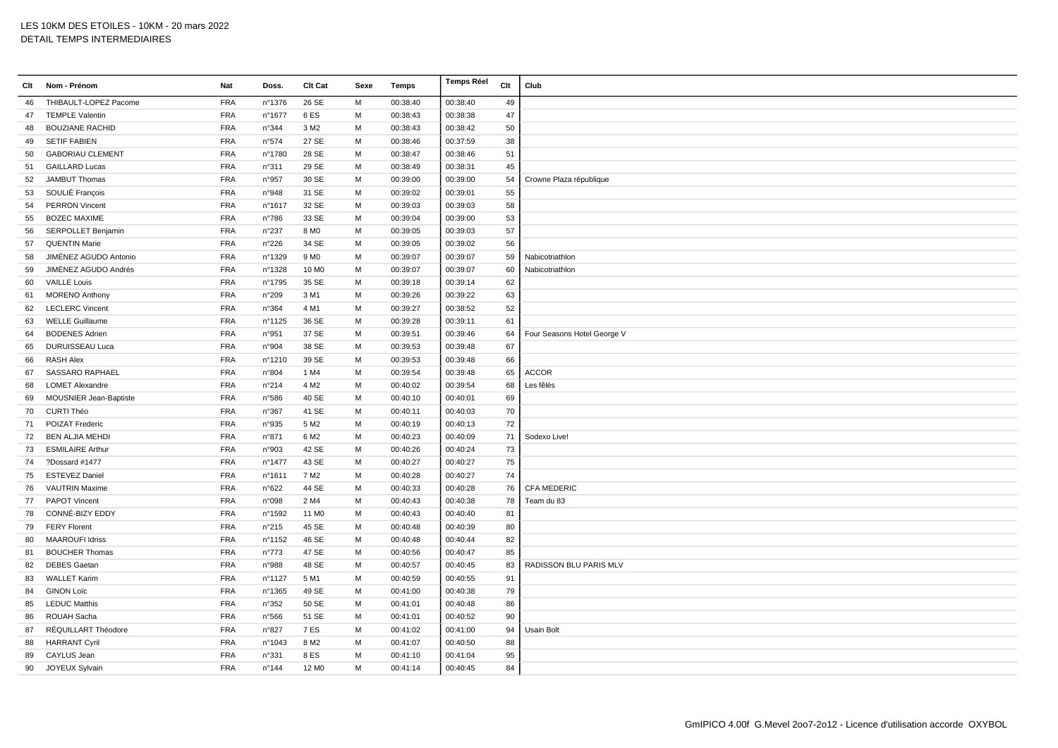| Clt | Nom - Prénom                  | Nat        | Doss.          | Clt Cat           | Sexe | Temps    | <b>Temps Réel</b> | Clt | Club                        |
|-----|-------------------------------|------------|----------------|-------------------|------|----------|-------------------|-----|-----------------------------|
| 46  | THIBAULT-LOPEZ Pacome         | <b>FRA</b> | n°1376         | 26 SE             | M    | 00:38:40 | 00:38:40          | 49  |                             |
| 47  | <b>TEMPLE Valentin</b>        | <b>FRA</b> | n°1677         | 6ES               | M    | 00:38:43 | 00:38:38          | 47  |                             |
| 48  | <b>BOUZIANE RACHID</b>        | <b>FRA</b> | n°344          | 3 M <sub>2</sub>  | M    | 00:38:43 | 00:38:42          | 50  |                             |
| 49  | <b>SETIF FABIEN</b>           | <b>FRA</b> | n°574          | 27 SE             | M    | 00:38:46 | 00:37:59          | 38  |                             |
| 50  | <b>GABORIAU CLEMENT</b>       | <b>FRA</b> | n°1780         | 28 SE             | M    | 00:38:47 | 00:38:46          | 51  |                             |
| 51  | <b>GAILLARD Lucas</b>         | <b>FRA</b> | n°311          | 29 SE             | M    | 00:38:49 | 00:38:31          | 45  |                             |
| 52  | <b>JAMBUT Thomas</b>          | <b>FRA</b> | n°957          | 30 SE             | M    | 00:39:00 | 00:39:00          | 54  | Crowne Plaza république     |
| 53  | SOULIÉ François               | <b>FRA</b> | n°948          | 31 SE             | M    | 00:39:02 | 00:39:01          | 55  |                             |
| 54  | <b>PERRON Vincent</b>         | <b>FRA</b> | nº1617         | 32 SE             | M    | 00:39:03 | 00:39:03          | 58  |                             |
| 55  | <b>BOZEC MAXIME</b>           | <b>FRA</b> | $n^{\circ}786$ | 33 SE             | M    | 00:39:04 | 00:39:00          | 53  |                             |
| 56  | SERPOLLET Benjamin            | <b>FRA</b> | n°237          | 8 MO              | M    | 00:39:05 | 00:39:03          | 57  |                             |
| 57  | <b>QUENTIN Marie</b>          | <b>FRA</b> | n°226          | 34 SE             | M    | 00:39:05 | 00:39:02          | 56  |                             |
| 58  | JIMÉNEZ AGUDO Antonio         | <b>FRA</b> | n°1329         | 9 M <sub>0</sub>  | M    | 00:39:07 | 00:39:07          | 59  | Nabicotriathlon             |
| 59  | JIMÉNEZ AGUDO Andrés          | <b>FRA</b> | n°1328         | 10 M <sub>0</sub> | M    | 00:39:07 | 00:39:07          | 60  | Nabicotriathlon             |
| 60  | <b>VAILLE Louis</b>           | <b>FRA</b> | n°1795         | 35 SE             | M    | 00:39:18 | 00:39:14          | 62  |                             |
| 61  | <b>MORENO Anthony</b>         | <b>FRA</b> | n°209          | 3 M1              | M    | 00:39:26 | 00:39:22          | 63  |                             |
| 62  | <b>LECLERC Vincent</b>        | <b>FRA</b> | n°364          | 4 M1              | M    | 00:39:27 | 00:38:52          | 52  |                             |
| 63  | <b>WELLE Guillaume</b>        | FRA        | n°1125         | 36 SE             | M    | 00:39:28 | 00:39:11          | 61  |                             |
| 64  | <b>BODENES Adrien</b>         | <b>FRA</b> | n°951          | 37 SE             | M    | 00:39:51 | 00:39:46          | 64  | Four Seasons Hotel George V |
| 65  | <b>DURUISSEAU Luca</b>        | <b>FRA</b> | n°904          | 38 SE             | M    | 00:39:53 | 00:39:48          | 67  |                             |
| 66  | <b>RASH Alex</b>              | <b>FRA</b> | n°1210         | 39 SE             | M    | 00:39:53 | 00:39:48          | 66  |                             |
| 67  | <b>SASSARO RAPHAEL</b>        | <b>FRA</b> | n°804          | 1 M4              | M    | 00:39:54 | 00:39:48          | 65  | <b>ACCOR</b>                |
| 68  | <b>LOMET Alexandre</b>        | <b>FRA</b> | n°214          | 4 M <sub>2</sub>  | M    | 00:40:02 | 00:39:54          | 68  | Les fêlés                   |
| 69  | <b>MOUSNIER Jean-Baptiste</b> | <b>FRA</b> | n°586          | 40 SE             | M    | 00:40:10 | 00:40:01          | 69  |                             |
| 70  | CURTI Théo                    | <b>FRA</b> | n°367          | 41 SE             | M    | 00:40:11 | 00:40:03          | 70  |                             |
| 71  | POIZAT Frederic               | <b>FRA</b> | n°935          | 5 M <sub>2</sub>  | M    | 00:40:19 | 00:40:13          | 72  |                             |
| 72  | <b>BEN ALJIA MEHDI</b>        | <b>FRA</b> | n°871          | 6 M <sub>2</sub>  | M    | 00:40:23 | 00:40:09          | 71  | Sodexo Live!                |
| 73  | <b>ESMILAIRE Arthur</b>       | <b>FRA</b> | n°903          | 42 SE             | M    | 00:40:26 | 00:40:24          | 73  |                             |
| 74  | ?Dossard #1477                | <b>FRA</b> | n°1477         | 43 SE             | M    | 00:40:27 | 00:40:27          | 75  |                             |
| 75  | ESTEVEZ Daniel                | <b>FRA</b> | nº1611         | 7 M <sub>2</sub>  | M    | 00:40:28 | 00:40:27          | 74  |                             |
| 76  | <b>VAUTRIN Maxime</b>         | <b>FRA</b> | n°622          | 44 SE             | M    | 00:40:33 | 00:40:28          | 76  | <b>CFA MEDERIC</b>          |
| 77  | PAPOT Vincent                 | <b>FRA</b> | n°098          | 2 M4              | M    | 00:40:43 | 00:40:38          | 78  | Team du 83                  |
| 78  | CONNÉ-BIZY EDDY               | FRA        | n°1592         | 11 M <sub>0</sub> | M    | 00:40:43 | 00:40:40          | 81  |                             |
| 79  | <b>FERY Florent</b>           | <b>FRA</b> | n°215          | 45 SE             | M    | 00:40:48 | 00:40:39          | 80  |                             |
| 80  | <b>MAAROUFI Idriss</b>        | <b>FRA</b> | n°1152         | 46 SE             | M    | 00:40:48 | 00:40:44          | 82  |                             |
| 81  | <b>BOUCHER Thomas</b>         | <b>FRA</b> | $n^{\circ}773$ | 47 SE             | M    | 00:40:56 | 00:40:47          | 85  |                             |
| 82  | <b>DEBES Gaetan</b>           | <b>FRA</b> | n°988          | 48 SE             | M    | 00:40:57 | 00:40:45          | 83  | RADISSON BLU PARIS MLV      |
| 83  | <b>WALLET Karim</b>           | <b>FRA</b> | n°1127         | 5 M1              | M    | 00:40:59 | 00:40:55          | 91  |                             |
| 84  | <b>GINON Loïc</b>             | <b>FRA</b> | nº1365         | 49 SE             | M    | 00:41:00 | 00:40:38          | 79  |                             |
| 85  | <b>LEDUC Matthis</b>          | <b>FRA</b> | n°352          | 50 SE             | M    | 00:41:01 | 00:40:48          | 86  |                             |
| 86  | ROUAH Sacha                   | <b>FRA</b> | n°566          | 51 SE             | M    | 00:41:01 | 00:40:52          | 90  |                             |
| 87  | RÉQUILLART Théodore           | <b>FRA</b> | n°827          | 7ES               | M    | 00:41:02 | 00:41:00          | 94  | Usain Bolt                  |
| 88  | <b>HARRANT Cyril</b>          | <b>FRA</b> | n°1043         | 8 M <sub>2</sub>  | M    | 00:41:07 | 00:40:50          | 88  |                             |
| 89  | CAYLUS Jean                   | <b>FRA</b> | n°331          | 8 ES              | м    | 00:41:10 | 00:41:04          | 95  |                             |
| 90  | JOYEUX Sylvain                | <b>FRA</b> | n°144          | 12 M <sub>0</sub> | M    | 00:41:14 | 00:40:45          | 84  |                             |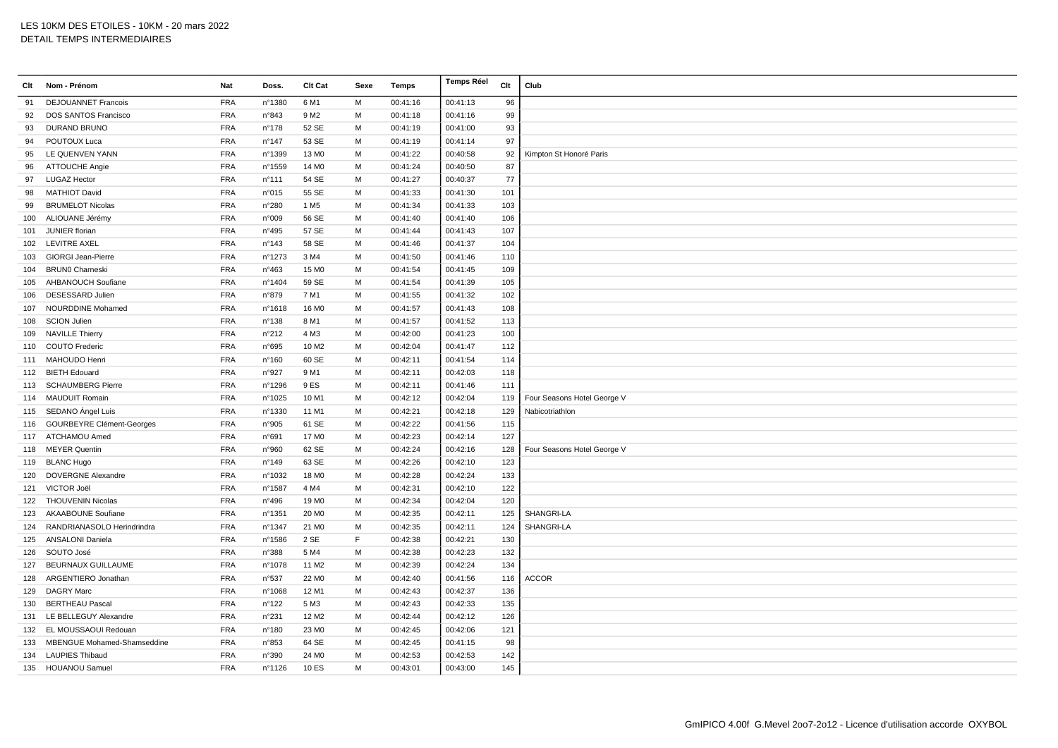| Clt | Nom - Prénom                       | Nat        | Doss.           | Clt Cat           | Sexe | Temps    | <b>Temps Réel</b> | Clt | Club                        |
|-----|------------------------------------|------------|-----------------|-------------------|------|----------|-------------------|-----|-----------------------------|
| 91  | <b>DEJOUANNET Francois</b>         | <b>FRA</b> | n°1380          | 6 M1              | M    | 00:41:16 | 00:41:13          | 96  |                             |
| 92  | DOS SANTOS Francisco               | <b>FRA</b> | n°843           | 9 M <sub>2</sub>  | M    | 00:41:18 | 00:41:16          | 99  |                             |
| 93  | <b>DURAND BRUNO</b>                | <b>FRA</b> | n°178           | 52 SE             | M    | 00:41:19 | 00:41:00          | 93  |                             |
| 94  | POUTOUX Luca                       | <b>FRA</b> | n°147           | 53 SE             | M    | 00:41:19 | 00:41:14          | 97  |                             |
| 95  | LE QUENVEN YANN                    | <b>FRA</b> | n°1399          | 13 M <sub>0</sub> | M    | 00:41:22 | 00:40:58          | 92  | Kimpton St Honoré Paris     |
| 96  | <b>ATTOUCHE Angie</b>              | <b>FRA</b> | n°1559          | 14 M <sub>0</sub> | M    | 00:41:24 | 00:40:50          | 87  |                             |
| 97  | <b>LUGAZ Hector</b>                | <b>FRA</b> | $n^{\circ}$ 111 | 54 SE             | M    | 00:41:27 | 00:40:37          | 77  |                             |
| 98  | <b>MATHIOT David</b>               | <b>FRA</b> | n°015           | 55 SE             | M    | 00:41:33 | 00:41:30          | 101 |                             |
| 99  | <b>BRUMELOT Nicolas</b>            | <b>FRA</b> | n°280           | 1 M <sub>5</sub>  | м    | 00:41:34 | 00:41:33          | 103 |                             |
| 100 | ALIOUANE Jérémy                    | <b>FRA</b> | n°009           | 56 SE             | M    | 00:41:40 | 00:41:40          | 106 |                             |
| 101 | JUNIER florian                     | <b>FRA</b> | n°495           | 57 SE             | M    | 00:41:44 | 00:41:43          | 107 |                             |
|     | 102 LEVITRE AXEL                   | <b>FRA</b> | n°143           | 58 SE             | M    | 00:41:46 | 00:41:37          | 104 |                             |
| 103 | <b>GIORGI Jean-Pierre</b>          | <b>FRA</b> | n°1273          | 3 M4              | M    | 00:41:50 | 00:41:46          | 110 |                             |
| 104 | <b>BRUN0 Charneski</b>             | <b>FRA</b> | n°463           | 15 M <sub>0</sub> | M    | 00:41:54 | 00:41:45          | 109 |                             |
| 105 | <b>AHBANOUCH Soufiane</b>          | <b>FRA</b> | n°1404          | 59 SE             | M    | 00:41:54 | 00:41:39          | 105 |                             |
| 106 | DESESSARD Julien                   | <b>FRA</b> | n°879           | 7 M1              | M    | 00:41:55 | 00:41:32          | 102 |                             |
| 107 | <b>NOURDDINE Mohamed</b>           | <b>FRA</b> | n°1618          | 16 M <sub>0</sub> | M    | 00:41:57 | 00:41:43          | 108 |                             |
| 108 | <b>SCION Julien</b>                | <b>FRA</b> | n°138           | 8 M1              | M    | 00:41:57 | 00:41:52          | 113 |                             |
| 109 | <b>NAVILLE Thierry</b>             | <b>FRA</b> | n°212           | 4 M3              | M    | 00:42:00 | 00:41:23          | 100 |                             |
| 110 | <b>COUTO Frederic</b>              | <b>FRA</b> | n°695           | 10 M <sub>2</sub> | M    | 00:42:04 | 00:41:47          | 112 |                             |
| 111 | MAHOUDO Henri                      | <b>FRA</b> | n°160           | 60 SE             | M    | 00:42:11 | 00:41:54          | 114 |                             |
|     | 112 BIETH Edouard                  | <b>FRA</b> | n°927           | 9 M1              | M    | 00:42:11 | 00:42:03          | 118 |                             |
| 113 | <b>SCHAUMBERG Pierre</b>           | <b>FRA</b> | n°1296          | 9 ES              | M    | 00:42:11 | 00:41:46          | 111 |                             |
|     | 114 MAUDUIT Romain                 | <b>FRA</b> | n°1025          | 10 M1             | M    | 00:42:12 | 00:42:04          | 119 | Four Seasons Hotel George V |
|     | 115 SEDANO Ángel Luis              | <b>FRA</b> | n°1330          | 11 M1             | M    | 00:42:21 | 00:42:18          | 129 | Nabicotriathlon             |
|     | 116 GOURBEYRE Clément-Georges      | <b>FRA</b> | n°905           | 61 SE             | M    | 00:42:22 | 00:41:56          | 115 |                             |
|     | 117 ATCHAMOU Amed                  | <b>FRA</b> | n°691           | 17 M <sub>0</sub> | M    | 00:42:23 | 00:42:14          | 127 |                             |
| 118 | <b>MEYER Quentin</b>               | <b>FRA</b> | n°960           | 62 SE             | M    | 00:42:24 | 00:42:16          | 128 | Four Seasons Hotel George V |
|     | 119 BLANC Hugo                     | <b>FRA</b> | n°149           | 63 SE             | M    | 00:42:26 | 00:42:10          | 123 |                             |
| 120 | <b>DOVERGNE Alexandre</b>          | <b>FRA</b> | n°1032          | 18 M <sub>0</sub> | M    | 00:42:28 | 00:42:24          | 133 |                             |
|     | 121 VICTOR Joël                    | <b>FRA</b> | n°1587          | 4 M4              | M    | 00:42:31 | 00:42:10          | 122 |                             |
| 122 | <b>THOUVENIN Nicolas</b>           | <b>FRA</b> | n°496           | 19 M <sub>0</sub> | M    | 00:42:34 | 00:42:04          | 120 |                             |
| 123 | <b>AKAABOUNE Soufiane</b>          | <b>FRA</b> | nº1351          | 20 M <sub>0</sub> | M    | 00:42:35 | 00:42:11          | 125 | SHANGRI-LA                  |
| 124 | RANDRIANASOLO Herindrindra         | <b>FRA</b> | n°1347          | 21 M <sub>0</sub> | M    | 00:42:35 | 00:42:11          | 124 | SHANGRI-LA                  |
| 125 | <b>ANSALONI Daniela</b>            | <b>FRA</b> | n°1586          | 2 SE              | E    | 00:42:38 | 00:42:21          | 130 |                             |
| 126 | SOUTO José                         | <b>FRA</b> | n°388           | 5 M4              | M    | 00:42:38 | 00:42:23          | 132 |                             |
| 127 | <b>BEURNAUX GUILLAUME</b>          | <b>FRA</b> | n°1078          | 11 M2             | M    | 00:42:39 | 00:42:24          | 134 |                             |
| 128 | ARGENTIERO Jonathan                | <b>FRA</b> | n°537           | 22 M <sub>0</sub> | M    | 00:42:40 | 00:41:56          | 116 | <b>ACCOR</b>                |
| 129 | <b>DAGRY Marc</b>                  | <b>FRA</b> | n°1068          | 12 M1             | M    | 00:42:43 | 00:42:37          | 136 |                             |
| 130 | <b>BERTHEAU Pascal</b>             | <b>FRA</b> | $n^{\circ}$ 122 | 5 M3              | M    | 00:42:43 | 00:42:33          | 135 |                             |
| 131 | LE BELLEGUY Alexandre              | <b>FRA</b> | n°231           | 12 M <sub>2</sub> | M    | 00:42:44 | 00:42:12          | 126 |                             |
| 132 | EL MOUSSAOUI Redouan               | <b>FRA</b> | n°180           | 23 M <sub>0</sub> | M    | 00:42:45 | 00:42:06          | 121 |                             |
| 133 | <b>MBENGUE Mohamed-Shamseddine</b> | <b>FRA</b> | n°853           | 64 SE             | M    | 00:42:45 | 00:41:15          | 98  |                             |
| 134 | <b>LAUPIES Thibaud</b>             | <b>FRA</b> | n°390           | 24 M <sub>0</sub> | M    | 00:42:53 | 00:42:53          | 142 |                             |
|     | 135 HOUANOU Samuel                 | <b>FRA</b> | n°1126          | 10 ES             | M    | 00:43:01 | 00:43:00          | 145 |                             |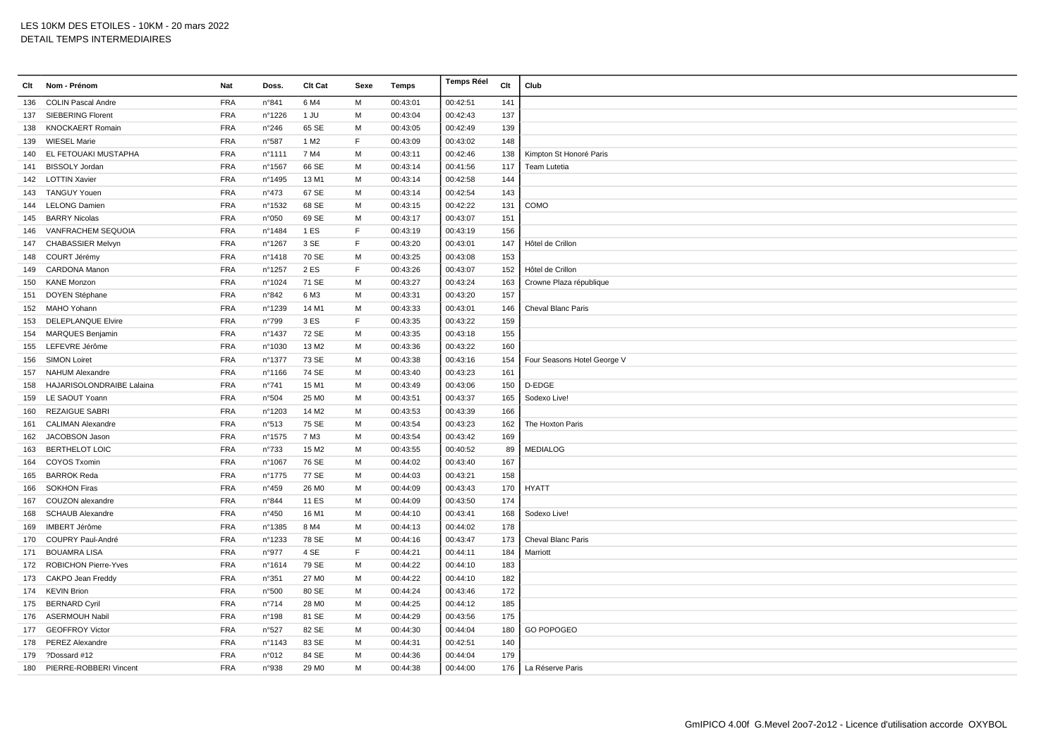| Clt | Nom - Prénom                     | Nat        | Doss.          | Clt Cat           | Sexe         | Temps    | <b>Temps Réel</b> | Clt | Club                        |
|-----|----------------------------------|------------|----------------|-------------------|--------------|----------|-------------------|-----|-----------------------------|
| 136 | <b>COLIN Pascal Andre</b>        | <b>FRA</b> | n°841          | 6 M4              | M            | 00:43:01 | 00:42:51          | 141 |                             |
| 137 | <b>SIEBERING Florent</b>         | <b>FRA</b> | n°1226         | 1 JU              | M            | 00:43:04 | 00:42:43          | 137 |                             |
| 138 | <b>KNOCKAERT Romain</b>          | <b>FRA</b> | n°246          | 65 SE             | М            | 00:43:05 | 00:42:49          | 139 |                             |
| 139 | <b>WIESEL Marie</b>              | <b>FRA</b> | n°587          | 1 M <sub>2</sub>  | E            | 00:43:09 | 00:43:02          | 148 |                             |
| 140 | EL FETOUAKI MUSTAPHA             | <b>FRA</b> | n°1111         | 7 M4              | M            | 00:43:11 | 00:42:46          | 138 | Kimpton St Honoré Paris     |
| 141 | <b>BISSOLY Jordan</b>            | <b>FRA</b> | n°1567         | 66 SE             | M            | 00:43:14 | 00:41:56          | 117 | Team Lutetia                |
| 142 | <b>LOTTIN Xavier</b>             | <b>FRA</b> | n°1495         | 13 M1             | м            | 00:43:14 | 00:42:58          | 144 |                             |
| 143 | <b>TANGUY Youen</b>              | <b>FRA</b> | n°473          | 67 SE             | M            | 00:43:14 | 00:42:54          | 143 |                             |
| 144 | <b>LELONG Damien</b>             | <b>FRA</b> | n°1532         | 68 SE             | м            | 00:43:15 | 00:42:22          | 131 | COMO                        |
| 145 | <b>BARRY Nicolas</b>             | <b>FRA</b> | n°050          | 69 SE             | M            | 00:43:17 | 00:43:07          | 151 |                             |
| 146 | VANFRACHEM SEQUOIA               | <b>FRA</b> | n°1484         | 1 ES              | E            | 00:43:19 | 00:43:19          | 156 |                             |
| 147 | <b>CHABASSIER Melvyn</b>         | <b>FRA</b> | n°1267         | 3 SE              | F            | 00:43:20 | 00:43:01          | 147 | Hôtel de Crillon            |
| 148 | COURT Jérémy                     | <b>FRA</b> | n°1418         | 70 SE             | M            | 00:43:25 | 00:43:08          | 153 |                             |
| 149 | CARDONA Manon                    | <b>FRA</b> | n°1257         | 2ES               | E            | 00:43:26 | 00:43:07          | 152 | Hôtel de Crillon            |
| 150 | <b>KANE Monzon</b>               | <b>FRA</b> | n°1024         | 71 SE             | M            | 00:43:27 | 00:43:24          | 163 | Crowne Plaza république     |
| 151 | DOYEN Stéphane                   | <b>FRA</b> | n°842          | 6 M3              | м            | 00:43:31 | 00:43:20          | 157 |                             |
| 152 | MAHO Yohann                      | <b>FRA</b> | n°1239         | 14 M1             | M            | 00:43:33 | 00:43:01          | 146 | Cheval Blanc Paris          |
| 153 | DELEPLANQUE Elvire               | <b>FRA</b> | n°799          | 3 ES              | $\mathsf{F}$ | 00:43:35 | 00:43:22          | 159 |                             |
| 154 | MARQUES Benjamin                 | <b>FRA</b> | n°1437         | 72 SE             | м            | 00:43:35 | 00:43:18          | 155 |                             |
| 155 | LEFEVRE Jérôme                   | <b>FRA</b> | n°1030         | 13 M <sub>2</sub> | M            | 00:43:36 | 00:43:22          | 160 |                             |
| 156 | <b>SIMON Loiret</b>              | <b>FRA</b> | n°1377         | 73 SE             | M            | 00:43:38 | 00:43:16          | 154 | Four Seasons Hotel George V |
| 157 | NAHUM Alexandre                  | <b>FRA</b> | nº1166         | 74 SE             | M            | 00:43:40 | 00:43:23          | 161 |                             |
| 158 | <b>HAJARISOLONDRAIBE Lalaina</b> | <b>FRA</b> | $n^{\circ}741$ | 15 M1             | M            | 00:43:49 | 00:43:06          | 150 | D-EDGE                      |
| 159 | LE SAOUT Yoann                   | <b>FRA</b> | n°504          | 25 MO             | м            | 00:43:51 | 00:43:37          | 165 | Sodexo Live!                |
| 160 | <b>REZAIGUE SABRI</b>            | <b>FRA</b> | n°1203         | 14 M <sub>2</sub> | м            | 00:43:53 | 00:43:39          | 166 |                             |
| 161 | <b>CALIMAN Alexandre</b>         | <b>FRA</b> | n°513          | 75 SE             | м            | 00:43:54 | 00:43:23          | 162 | The Hoxton Paris            |
| 162 | JACOBSON Jason                   | <b>FRA</b> | n°1575         | 7 M3              | M            | 00:43:54 | 00:43:42          | 169 |                             |
| 163 | <b>BERTHELOT LOIC</b>            | <b>FRA</b> | n°733          | 15 M <sub>2</sub> | M            | 00:43:55 | 00:40:52          | 89  | <b>MEDIALOG</b>             |
| 164 | <b>COYOS Txomin</b>              | <b>FRA</b> | n°1067         | 76 SE             | M            | 00:44:02 | 00:43:40          | 167 |                             |
| 165 | <b>BARROK Reda</b>               | <b>FRA</b> | n°1775         | 77 SE             | м            | 00:44:03 | 00:43:21          | 158 |                             |
| 166 | <b>SOKHON Firas</b>              | <b>FRA</b> | n°459          | 26 M <sub>0</sub> | м            | 00:44:09 | 00:43:43          | 170 | <b>HYATT</b>                |
| 167 | COUZON alexandre                 | <b>FRA</b> | n°844          | 11 ES             | м            | 00:44:09 | 00:43:50          | 174 |                             |
| 168 | <b>SCHAUB Alexandre</b>          | <b>FRA</b> | n°450          | 16 M1             | M            | 00:44:10 | 00:43:41          | 168 | Sodexo Live!                |
| 169 | <b>IMBERT Jérôme</b>             | <b>FRA</b> | n°1385         | 8 M4              | м            | 00:44:13 | 00:44:02          | 178 |                             |
| 170 | COUPRY Paul-André                | <b>FRA</b> | n°1233         | 78 SE             | м            | 00:44:16 | 00:43:47          | 173 | Cheval Blanc Paris          |
| 171 | <b>BOUAMRA LISA</b>              | <b>FRA</b> | n°977          | 4 SE              | E            | 00:44:21 | 00:44:11          | 184 | Marriott                    |
| 172 | <b>ROBICHON Pierre-Yves</b>      | <b>FRA</b> | n°1614         | 79 SE             | M            | 00:44:22 | 00:44:10          | 183 |                             |
| 173 | CAKPO Jean Freddy                | <b>FRA</b> | n°351          | 27 M <sub>0</sub> | M            | 00:44:22 | 00:44:10          | 182 |                             |
|     | 174 KEVIN Brion                  | <b>FRA</b> | n°500          | 80 SE             | M            | 00:44:24 | 00:43:46          | 172 |                             |
| 175 | <b>BERNARD Cyril</b>             | <b>FRA</b> | n°714          | 28 M <sub>0</sub> | м            | 00:44:25 | 00:44:12          | 185 |                             |
|     | 176 ASERMOUH Nabil               | <b>FRA</b> | n°198          | 81 SE             | м            | 00:44:29 | 00:43:56          | 175 |                             |
|     | 177 GEOFFROY Victor              | <b>FRA</b> | n°527          | 82 SE             | M            | 00:44:30 | 00:44:04          | 180 | <b>GO POPOGEO</b>           |
| 178 | <b>PEREZ Alexandre</b>           | <b>FRA</b> | n°1143         | 83 SE             | м            | 00:44:31 | 00:42:51          | 140 |                             |
| 179 | ?Dossard #12                     | <b>FRA</b> | n°012          | 84 SE             | M            | 00:44:36 | 00:44:04          | 179 |                             |
| 180 | PIERRE-ROBBERI Vincent           | <b>FRA</b> | n°938          | 29 M <sub>0</sub> | м            | 00:44:38 | 00:44:00          |     | 176   La Réserve Paris      |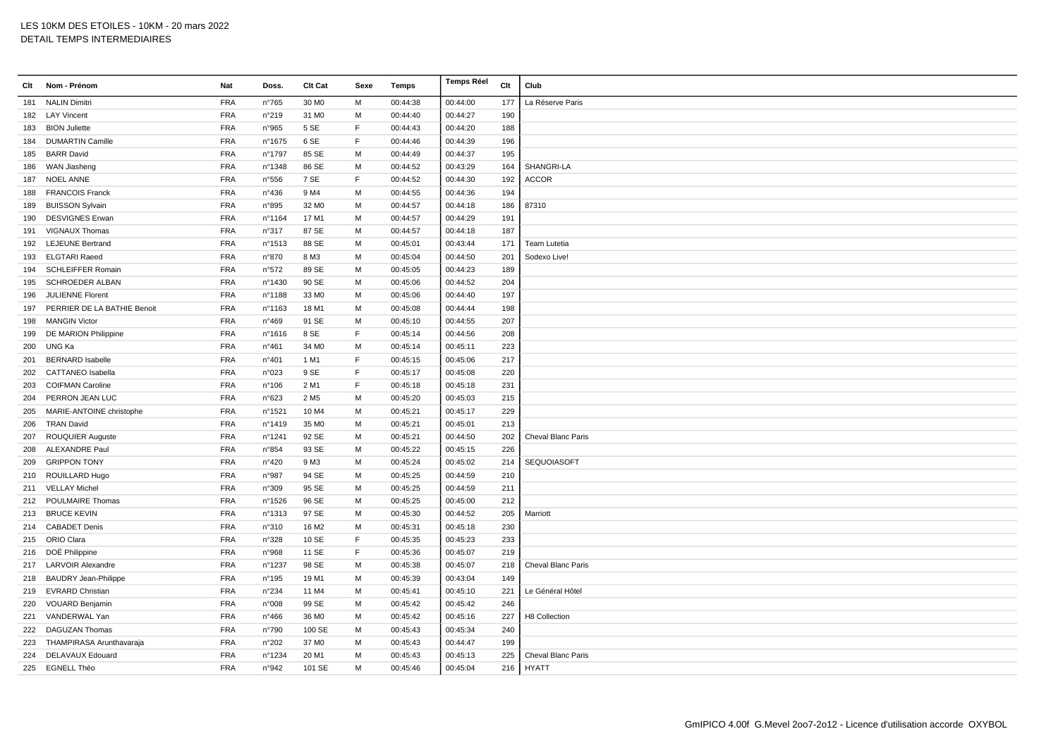| Clt | Nom - Prénom                | Nat        | Doss.          | Clt Cat           | Sexe | Temps    | <b>Temps Réel</b> | Clt | Club                      |
|-----|-----------------------------|------------|----------------|-------------------|------|----------|-------------------|-----|---------------------------|
| 181 | <b>NALIN Dimitri</b>        | <b>FRA</b> | $n^{\circ}765$ | 30 MO             | M    | 00:44:38 | 00:44:00          | 177 | La Réserve Paris          |
|     | 182 LAY Vincent             | <b>FRA</b> | n°219          | 31 M <sub>0</sub> | M    | 00:44:40 | 00:44:27          | 190 |                           |
| 183 | <b>BION Juliette</b>        | <b>FRA</b> | n°965          | 5 SE              | E    | 00:44:43 | 00:44:20          | 188 |                           |
| 184 | <b>DUMARTIN Camille</b>     | <b>FRA</b> | n°1675         | 6 SE              | E    | 00:44:46 | 00:44:39          | 196 |                           |
| 185 | <b>BARR David</b>           | <b>FRA</b> | n°1797         | 85 SE             | M    | 00:44:49 | 00:44:37          | 195 |                           |
| 186 | WAN Jiasheng                | <b>FRA</b> | n°1348         | 86 SE             | M    | 00:44:52 | 00:43:29          | 164 | SHANGRI-LA                |
| 187 | <b>NOEL ANNE</b>            | <b>FRA</b> | n°556          | 7 SE              | E    | 00:44:52 | 00:44:30          | 192 | <b>ACCOR</b>              |
| 188 | <b>FRANCOIS Franck</b>      | <b>FRA</b> | n°436          | 9 M4              | M    | 00:44:55 | 00:44:36          | 194 |                           |
| 189 | <b>BUISSON Sylvain</b>      | <b>FRA</b> | n°895          | 32 M <sub>0</sub> | M    | 00:44:57 | 00:44:18          | 186 | 87310                     |
| 190 | <b>DESVIGNES Erwan</b>      | <b>FRA</b> | nº1164         | 17 M1             | м    | 00:44:57 | 00:44:29          | 191 |                           |
| 191 | VIGNAUX Thomas              | <b>FRA</b> | n°317          | 87 SE             | M    | 00:44:57 | 00:44:18          | 187 |                           |
| 192 | <b>LEJEUNE Bertrand</b>     | <b>FRA</b> | n°1513         | 88 SE             | M    | 00:45:01 | 00:43:44          | 171 | Team Lutetia              |
| 193 | <b>ELGTARI Raeed</b>        | <b>FRA</b> | n°870          | 8 M3              | M    | 00:45:04 | 00:44:50          | 201 | Sodexo Live!              |
| 194 | <b>SCHLEIFFER Romain</b>    | <b>FRA</b> | n°572          | 89 SE             | M    | 00:45:05 | 00:44:23          | 189 |                           |
| 195 | <b>SCHROEDER ALBAN</b>      | <b>FRA</b> | n°1430         | 90 SE             | M    | 00:45:06 | 00:44:52          | 204 |                           |
| 196 | JULIENNE Florent            | <b>FRA</b> | n°1188         | 33 M <sub>0</sub> | M    | 00:45:06 | 00:44:40          | 197 |                           |
| 197 | PERRIER DE LA BATHIE Benoit | <b>FRA</b> | n°1163         | 18 M1             | M    | 00:45:08 | 00:44:44          | 198 |                           |
| 198 | <b>MANGIN Victor</b>        | <b>FRA</b> | n°469          | 91 SE             | M    | 00:45:10 | 00:44:55          | 207 |                           |
| 199 | DE MARION Philippine        | <b>FRA</b> | nº1616         | 8 SE              | E    | 00:45:14 | 00:44:56          | 208 |                           |
| 200 | UNG Ka                      | <b>FRA</b> | $n^{\circ}461$ | 34 M <sub>0</sub> | M    | 00:45:14 | 00:45:11          | 223 |                           |
| 201 | <b>BERNARD Isabelle</b>     | <b>FRA</b> | n°401          | 1 M1              | E    | 00:45:15 | 00:45:06          | 217 |                           |
| 202 | <b>CATTANEO</b> Isabella    | <b>FRA</b> | n°023          | 9 SE              | E    | 00:45:17 | 00:45:08          | 220 |                           |
| 203 | <b>COIFMAN Caroline</b>     | <b>FRA</b> | n°106          | 2 M1              | F    | 00:45:18 | 00:45:18          | 231 |                           |
| 204 | PERRON JEAN LUC             | <b>FRA</b> | n°623          | 2 M <sub>5</sub>  | M    | 00:45:20 | 00:45:03          | 215 |                           |
| 205 | MARIE-ANTOINE christophe    | <b>FRA</b> | n°1521         | 10 M4             | M    | 00:45:21 | 00:45:17          | 229 |                           |
| 206 | <b>TRAN David</b>           | <b>FRA</b> | n°1419         | 35 M <sub>0</sub> | M    | 00:45:21 | 00:45:01          | 213 |                           |
| 207 | <b>ROUQUIER Auguste</b>     | <b>FRA</b> | n°1241         | 92 SE             | M    | 00:45:21 | 00:44:50          | 202 | Cheval Blanc Paris        |
| 208 | <b>ALEXANDRE Paul</b>       | <b>FRA</b> | n°854          | 93 SE             | M    | 00:45:22 | 00:45:15          | 226 |                           |
| 209 | <b>GRIPPON TONY</b>         | <b>FRA</b> | n°420          | 9 M3              | M    | 00:45:24 | 00:45:02          | 214 | SEQUOIASOFT               |
|     | 210 ROUILLARD Hugo          | <b>FRA</b> | n°987          | 94 SE             | M    | 00:45:25 | 00:44:59          | 210 |                           |
|     | 211 VELLAY Michel           | <b>FRA</b> | n°309          | 95 SE             | M    | 00:45:25 | 00:44:59          | 211 |                           |
| 212 | POULMAIRE Thomas            | <b>FRA</b> | n°1526         | 96 SE             | M    | 00:45:25 | 00:45:00          | 212 |                           |
|     | 213 BRUCE KEVIN             | <b>FRA</b> | n°1313         | 97 SE             | M    | 00:45:30 | 00:44:52          | 205 | Marriott                  |
| 214 | <b>CABADET Denis</b>        | <b>FRA</b> | n°310          | 16 M <sub>2</sub> | M    | 00:45:31 | 00:45:18          | 230 |                           |
|     | 215 ORIO Clara              | <b>FRA</b> | n°328          | 10 SE             | E    | 00:45:35 | 00:45:23          | 233 |                           |
|     | 216 DOË Philippine          | <b>FRA</b> | n°968          | 11 SE             | E    | 00:45:36 | 00:45:07          | 219 |                           |
| 217 | <b>LARVOIR Alexandre</b>    | <b>FRA</b> | n°1237         | 98 SE             | M    | 00:45:38 | 00:45:07          | 218 | Cheval Blanc Paris        |
|     | 218 BAUDRY Jean-Philippe    | <b>FRA</b> | n°195          | 19 M1             | M    | 00:45:39 | 00:43:04          | 149 |                           |
|     | 219 EVRARD Christian        | <b>FRA</b> | n°234          | 11 M4             | м    | 00:45:41 | 00:45:10          | 221 | Le Général Hôtel          |
| 220 | <b>VOUARD Benjamin</b>      | <b>FRA</b> | n°008          | 99 SE             | M    | 00:45:42 | 00:45:42          | 246 |                           |
| 221 | VANDERWAL Yan               | <b>FRA</b> | $n^{\circ}466$ | 36 M <sub>0</sub> | M    | 00:45:42 | 00:45:16          | 227 | H8 Collection             |
|     | 222 DAGUZAN Thomas          | <b>FRA</b> | n°790          | 100 SE            | M    | 00:45:43 | 00:45:34          | 240 |                           |
| 223 | THAMPIRASA Arunthavaraja    | <b>FRA</b> | n°202          | 37 M <sub>0</sub> | M    | 00:45:43 | 00:44:47          | 199 |                           |
| 224 | DELAVAUX Edouard            | <b>FRA</b> | n°1234         | 20 M1             | M    | 00:45:43 | 00:45:13          | 225 | <b>Cheval Blanc Paris</b> |
|     | 225 EGNELL Théo             | <b>FRA</b> | n°942          | 101 SE            | M    | 00:45:46 | 00:45:04          |     | $216$ HYATT               |
|     |                             |            |                |                   |      |          |                   |     |                           |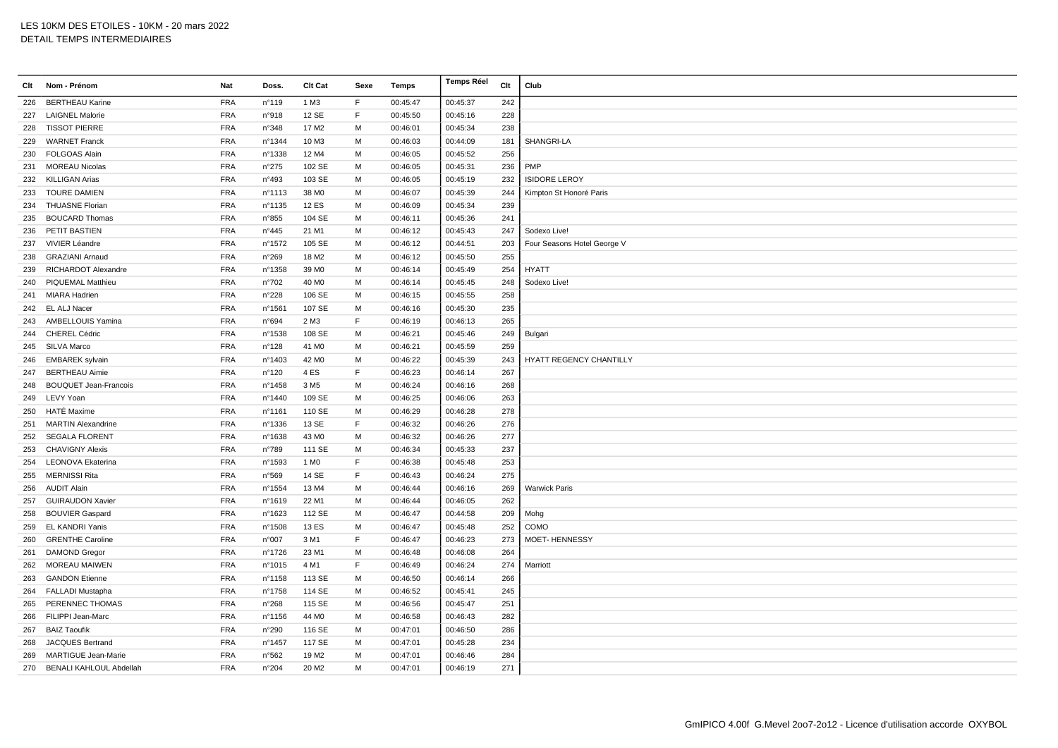| Clt | Nom - Prénom                   | Nat        | Doss.          | Clt Cat           | Sexe        | Temps    | <b>Temps Réel</b> | Clt | Club                        |
|-----|--------------------------------|------------|----------------|-------------------|-------------|----------|-------------------|-----|-----------------------------|
| 226 | <b>BERTHEAU Karine</b>         | <b>FRA</b> | n°119          | 1 M3              | F           | 00:45:47 | 00:45:37          | 242 |                             |
| 227 | <b>LAIGNEL Malorie</b>         | <b>FRA</b> | n°918          | 12 SE             | F           | 00:45:50 | 00:45:16          | 228 |                             |
| 228 | <b>TISSOT PIERRE</b>           | <b>FRA</b> | n°348          | 17 M <sub>2</sub> | M           | 00:46:01 | 00:45:34          | 238 |                             |
| 229 | <b>WARNET Franck</b>           | <b>FRA</b> | nº1344         | 10 M3             | M           | 00:46:03 | 00:44:09          | 181 | SHANGRI-LA                  |
| 230 | <b>FOLGOAS Alain</b>           | <b>FRA</b> | n°1338         | 12 M4             | M           | 00:46:05 | 00:45:52          | 256 |                             |
| 231 | <b>MOREAU Nicolas</b>          | <b>FRA</b> | $n^{\circ}275$ | 102 SE            | M           | 00:46:05 | 00:45:31          | 236 | PMP                         |
| 232 | <b>KILLIGAN Arias</b>          | <b>FRA</b> | n°493          | 103 SE            | M           | 00:46:05 | 00:45:19          | 232 | <b>ISIDORE LEROY</b>        |
| 233 | <b>TOURE DAMIEN</b>            | <b>FRA</b> | n°1113         | 38 MO             | M           | 00:46:07 | 00:45:39          | 244 | Kimpton St Honoré Paris     |
| 234 | <b>THUASNE Florian</b>         | <b>FRA</b> | n°1135         | <b>12 ES</b>      | M           | 00:46:09 | 00:45:34          | 239 |                             |
| 235 | <b>BOUCARD Thomas</b>          | <b>FRA</b> | n°855          | 104 SE            | м           | 00:46:11 | 00:45:36          | 241 |                             |
| 236 | PETIT BASTIEN                  | <b>FRA</b> | n°445          | 21 M1             | M           | 00:46:12 | 00:45:43          | 247 | Sodexo Live!                |
| 237 | VIVIER Léandre                 | <b>FRA</b> | n°1572         | 105 SE            | M           | 00:46:12 | 00:44:51          | 203 | Four Seasons Hotel George V |
| 238 | <b>GRAZIANI Arnaud</b>         | <b>FRA</b> | n°269          | 18 M <sub>2</sub> | M           | 00:46:12 | 00:45:50          | 255 |                             |
| 239 | RICHARDOT Alexandre            | <b>FRA</b> | n°1358         | 39 M <sub>0</sub> | M           | 00:46:14 | 00:45:49          | 254 | <b>HYATT</b>                |
| 240 | <b>PIQUEMAL Matthieu</b>       | <b>FRA</b> | $n^{\circ}702$ | 40 M <sub>0</sub> | M           | 00:46:14 | 00:45:45          | 248 | Sodexo Live!                |
|     | 241 MIARA Hadrien              | <b>FRA</b> | n°228          | 106 SE            | M           | 00:46:15 | 00:45:55          | 258 |                             |
|     | 242 EL ALJ Nacer               | <b>FRA</b> | n°1561         | 107 SE            | M           | 00:46:16 | 00:45:30          | 235 |                             |
| 243 | AMBELLOUIS Yamina              | <b>FRA</b> | n°694          | 2 M3              | F           | 00:46:19 | 00:46:13          | 265 |                             |
| 244 | CHEREL Cédric                  | <b>FRA</b> | n°1538         | 108 SE            | M           | 00:46:21 | 00:45:46          | 249 | Bulgari                     |
| 245 | SILVA Marco                    | <b>FRA</b> | n°128          | 41 M <sub>0</sub> | M           | 00:46:21 | 00:45:59          | 259 |                             |
| 246 | <b>EMBAREK</b> sylvain         | <b>FRA</b> | n°1403         | 42 M <sub>0</sub> | M           | 00:46:22 | 00:45:39          | 243 | HYATT REGENCY CHANTILLY     |
| 247 | <b>BERTHEAU Aimie</b>          | <b>FRA</b> | n°120          | 4 ES              | F           | 00:46:23 | 00:46:14          | 267 |                             |
| 248 | <b>BOUQUET Jean-Francois</b>   | <b>FRA</b> | n°1458         | 3 M <sub>5</sub>  | M           | 00:46:24 | 00:46:16          | 268 |                             |
|     | 249 LEVY Yoan                  | <b>FRA</b> | nº1440         | 109 SE            | M           | 00:46:25 | 00:46:06          | 263 |                             |
| 250 | HATÉ Maxime                    | <b>FRA</b> | n°1161         | 110 SE            | M           | 00:46:29 | 00:46:28          | 278 |                             |
| 251 | <b>MARTIN Alexandrine</b>      | <b>FRA</b> | n°1336         | 13 SE             | E           | 00:46:32 | 00:46:26          | 276 |                             |
| 252 | <b>SEGALA FLORENT</b>          | <b>FRA</b> | n°1638         | 43 MO             | M           | 00:46:32 | 00:46:26          | 277 |                             |
| 253 | <b>CHAVIGNY Alexis</b>         | <b>FRA</b> | n°789          | 111 SE            | M           | 00:46:34 | 00:45:33          | 237 |                             |
| 254 | LEONOVA Ekaterina              | <b>FRA</b> | n°1593         | 1 M <sub>0</sub>  | E           | 00:46:38 | 00:45:48          | 253 |                             |
| 255 | <b>MERNISSI Rita</b>           | <b>FRA</b> | n°569          | 14 SE             | $\mathsf F$ | 00:46:43 | 00:46:24          | 275 |                             |
| 256 | <b>AUDIT Alain</b>             | <b>FRA</b> | n°1554         | 13 M4             | M           | 00:46:44 | 00:46:16          | 269 | <b>Warwick Paris</b>        |
| 257 | <b>GUIRAUDON Xavier</b>        | <b>FRA</b> | n°1619         | 22 M1             | M           | 00:46:44 | 00:46:05          | 262 |                             |
| 258 | <b>BOUVIER Gaspard</b>         | <b>FRA</b> | n°1623         | 112 SE            | M           | 00:46:47 | 00:44:58          | 209 | Mohg                        |
| 259 | <b>EL KANDRI Yanis</b>         | <b>FRA</b> | n°1508         | 13 ES             | M           | 00:46:47 | 00:45:48          | 252 | COMO                        |
| 260 | <b>GRENTHE Caroline</b>        | <b>FRA</b> | n°007          | 3 M1              | E           | 00:46:47 | 00:46:23          | 273 | <b>MOET- HENNESSY</b>       |
| 261 | <b>DAMOND Gregor</b>           | <b>FRA</b> | n°1726         | 23 M1             | M           | 00:46:48 | 00:46:08          | 264 |                             |
| 262 | <b>MOREAU MAIWEN</b>           | <b>FRA</b> | n°1015         | 4 M1              | F           | 00:46:49 | 00:46:24          | 274 | Marriott                    |
| 263 | <b>GANDON Etienne</b>          | <b>FRA</b> | n°1158         | 113 SE            | M           | 00:46:50 | 00:46:14          | 266 |                             |
|     | 264 FALLADI Mustapha           | <b>FRA</b> | n°1758         | 114 SE            | M           | 00:46:52 | 00:45:41          | 245 |                             |
| 265 | PERENNEC THOMAS                | <b>FRA</b> | n°268          | 115 SE            | M           | 00:46:56 | 00:45:47          | 251 |                             |
| 266 | FILIPPI Jean-Marc              | <b>FRA</b> | n°1156         | 44 M <sub>0</sub> | M           | 00:46:58 | 00:46:43          | 282 |                             |
| 267 | <b>BAIZ Taoufik</b>            | <b>FRA</b> | n°290          | 116 SE            | M           | 00:47:01 | 00:46:50          | 286 |                             |
| 268 | <b>JACQUES Bertrand</b>        | <b>FRA</b> | n°1457         | 117 SE            | M           | 00:47:01 | 00:45:28          | 234 |                             |
| 269 | <b>MARTIGUE Jean-Marie</b>     | <b>FRA</b> | n°562          | 19 M <sub>2</sub> | M           | 00:47:01 | 00:46:46          | 284 |                             |
| 270 | <b>BENALI KAHLOUL Abdellah</b> | <b>FRA</b> | n°204          | 20 M <sub>2</sub> | M           | 00:47:01 | 00:46:19          | 271 |                             |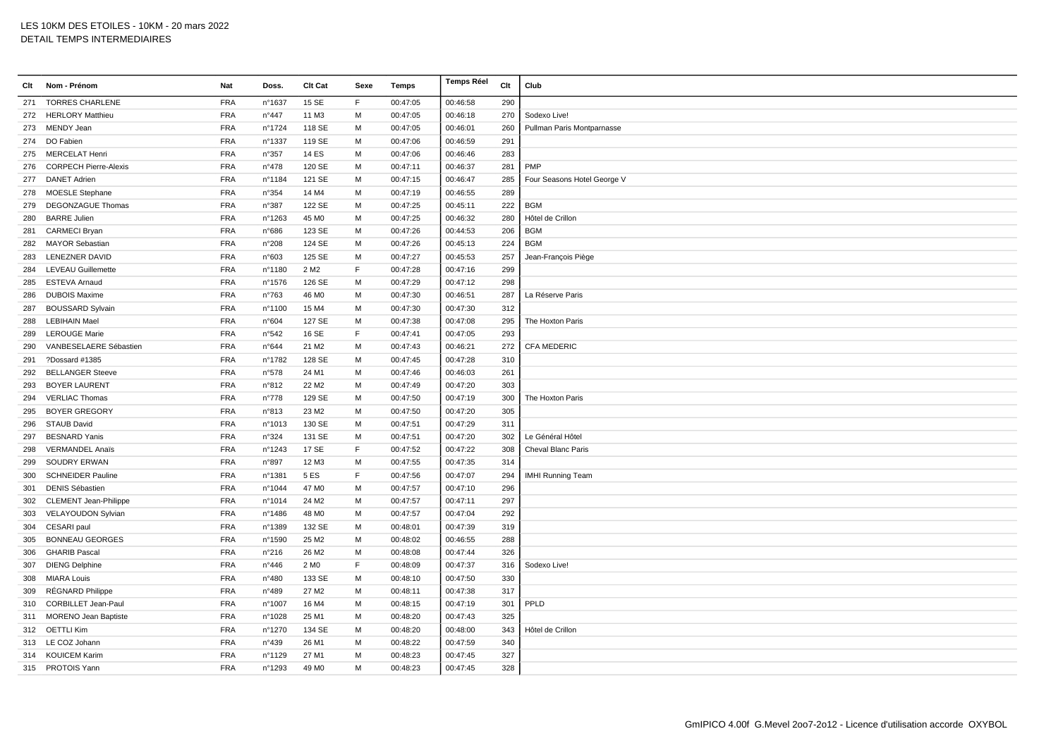| Clt | Nom - Prénom                 | Nat        | Doss.          | Clt Cat           | Sexe | <b>Temps</b> | <b>Temps Réel</b> | Clt | Club                        |
|-----|------------------------------|------------|----------------|-------------------|------|--------------|-------------------|-----|-----------------------------|
| 271 | <b>TORRES CHARLENE</b>       | <b>FRA</b> | n°1637         | 15 SE             | F    | 00:47:05     | 00:46:58          | 290 |                             |
|     | 272 HERLORY Matthieu         | <b>FRA</b> | $n^{\circ}447$ | 11 M3             | M    | 00:47:05     | 00:46:18          | 270 | Sodexo Live!                |
| 273 | MENDY Jean                   | <b>FRA</b> | n°1724         | 118 SE            | М    | 00:47:05     | 00:46:01          | 260 | Pullman Paris Montparnasse  |
|     | 274 DO Fabien                | <b>FRA</b> | nº1337         | 119 SE            | м    | 00:47:06     | 00:46:59          | 291 |                             |
| 275 | <b>MERCELAT Henri</b>        | <b>FRA</b> | n°357          | 14 ES             | M    | 00:47:06     | 00:46:46          | 283 |                             |
| 276 | <b>CORPECH Pierre-Alexis</b> | <b>FRA</b> | $n^{\circ}478$ | 120 SE            | M    | 00:47:11     | 00:46:37          | 281 | PMP                         |
| 277 | <b>DANET Adrien</b>          | <b>FRA</b> | nº1184         | 121 SE            | M    | 00:47:15     | 00:46:47          | 285 | Four Seasons Hotel George V |
| 278 | <b>MOESLE Stephane</b>       | <b>FRA</b> | n°354          | 14 M4             | М    | 00:47:19     | 00:46:55          | 289 |                             |
| 279 | <b>DEGONZAGUE Thomas</b>     | <b>FRA</b> | n°387          | 122 SE            | м    | 00:47:25     | 00:45:11          | 222 | <b>BGM</b>                  |
| 280 | <b>BARRE Julien</b>          | <b>FRA</b> | n°1263         | 45 M <sub>0</sub> | м    | 00:47:25     | 00:46:32          | 280 | Hôtel de Crillon            |
| 281 | <b>CARMECI Bryan</b>         | <b>FRA</b> | n°686          | 123 SE            | M    | 00:47:26     | 00:44:53          | 206 | <b>BGM</b>                  |
| 282 | <b>MAYOR Sebastian</b>       | <b>FRA</b> | n°208          | 124 SE            | М    | 00:47:26     | 00:45:13          | 224 | <b>BGM</b>                  |
| 283 | <b>LENEZNER DAVID</b>        | <b>FRA</b> | n°603          | 125 SE            | M    | 00:47:27     | 00:45:53          | 257 | Jean-François Piège         |
| 284 | <b>LEVEAU Guillemette</b>    | <b>FRA</b> | n°1180         | 2 M <sub>2</sub>  | F    | 00:47:28     | 00:47:16          | 299 |                             |
| 285 | ESTEVA Arnaud                | <b>FRA</b> | nº1576         | 126 SE            | м    | 00:47:29     | 00:47:12          | 298 |                             |
| 286 | <b>DUBOIS Maxime</b>         | <b>FRA</b> | n°763          | 46 M <sub>0</sub> | M    | 00:47:30     | 00:46:51          | 287 | La Réserve Paris            |
| 287 | <b>BOUSSARD Sylvain</b>      | <b>FRA</b> | n°1100         | 15 M4             | M    | 00:47:30     | 00:47:30          | 312 |                             |
| 288 | <b>LEBIHAIN Mael</b>         | <b>FRA</b> | n°604          | 127 SE            | M    | 00:47:38     | 00:47:08          | 295 | The Hoxton Paris            |
| 289 | <b>LEROUGE Marie</b>         | <b>FRA</b> | n°542          | 16 SE             | F    | 00:47:41     | 00:47:05          | 293 |                             |
| 290 | VANBESELAERE Sébastien       | <b>FRA</b> | n°644          | 21 M <sub>2</sub> | M    | 00:47:43     | 00:46:21          | 272 | <b>CFA MEDERIC</b>          |
| 291 | ?Dossard #1385               | <b>FRA</b> | n°1782         | 128 SE            | M    | 00:47:45     | 00:47:28          | 310 |                             |
| 292 | <b>BELLANGER Steeve</b>      | <b>FRA</b> | n°578          | 24 M1             | м    | 00:47:46     | 00:46:03          | 261 |                             |
| 293 | <b>BOYER LAURENT</b>         | <b>FRA</b> | n°812          | 22 M <sub>2</sub> | M    | 00:47:49     | 00:47:20          | 303 |                             |
| 294 | <b>VERLIAC Thomas</b>        | <b>FRA</b> | $n^{\circ}778$ | 129 SE            | M    | 00:47:50     | 00:47:19          | 300 | The Hoxton Paris            |
| 295 | <b>BOYER GREGORY</b>         | <b>FRA</b> | n°813          | 23 M2             | M    | 00:47:50     | 00:47:20          | 305 |                             |
| 296 | STAUB David                  | <b>FRA</b> | n°1013         | 130 SE            | м    | 00:47:51     | 00:47:29          | 311 |                             |
| 297 | <b>BESNARD Yanis</b>         | <b>FRA</b> | n°324          | 131 SE            | м    | 00:47:51     | 00:47:20          | 302 | Le Général Hôtel            |
| 298 | <b>VERMANDEL Anaïs</b>       | <b>FRA</b> | n°1243         | 17 SE             | F    | 00:47:52     | 00:47:22          | 308 | Cheval Blanc Paris          |
| 299 | SOUDRY ERWAN                 | <b>FRA</b> | n°897          | 12 M3             | M    | 00:47:55     | 00:47:35          | 314 |                             |
| 300 | <b>SCHNEIDER Pauline</b>     | <b>FRA</b> | nº1381         | 5 ES              | F    | 00:47:56     | 00:47:07          | 294 | <b>IMHI Running Team</b>    |
| 301 | <b>DENIS Sébastien</b>       | <b>FRA</b> | nº1044         | 47 M <sub>0</sub> | м    | 00:47:57     | 00:47:10          | 296 |                             |
| 302 | <b>CLEMENT Jean-Philippe</b> | <b>FRA</b> | nº1014         | 24 M <sub>2</sub> | M    | 00:47:57     | 00:47:11          | 297 |                             |
| 303 | VELAYOUDON Sylvian           | <b>FRA</b> | n°1486         | 48 M <sub>0</sub> | м    | 00:47:57     | 00:47:04          | 292 |                             |
| 304 | CESARI paul                  | <b>FRA</b> | n°1389         | 132 SE            | M    | 00:48:01     | 00:47:39          | 319 |                             |
| 305 | <b>BONNEAU GEORGES</b>       | <b>FRA</b> | n°1590         | 25 M <sub>2</sub> | М    | 00:48:02     | 00:46:55          | 288 |                             |
| 306 | <b>GHARIB Pascal</b>         | <b>FRA</b> | $n^{\circ}216$ | 26 M <sub>2</sub> | M    | 00:48:08     | 00:47:44          | 326 |                             |
| 307 | <b>DIENG Delphine</b>        | <b>FRA</b> | $n^{\circ}446$ | 2 M <sub>0</sub>  | E    | 00:48:09     | 00:47:37          | 316 | Sodexo Live!                |
| 308 | <b>MIARA Louis</b>           | <b>FRA</b> | n°480          | 133 SE            | M    | 00:48:10     | 00:47:50          | 330 |                             |
| 309 | RÉGNARD Philippe             | <b>FRA</b> | n°489          | 27 M <sub>2</sub> | м    | 00:48:11     | 00:47:38          | 317 |                             |
| 310 | <b>CORBILLET Jean-Paul</b>   | <b>FRA</b> | n°1007         | 16 M4             | M    | 00:48:15     | 00:47:19          | 301 | PPLD                        |
| 311 | <b>MORENO Jean Baptiste</b>  | <b>FRA</b> | n°1028         | 25 M1             | M    | 00:48:20     | 00:47:43          | 325 |                             |
|     | 312 OETTLI Kim               | <b>FRA</b> | n°1270         | 134 SE            | м    | 00:48:20     | 00:48:00          | 343 | Hôtel de Crillon            |
|     | 313 LE COZ Johann            | <b>FRA</b> | n°439          | 26 M1             | M    | 00:48:22     | 00:47:59          | 340 |                             |
|     | 314 KOUICEM Karim            | <b>FRA</b> | n°1129         | 27 M1             | М    | 00:48:23     | 00:47:45          | 327 |                             |
|     | 315 PROTOIS Yann             | <b>FRA</b> | n°1293         | 49 M <sub>0</sub> | M    | 00:48:23     | 00:47:45          | 328 |                             |
|     |                              |            |                |                   |      |              |                   |     |                             |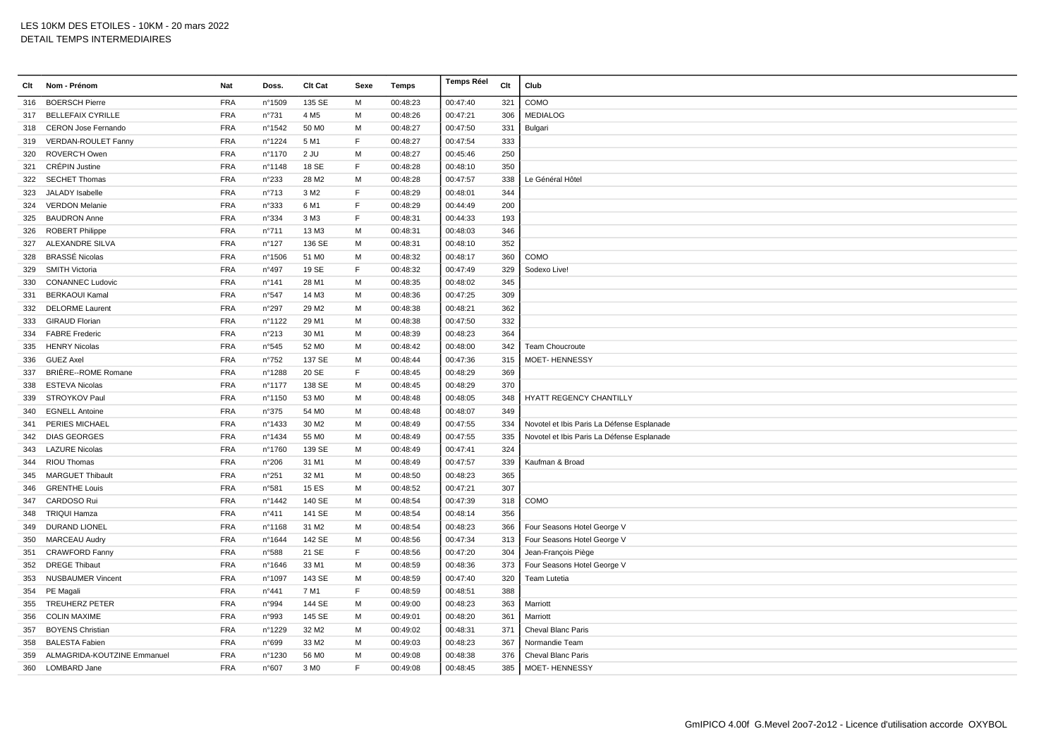| Clt | Nom - Prénom                | Nat        | Doss.          | Clt Cat           | Sexe         | Temps    | <b>Temps Réel</b> | Clt | Club                                       |
|-----|-----------------------------|------------|----------------|-------------------|--------------|----------|-------------------|-----|--------------------------------------------|
| 316 | <b>BOERSCH Pierre</b>       | <b>FRA</b> | n°1509         | 135 SE            | M            | 00:48:23 | 00:47:40          | 321 | COMO                                       |
|     | 317 BELLEFAIX CYRILLE       | <b>FRA</b> | n°731          | 4 M <sub>5</sub>  | M            | 00:48:26 | 00:47:21          | 306 | <b>MEDIALOG</b>                            |
| 318 | <b>CERON Jose Fernando</b>  | <b>FRA</b> | n°1542         | 50 MO             | м            | 00:48:27 | 00:47:50          | 331 | Bulgari                                    |
|     | 319 VERDAN-ROULET Fanny     | <b>FRA</b> | n°1224         | 5 M1              | E            | 00:48:27 | 00:47:54          | 333 |                                            |
| 320 | ROVERC'H Owen               | <b>FRA</b> | nº1170         | 2 JU              | м            | 00:48:27 | 00:45:46          | 250 |                                            |
| 321 | <b>CRÉPIN Justine</b>       | <b>FRA</b> | n°1148         | 18 SE             | F            | 00:48:28 | 00:48:10          | 350 |                                            |
| 322 | <b>SECHET Thomas</b>        | <b>FRA</b> | n°233          | 28 M2             | M            | 00:48:28 | 00:47:57          | 338 | Le Général Hôtel                           |
| 323 | JALADY Isabelle             | <b>FRA</b> | n°713          | 3 M <sub>2</sub>  | $\mathsf{F}$ | 00:48:29 | 00:48:01          | 344 |                                            |
| 324 | <b>VERDON Melanie</b>       | <b>FRA</b> | n°333          | 6 M1              | E            | 00:48:29 | 00:44:49          | 200 |                                            |
| 325 | <b>BAUDRON Anne</b>         | <b>FRA</b> | n°334          | 3 M3              | $\mathsf{F}$ | 00:48:31 | 00:44:33          | 193 |                                            |
| 326 | <b>ROBERT Philippe</b>      | <b>FRA</b> | n°711          | 13 M3             | M            | 00:48:31 | 00:48:03          | 346 |                                            |
| 327 | ALEXANDRE SILVA             | <b>FRA</b> | n°127          | 136 SE            | м            | 00:48:31 | 00:48:10          | 352 |                                            |
| 328 | BRASSÉ Nicolas              | <b>FRA</b> | n°1506         | 51 MO             | M            | 00:48:32 | 00:48:17          | 360 | COMO                                       |
| 329 | <b>SMITH Victoria</b>       | <b>FRA</b> | n°497          | 19 SE             | $\mathsf{F}$ | 00:48:32 | 00:47:49          | 329 | Sodexo Live!                               |
| 330 | <b>CONANNEC Ludovic</b>     | <b>FRA</b> | n°141          | 28 M1             | M            | 00:48:35 | 00:48:02          | 345 |                                            |
| 331 | <b>BERKAOUI Kamal</b>       | <b>FRA</b> | n°547          | 14 M3             | м            | 00:48:36 | 00:47:25          | 309 |                                            |
| 332 | <b>DELORME Laurent</b>      | <b>FRA</b> | n°297          | 29 M <sub>2</sub> | M            | 00:48:38 | 00:48:21          | 362 |                                            |
| 333 | <b>GIRAUD Florian</b>       | <b>FRA</b> | n°1122         | 29 M1             | м            | 00:48:38 | 00:47:50          | 332 |                                            |
|     | 334 FABRE Frederic          | <b>FRA</b> | n°213          | 30 M1             | М            | 00:48:39 | 00:48:23          | 364 |                                            |
| 335 | <b>HENRY Nicolas</b>        | <b>FRA</b> | n°545          | 52 M <sub>0</sub> | M            | 00:48:42 | 00:48:00          | 342 | Team Choucroute                            |
| 336 | <b>GUEZ Axel</b>            | <b>FRA</b> | n°752          | 137 SE            | M            | 00:48:44 | 00:47:36          | 315 | <b>MOET-HENNESSY</b>                       |
| 337 | BRIÈRE--ROME Romane         | <b>FRA</b> | n°1288         | 20 SE             | E            | 00:48:45 | 00:48:29          | 369 |                                            |
| 338 | <b>ESTEVA Nicolas</b>       | <b>FRA</b> | n°1177         | 138 SE            | м            | 00:48:45 | 00:48:29          | 370 |                                            |
| 339 | STROYKOV Paul               | <b>FRA</b> | n°1150         | 53 MO             | м            | 00:48:48 | 00:48:05          | 348 | HYATT REGENCY CHANTILLY                    |
| 340 | <b>EGNELL Antoine</b>       | <b>FRA</b> | n°375          | 54 M <sub>0</sub> | М            | 00:48:48 | 00:48:07          | 349 |                                            |
| 341 | <b>PERIES MICHAEL</b>       | <b>FRA</b> | n°1433         | 30 M <sub>2</sub> | M            | 00:48:49 | 00:47:55          | 334 | Novotel et Ibis Paris La Défense Esplanade |
|     | 342 DIAS GEORGES            | <b>FRA</b> | n°1434         | 55 MO             | M            | 00:48:49 | 00:47:55          | 335 | Novotel et Ibis Paris La Défense Esplanade |
| 343 | <b>LAZURE Nicolas</b>       | <b>FRA</b> | n°1760         | 139 SE            | M            | 00:48:49 | 00:47:41          | 324 |                                            |
|     | 344 RIOU Thomas             | <b>FRA</b> | n°206          | 31 M1             | м            | 00:48:49 | 00:47:57          | 339 | Kaufman & Broad                            |
| 345 | <b>MARGUET Thibault</b>     | <b>FRA</b> | n°251          | 32 M1             | М            | 00:48:50 | 00:48:23          | 365 |                                            |
| 346 | <b>GRENTHE Louis</b>        | <b>FRA</b> | n°581          | 15 ES             | м            | 00:48:52 | 00:47:21          | 307 |                                            |
| 347 | <b>CARDOSO Rui</b>          | <b>FRA</b> | n°1442         | 140 SE            | M            | 00:48:54 | 00:47:39          | 318 | COMO                                       |
| 348 | <b>TRIQUI Hamza</b>         | <b>FRA</b> | n°411          | 141 SE            | M            | 00:48:54 | 00:48:14          | 356 |                                            |
| 349 | DURAND LIONEL               | <b>FRA</b> | nº1168         | 31 M2             | M            | 00:48:54 | 00:48:23          | 366 | Four Seasons Hotel George V                |
| 350 | <b>MARCEAU Audry</b>        | <b>FRA</b> | nº1644         | 142 SE            | м            | 00:48:56 | 00:47:34          | 313 | Four Seasons Hotel George V                |
| 351 | <b>CRAWFORD Fanny</b>       | <b>FRA</b> | n°588          | 21 SE             | $\mathsf F$  | 00:48:56 | 00:47:20          | 304 | Jean-François Piège                        |
| 352 | <b>DREGE Thibaut</b>        | <b>FRA</b> | n°1646         | 33 M1             | M            | 00:48:59 | 00:48:36          | 373 | Four Seasons Hotel George V                |
| 353 | <b>NUSBAUMER Vincent</b>    | <b>FRA</b> | n°1097         | 143 SE            | M            | 00:48:59 | 00:47:40          | 320 | Team Lutetia                               |
| 354 | PE Magali                   | <b>FRA</b> | $n^{\circ}441$ | 7 M1              | E            | 00:48:59 | 00:48:51          | 388 |                                            |
| 355 | <b>TREUHERZ PETER</b>       | <b>FRA</b> | n°994          | 144 SE            | M            | 00:49:00 | 00:48:23          | 363 | Marriott                                   |
| 356 | <b>COLIN MAXIME</b>         | <b>FRA</b> | n°993          | 145 SE            | M            | 00:49:01 | 00:48:20          | 361 | Marriott                                   |
| 357 | <b>BOYENS Christian</b>     | <b>FRA</b> | n°1229         | 32 M <sub>2</sub> | м            | 00:49:02 | 00:48:31          | 371 | Cheval Blanc Paris                         |
| 358 | <b>BALESTA Fabien</b>       | <b>FRA</b> | n°699          | 33 M2             | м            | 00:49:03 | 00:48:23          | 367 | Normandie Team                             |
| 359 | ALMAGRIDA-KOUTZINE Emmanuel | <b>FRA</b> | n°1230         | 56 M <sub>0</sub> | м            | 00:49:08 | 00:48:38          | 376 | Cheval Blanc Paris                         |
|     | 360 LOMBARD Jane            | <b>FRA</b> | n°607          | 3 M <sub>0</sub>  | F            | 00:49:08 | 00:48:45          | 385 | MOET-HENNESSY                              |
|     |                             |            |                |                   |              |          |                   |     |                                            |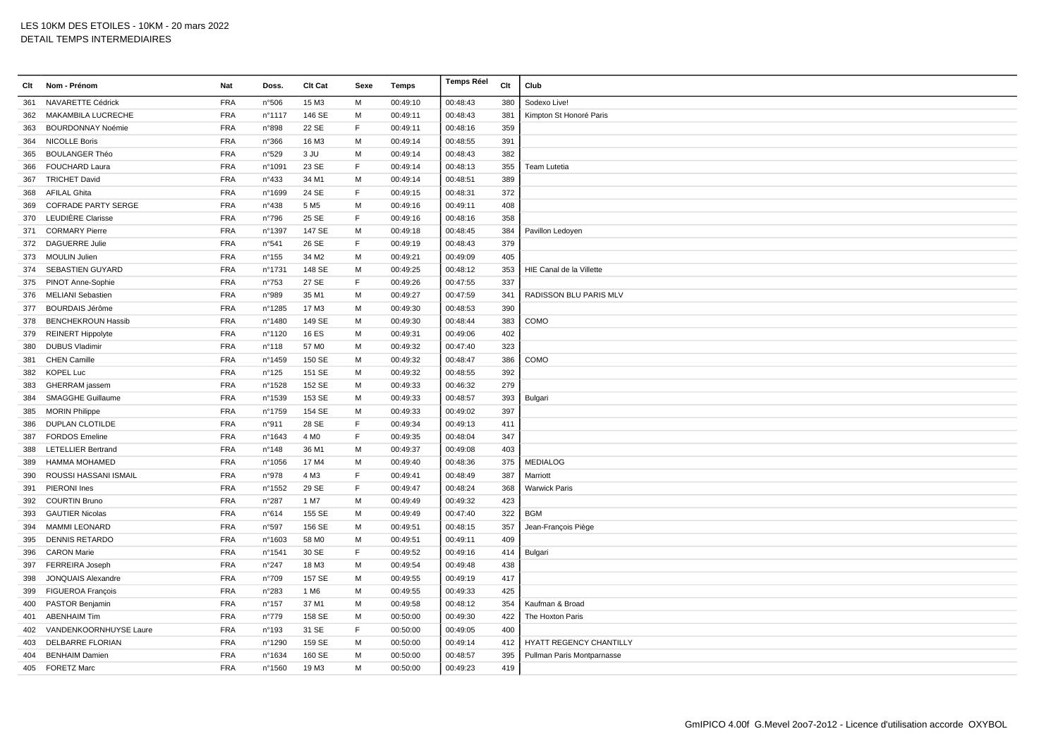| Clt | Nom - Prénom               | Nat        | Doss.           | Clt Cat           | Sexe        | Temps    | <b>Temps Réel</b> | Clt | Club                          |
|-----|----------------------------|------------|-----------------|-------------------|-------------|----------|-------------------|-----|-------------------------------|
| 361 | NAVARETTE Cédrick          | <b>FRA</b> | n°506           | 15 M3             | M           | 00:49:10 | 00:48:43          | 380 | Sodexo Live!                  |
| 362 | <b>MAKAMBILA LUCRECHE</b>  | <b>FRA</b> | n°1117          | 146 SE            | M           | 00:49:11 | 00:48:43          | 381 | Kimpton St Honoré Paris       |
| 363 | <b>BOURDONNAY Noémie</b>   | <b>FRA</b> | n°898           | 22 SE             | F           | 00:49:11 | 00:48:16          | 359 |                               |
|     | 364 NICOLLE Boris          | <b>FRA</b> | n°366           | 16 M3             | M           | 00:49:14 | 00:48:55          | 391 |                               |
| 365 | <b>BOULANGER Théo</b>      | <b>FRA</b> | n°529           | 3 JU              | м           | 00:49:14 | 00:48:43          | 382 |                               |
| 366 | FOUCHARD Laura             | FRA        | n°1091          | 23 SE             | F           | 00:49:14 | 00:48:13          | 355 | Team Lutetia                  |
| 367 | <b>TRICHET David</b>       | <b>FRA</b> | n°433           | 34 M1             | M           | 00:49:14 | 00:48:51          | 389 |                               |
| 368 | <b>AFILAL Ghita</b>        | <b>FRA</b> | n°1699          | 24 SE             | F           | 00:49:15 | 00:48:31          | 372 |                               |
| 369 | <b>COFRADE PARTY SERGE</b> | <b>FRA</b> | n°438           | 5 M <sub>5</sub>  | M           | 00:49:16 | 00:49:11          | 408 |                               |
| 370 | LEUDIÈRE Clarisse          | <b>FRA</b> | n°796           | 25 SE             | F           | 00:49:16 | 00:48:16          | 358 |                               |
| 371 | <b>CORMARY Pierre</b>      | <b>FRA</b> | n°1397          | 147 SE            | M           | 00:49:18 | 00:48:45          | 384 | Pavillon Ledoyen              |
| 372 | <b>DAGUERRE Julie</b>      | <b>FRA</b> | n°541           | 26 SE             | F           | 00:49:19 | 00:48:43          | 379 |                               |
| 373 | <b>MOULIN Julien</b>       | <b>FRA</b> | $n^{\circ}$ 155 | 34 M2             | M           | 00:49:21 | 00:49:09          | 405 |                               |
| 374 | SEBASTIEN GUYARD           | <b>FRA</b> | n°1731          | 148 SE            | M           | 00:49:25 | 00:48:12          | 353 | HIE Canal de la Villette      |
|     | 375 PINOT Anne-Sophie      | <b>FRA</b> | $n^{\circ}753$  | 27 SE             | F           | 00:49:26 | 00:47:55          | 337 |                               |
|     | 376 MELIANI Sebastien      | <b>FRA</b> | n°989           | 35 M1             | M           | 00:49:27 | 00:47:59          | 341 | <b>RADISSON BLU PARIS MLV</b> |
| 377 | <b>BOURDAIS Jérôme</b>     | <b>FRA</b> | n°1285          | 17 M3             | м           | 00:49:30 | 00:48:53          | 390 |                               |
| 378 | <b>BENCHEKROUN Hassib</b>  | <b>FRA</b> | n°1480          | 149 SE            | M           | 00:49:30 | 00:48:44          | 383 | COMO                          |
| 379 | <b>REINERT Hippolyte</b>   | <b>FRA</b> | n°1120          | <b>16 ES</b>      | M           | 00:49:31 | 00:49:06          | 402 |                               |
| 380 | <b>DUBUS Vladimir</b>      | <b>FRA</b> | $n^{\circ}$ 118 | 57 M <sub>0</sub> | M           | 00:49:32 | 00:47:40          | 323 |                               |
| 381 | <b>CHEN Camille</b>        | <b>FRA</b> | n°1459          | 150 SE            | M           | 00:49:32 | 00:48:47          | 386 | COMO                          |
| 382 | <b>KOPEL Luc</b>           | <b>FRA</b> | n°125           | 151 SE            | м           | 00:49:32 | 00:48:55          | 392 |                               |
| 383 | GHERRAM jassem             | <b>FRA</b> | n°1528          | 152 SE            | M           | 00:49:33 | 00:46:32          | 279 |                               |
| 384 | SMAGGHE Guillaume          | <b>FRA</b> | n°1539          | 153 SE            | м           | 00:49:33 | 00:48:57          | 393 | Bulgari                       |
| 385 | <b>MORIN Philippe</b>      | <b>FRA</b> | n°1759          | 154 SE            | м           | 00:49:33 | 00:49:02          | 397 |                               |
| 386 | <b>DUPLAN CLOTILDE</b>     | <b>FRA</b> | n°911           | 28 SE             | E           | 00:49:34 | 00:49:13          | 411 |                               |
| 387 | <b>FORDOS Emeline</b>      | <b>FRA</b> | n°1643          | 4 M <sub>0</sub>  | F           | 00:49:35 | 00:48:04          | 347 |                               |
| 388 | <b>LETELLIER Bertrand</b>  | <b>FRA</b> | n°148           | 36 M1             | M           | 00:49:37 | 00:49:08          | 403 |                               |
| 389 | <b>HAMMA MOHAMED</b>       | <b>FRA</b> | n°1056          | 17 M4             | M           | 00:49:40 | 00:48:36          | 375 | <b>MEDIALOG</b>               |
| 390 | ROUSSI HASSANI ISMAIL      | <b>FRA</b> | n°978           | 4 M3              | F           | 00:49:41 | 00:48:49          | 387 | Marriott                      |
| 391 | PIERONI Ines               | <b>FRA</b> | n°1552          | 29 SE             | F           | 00:49:47 | 00:48:24          | 368 | <b>Warwick Paris</b>          |
| 392 | <b>COURTIN Bruno</b>       | <b>FRA</b> | n°287           | 1 M7              | M           | 00:49:49 | 00:49:32          | 423 |                               |
| 393 | <b>GAUTIER Nicolas</b>     | <b>FRA</b> | n°614           | 155 SE            | M           | 00:49:49 | 00:47:40          | 322 | <b>BGM</b>                    |
| 394 | <b>MAMMI LEONARD</b>       | <b>FRA</b> | n°597           | 156 SE            | M           | 00:49:51 | 00:48:15          | 357 | Jean-François Piège           |
| 395 | <b>DENNIS RETARDO</b>      | <b>FRA</b> | n°1603          | 58 M <sub>0</sub> | M           | 00:49:51 | 00:49:11          | 409 |                               |
| 396 | <b>CARON Marie</b>         | <b>FRA</b> | n°1541          | 30 SE             | $\mathsf F$ | 00:49:52 | 00:49:16          | 414 | Bulgari                       |
| 397 | <b>FERREIRA Joseph</b>     | <b>FRA</b> | n°247           | 18 M3             | M           | 00:49:54 | 00:49:48          | 438 |                               |
| 398 | JONQUAIS Alexandre         | <b>FRA</b> | n°709           | 157 SE            | м           | 00:49:55 | 00:49:19          | 417 |                               |
| 399 | FIGUEROA François          | <b>FRA</b> | n°283           | 1 M <sub>6</sub>  | м           | 00:49:55 | 00:49:33          | 425 |                               |
| 400 | PASTOR Benjamin            | <b>FRA</b> | n°157           | 37 M1             | M           | 00:49:58 | 00:48:12          | 354 | Kaufman & Broad               |
| 401 | <b>ABENHAIM Tim</b>        | <b>FRA</b> | $n^{\circ}779$  | 158 SE            | M           | 00:50:00 | 00:49:30          | 422 | The Hoxton Paris              |
| 402 | VANDENKOORNHUYSE Laure     | <b>FRA</b> | n°193           | 31 SE             | F           | 00:50:00 | 00:49:05          | 400 |                               |
| 403 | DELBARRE FLORIAN           | <b>FRA</b> | n°1290          | 159 SE            | м           | 00:50:00 | 00:49:14          | 412 | HYATT REGENCY CHANTILLY       |
| 404 | <b>BENHAIM Damien</b>      | <b>FRA</b> | n°1634          | 160 SE            | м           | 00:50:00 | 00:48:57          | 395 | Pullman Paris Montparnasse    |
|     | 405 FORETZ Marc            | <b>FRA</b> | n°1560          | 19 M3             | M           | 00:50:00 | 00:49:23          | 419 |                               |
|     |                            |            |                 |                   |             |          |                   |     |                               |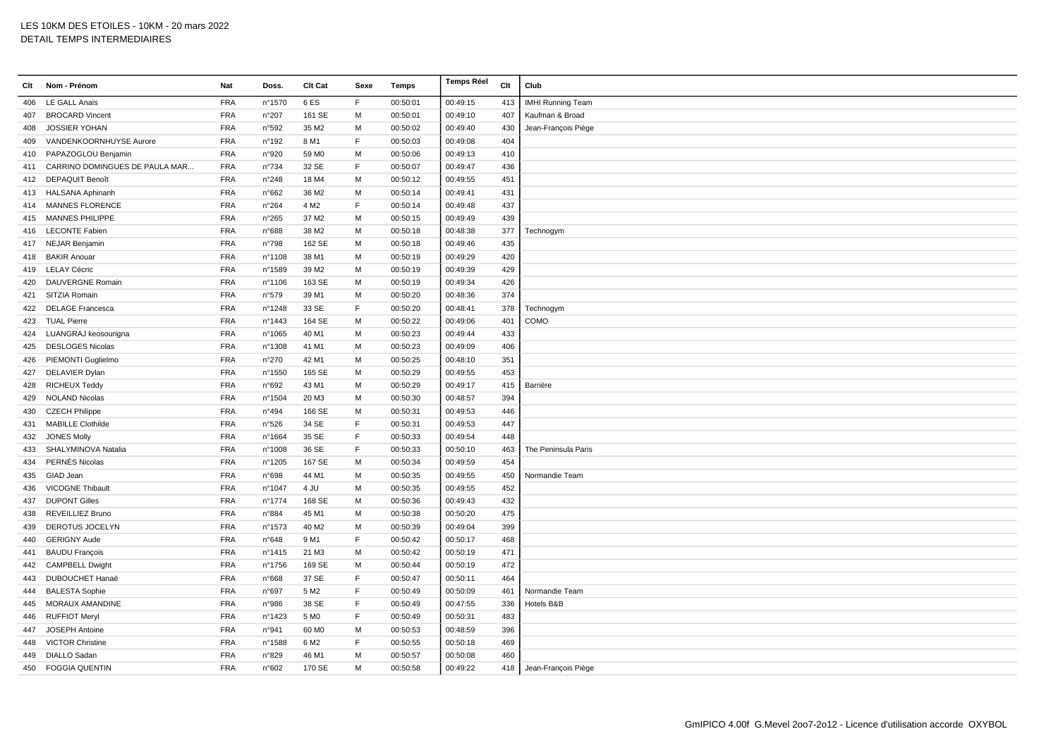| Clt | Nom - Prénom                   | Nat        | Doss.          | Clt Cat           | Sexe | Temps    | <b>Temps Réel</b> | Clt | Club                     |
|-----|--------------------------------|------------|----------------|-------------------|------|----------|-------------------|-----|--------------------------|
| 406 | <b>LE GALL Anaïs</b>           | <b>FRA</b> | n°1570         | 6ES               | F    | 00:50:01 | 00:49:15          | 413 | <b>IMHI Running Team</b> |
| 407 | <b>BROCARD Vincent</b>         | <b>FRA</b> | n°207          | 161 SE            | M    | 00:50:01 | 00:49:10          | 407 | Kaufman & Broad          |
| 408 | <b>JOSSIER YOHAN</b>           | <b>FRA</b> | n°592          | 35 M2             | M    | 00:50:02 | 00:49:40          | 430 | Jean-François Piège      |
| 409 | VANDENKOORNHUYSE Aurore        | <b>FRA</b> | n°192          | 8 M1              | F    | 00:50:03 | 00:49:08          | 404 |                          |
|     | 410 PAPAZOGLOU Benjamin        | <b>FRA</b> | n°920          | 59 M <sub>0</sub> | M    | 00:50:06 | 00:49:13          | 410 |                          |
| 411 | CARRINO DOMINGUES DE PAULA MAR | <b>FRA</b> | $n^{\circ}734$ | 32 SE             | F    | 00:50:07 | 00:49:47          | 436 |                          |
| 412 | <b>DEPAQUIT Benoît</b>         | <b>FRA</b> | n°248          | 18 M4             | M    | 00:50:12 | 00:49:55          | 451 |                          |
| 413 | <b>HALSANA Aphinanh</b>        | <b>FRA</b> | n°662          | 36 M2             | M    | 00:50:14 | 00:49:41          | 431 |                          |
|     | 414 MANNES FLORENCE            | <b>FRA</b> | $n^{\circ}264$ | 4 M <sub>2</sub>  | F    | 00:50:14 | 00:49:48          | 437 |                          |
|     | 415 MANNES PHILIPPE            | <b>FRA</b> | n°265          | 37 M2             | M    | 00:50:15 | 00:49:49          | 439 |                          |
| 416 | <b>LECONTE Fabien</b>          | <b>FRA</b> | n°688          | 38 M2             | M    | 00:50:18 | 00:48:38          | 377 | Technogym                |
|     | 417 NEJAR Benjamin             | <b>FRA</b> | n°798          | 162 SE            | м    | 00:50:18 | 00:49:46          | 435 |                          |
|     | 418 BAKIR Anouar               | <b>FRA</b> | n°1108         | 38 M1             | M    | 00:50:19 | 00:49:29          | 420 |                          |
|     | 419 LELAY Cécric               | <b>FRA</b> | n°1589         | 39 M <sub>2</sub> | M    | 00:50:19 | 00:49:39          | 429 |                          |
| 420 | <b>DAUVERGNE Romain</b>        | <b>FRA</b> | n°1106         | 163 SE            | M    | 00:50:19 | 00:49:34          | 426 |                          |
| 421 | SITZIA Romain                  | <b>FRA</b> | n°579          | 39 M1             | M    | 00:50:20 | 00:48:36          | 374 |                          |
| 422 | <b>DELAGE Francesca</b>        | <b>FRA</b> | nº1248         | 33 SE             | F    | 00:50:20 | 00:48:41          | 378 | Technogym                |
| 423 | <b>TUAL Pierre</b>             | <b>FRA</b> | n°1443         | 164 SE            | M    | 00:50:22 | 00:49:06          | 401 | COMO                     |
| 424 | LUANGRAJ keosourigna           | <b>FRA</b> | n°1065         | 40 M1             | M    | 00:50:23 | 00:49:44          | 433 |                          |
| 425 | <b>DESLOGES Nicolas</b>        | <b>FRA</b> | n°1308         | 41 M1             | M    | 00:50:23 | 00:49:09          | 406 |                          |
|     | 426 PIEMONTI Guglielmo         | <b>FRA</b> | n°270          | 42 M1             | M    | 00:50:25 | 00:48:10          | 351 |                          |
| 427 | <b>DELAVIER Dylan</b>          | <b>FRA</b> | n°1550         | 165 SE            | M    | 00:50:29 | 00:49:55          | 453 |                          |
| 428 | <b>RICHEUX Teddy</b>           | <b>FRA</b> | n°692          | 43 M1             | M    | 00:50:29 | 00:49:17          | 415 | Barrière                 |
|     | 429 NOLAND Nicolas             | <b>FRA</b> | n°1504         | 20 M3             | M    | 00:50:30 | 00:48:57          | 394 |                          |
| 430 | <b>CZECH Philippe</b>          | <b>FRA</b> | n°494          | 166 SE            | М    | 00:50:31 | 00:49:53          | 446 |                          |
| 431 | <b>MABILLE Clothilde</b>       | <b>FRA</b> | n°526          | 34 SE             | F    | 00:50:31 | 00:49:53          | 447 |                          |
| 432 | <b>JONES Molly</b>             | <b>FRA</b> | n°1664         | 35 SE             | F    | 00:50:33 | 00:49:54          | 448 |                          |
| 433 | SHALYMINOVA Natalia            | <b>FRA</b> | n°1008         | 36 SE             | F    | 00:50:33 | 00:50:10          | 463 | The Peninsula Paris      |
| 434 | PERNÈS Nicolas                 | <b>FRA</b> | n°1205         | 167 SE            | M    | 00:50:34 | 00:49:59          | 454 |                          |
| 435 | GIAD Jean                      | <b>FRA</b> | n°698          | 44 M1             | M    | 00:50:35 | 00:49:55          | 450 | Normandie Team           |
| 436 | <b>VICOGNE Thibault</b>        | <b>FRA</b> | nº1047         | 4 JU              | М    | 00:50:35 | 00:49:55          | 452 |                          |
| 437 | <b>DUPONT Gilles</b>           | <b>FRA</b> | n°1774         | 168 SE            | M    | 00:50:36 | 00:49:43          | 432 |                          |
| 438 | <b>REVEILLIEZ Bruno</b>        | <b>FRA</b> | n°884          | 45 M1             | M    | 00:50:38 | 00:50:20          | 475 |                          |
| 439 | DEROTUS JOCELYN                | <b>FRA</b> | n°1573         | 40 M <sub>2</sub> | M    | 00:50:39 | 00:49:04          | 399 |                          |
| 440 | <b>GERIGNY Aude</b>            | <b>FRA</b> | n°648          | 9 M1              | F    | 00:50:42 | 00:50:17          | 468 |                          |
| 441 | <b>BAUDU François</b>          | <b>FRA</b> | n°1415         | 21 M3             | M    | 00:50:42 | 00:50:19          | 471 |                          |
| 442 | <b>CAMPBELL Dwight</b>         | <b>FRA</b> | nº1756         | 169 SE            | M    | 00:50:44 | 00:50:19          | 472 |                          |
| 443 | DUBOUCHET Hanaë                | <b>FRA</b> | n°668          | 37 SE             | F    | 00:50:47 | 00:50:11          | 464 |                          |
| 444 | <b>BALESTA Sophie</b>          | <b>FRA</b> | n°697          | 5 M <sub>2</sub>  | F    | 00:50:49 | 00:50:09          | 461 | Normandie Team           |
| 445 | MORAUX AMANDINE                | <b>FRA</b> | n°986          | 38 SE             | E    | 00:50:49 | 00:47:55          | 336 | Hotels B&B               |
| 446 | <b>RUFFIOT Meryl</b>           | <b>FRA</b> | n°1423         | 5 M <sub>0</sub>  | F    | 00:50:49 | 00:50:31          | 483 |                          |
| 447 | JOSEPH Antoine                 | <b>FRA</b> | n°941          | 60 M <sub>0</sub> | м    | 00:50:53 | 00:48:59          | 396 |                          |
| 448 | <b>VICTOR Christine</b>        | <b>FRA</b> | n°1588         | 6 M2              | E    | 00:50:55 | 00:50:18          | 469 |                          |
| 449 | <b>DIALLO Sadan</b>            | <b>FRA</b> | n°829          | 46 M1             | M    | 00:50:57 | 00:50:08          | 460 |                          |
|     | 450 FOGGIA QUENTIN             | <b>FRA</b> | n°602          | 170 SE            | M    | 00:50:58 | 00:49:22          | 418 | Jean-François Piège      |
|     |                                |            |                |                   |      |          |                   |     |                          |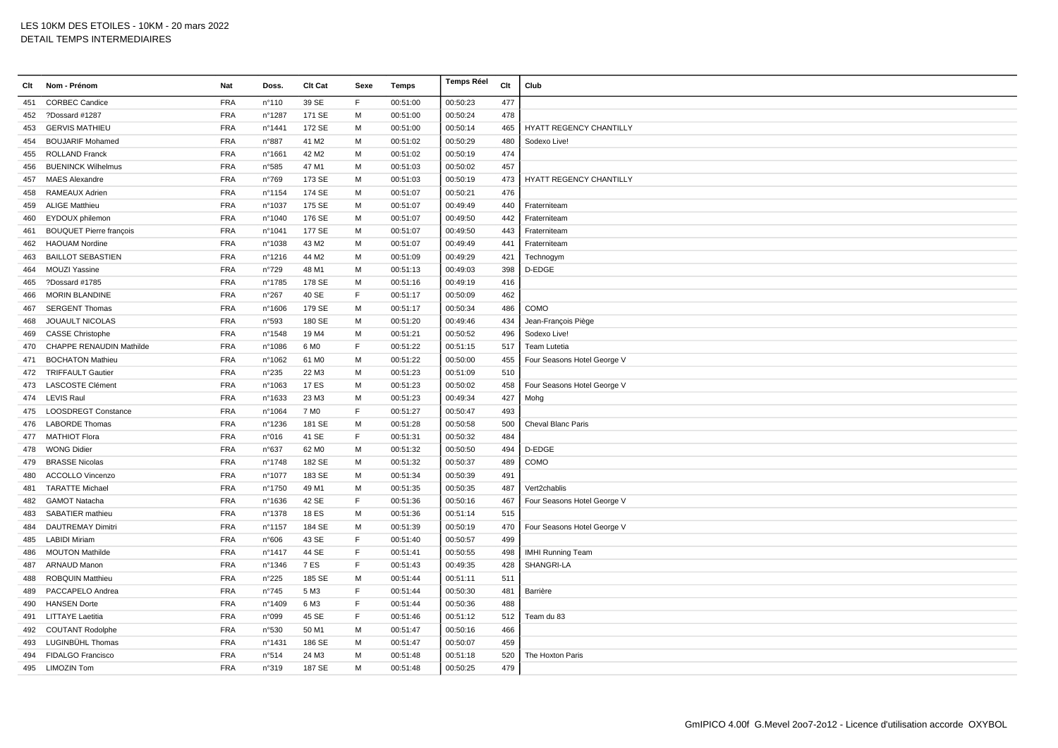| Clt | Nom - Prénom                   | Nat        | Doss.            | Clt Cat           | Sexe        | Temps    | <b>Temps Réel</b> | Clt | Club                        |
|-----|--------------------------------|------------|------------------|-------------------|-------------|----------|-------------------|-----|-----------------------------|
| 451 | <b>CORBEC Candice</b>          | <b>FRA</b> | n°110            | 39 SE             | F           | 00:51:00 | 00:50:23          | 477 |                             |
| 452 | ?Dossard #1287                 | <b>FRA</b> | n°1287           | 171 SE            | M           | 00:51:00 | 00:50:24          | 478 |                             |
| 453 | <b>GERVIS MATHIEU</b>          | <b>FRA</b> | nº1441           | 172 SE            | M           | 00:51:00 | 00:50:14          | 465 | HYATT REGENCY CHANTILLY     |
| 454 | <b>BOUJARIF Mohamed</b>        | <b>FRA</b> | n°887            | 41 M2             | м           | 00:51:02 | 00:50:29          | 480 | Sodexo Live!                |
| 455 | <b>ROLLAND Franck</b>          | <b>FRA</b> | n°1661           | 42 M <sub>2</sub> | M           | 00:51:02 | 00:50:19          | 474 |                             |
| 456 | <b>BUENINCK Wilhelmus</b>      | <b>FRA</b> | n°585            | 47 M1             | M           | 00:51:03 | 00:50:02          | 457 |                             |
| 457 | <b>MAES Alexandre</b>          | <b>FRA</b> | n°769            | 173 SE            | M           | 00:51:03 | 00:50:19          | 473 | HYATT REGENCY CHANTILLY     |
| 458 | <b>RAMEAUX Adrien</b>          | <b>FRA</b> | n°1154           | 174 SE            | M           | 00:51:07 | 00:50:21          | 476 |                             |
| 459 | <b>ALIGE Matthieu</b>          | <b>FRA</b> | nº1037           | 175 SE            | М           | 00:51:07 | 00:49:49          | 440 | Fraterniteam                |
| 460 | EYDOUX philemon                | <b>FRA</b> | nº1040           | 176 SE            | M           | 00:51:07 | 00:49:50          | 442 | Fraterniteam                |
| 461 | <b>BOUQUET Pierre françois</b> | <b>FRA</b> | nº1041           | 177 SE            | M           | 00:51:07 | 00:49:50          | 443 | Fraterniteam                |
| 462 | <b>HAOUAM Nordine</b>          | <b>FRA</b> | n°1038           | 43 M2             | M           | 00:51:07 | 00:49:49          | 441 | Fraterniteam                |
| 463 | <b>BAILLOT SEBASTIEN</b>       | <b>FRA</b> | n°1216           | 44 M2             | M           | 00:51:09 | 00:49:29          | 421 | Technogym                   |
| 464 | <b>MOUZI Yassine</b>           | <b>FRA</b> | n°729            | 48 M1             | М           | 00:51:13 | 00:49:03          | 398 | D-EDGE                      |
| 465 | ?Dossard #1785                 | <b>FRA</b> | n°1785           | 178 SE            | M           | 00:51:16 | 00:49:19          | 416 |                             |
| 466 | <b>MORIN BLANDINE</b>          | <b>FRA</b> | n°267            | 40 SE             | E           | 00:51:17 | 00:50:09          | 462 |                             |
| 467 | <b>SERGENT Thomas</b>          | <b>FRA</b> | n°1606           | 179 SE            | M           | 00:51:17 | 00:50:34          | 486 | COMO                        |
| 468 | <b>JOUAULT NICOLAS</b>         | <b>FRA</b> | n°593            | 180 SE            | M           | 00:51:20 | 00:49:46          | 434 | Jean-François Piège         |
| 469 | <b>CASSE Christophe</b>        | <b>FRA</b> | $n^{\circ}$ 1548 | 19 M4             | M           | 00:51:21 | 00:50:52          | 496 | Sodexo Live!                |
| 470 | CHAPPE RENAUDIN Mathilde       | <b>FRA</b> | n°1086           | 6 M <sub>0</sub>  | $\mathsf F$ | 00:51:22 | 00:51:15          | 517 | Team Lutetia                |
| 471 | <b>BOCHATON Mathieu</b>        | <b>FRA</b> | n°1062           | 61 MO             | м           | 00:51:22 | 00:50:00          | 455 | Four Seasons Hotel George V |
| 472 | <b>TRIFFAULT Gautier</b>       | <b>FRA</b> | $n^{\circ}235$   | 22 M3             | M           | 00:51:23 | 00:51:09          | 510 |                             |
| 473 | <b>LASCOSTE Clément</b>        | <b>FRA</b> | n°1063           | <b>17 ES</b>      | M           | 00:51:23 | 00:50:02          | 458 | Four Seasons Hotel George V |
| 474 | <b>LEVIS Raul</b>              | <b>FRA</b> | n°1633           | 23 M3             | M           | 00:51:23 | 00:49:34          | 427 | Mohg                        |
| 475 | <b>LOOSDREGT Constance</b>     | <b>FRA</b> | n°1064           | 7 M <sub>0</sub>  | $\mathsf F$ | 00:51:27 | 00:50:47          | 493 |                             |
| 476 | <b>LABORDE Thomas</b>          | <b>FRA</b> | n°1236           | 181 SE            | M           | 00:51:28 | 00:50:58          | 500 | Cheval Blanc Paris          |
| 477 | <b>MATHIOT Flora</b>           | <b>FRA</b> | n°016            | 41 SE             | F           | 00:51:31 | 00:50:32          | 484 |                             |
| 478 | <b>WONG Didier</b>             | FRA        | $n^{\circ}637$   | 62 M <sub>0</sub> | M           | 00:51:32 | 00:50:50          | 494 | D-EDGE                      |
| 479 | <b>BRASSE Nicolas</b>          | <b>FRA</b> | n°1748           | 182 SE            | M           | 00:51:32 | 00:50:37          | 489 | COMO                        |
| 480 | <b>ACCOLLO Vincenzo</b>        | <b>FRA</b> | nº1077           | 183 SE            | M           | 00:51:34 | 00:50:39          | 491 |                             |
| 481 | <b>TARATTE Michael</b>         | <b>FRA</b> | n°1750           | 49 M1             | м           | 00:51:35 | 00:50:35          | 487 | Vert2chablis                |
| 482 | <b>GAMOT Natacha</b>           | <b>FRA</b> | n°1636           | 42 SE             | F           | 00:51:36 | 00:50:16          | 467 | Four Seasons Hotel George V |
| 483 | SABATIER mathieu               | <b>FRA</b> | n°1378           | 18 ES             | M           | 00:51:36 | 00:51:14          | 515 |                             |
| 484 | <b>DAUTREMAY Dimitri</b>       | <b>FRA</b> | nº1157           | 184 SE            | M           | 00:51:39 | 00:50:19          | 470 | Four Seasons Hotel George V |
| 485 | <b>LABIDI Miriam</b>           | <b>FRA</b> | n°606            | 43 SE             | F           | 00:51:40 | 00:50:57          | 499 |                             |
| 486 | <b>MOUTON Mathilde</b>         | <b>FRA</b> | nº1417           | 44 SE             | $\mathsf F$ | 00:51:41 | 00:50:55          | 498 | <b>IMHI Running Team</b>    |
| 487 | <b>ARNAUD Manon</b>            | <b>FRA</b> | n°1346           | 7 ES              | F           | 00:51:43 | 00:49:35          | 428 | SHANGRI-LA                  |
| 488 | <b>ROBQUIN Matthieu</b>        | <b>FRA</b> | n°225            | 185 SE            | M           | 00:51:44 | 00:51:11          | 511 |                             |
| 489 | PACCAPELO Andrea               | <b>FRA</b> | $n^{\circ}745$   | 5 M3              | F           | 00:51:44 | 00:50:30          | 481 | Barrière                    |
| 490 | <b>HANSEN Dorte</b>            | <b>FRA</b> | n°1409           | 6 M3              | E           | 00:51:44 | 00:50:36          | 488 |                             |
| 491 | <b>LITTAYE Laetitia</b>        | <b>FRA</b> | n°099            | 45 SE             | F           | 00:51:46 | 00:51:12          | 512 | Team du 83                  |
| 492 | <b>COUTANT Rodolphe</b>        | <b>FRA</b> | n°530            | 50 M1             | M           | 00:51:47 | 00:50:16          | 466 |                             |
| 493 | LUGINBÜHL Thomas               | <b>FRA</b> | n°1431           | 186 SE            | M           | 00:51:47 | 00:50:07          | 459 |                             |
| 494 | <b>FIDALGO Francisco</b>       | <b>FRA</b> | n°514            | 24 M3             | м           | 00:51:48 | 00:51:18          | 520 | The Hoxton Paris            |
|     | 495 LIMOZIN Tom                | <b>FRA</b> | n°319            | 187 SE            | M           | 00:51:48 | 00:50:25          | 479 |                             |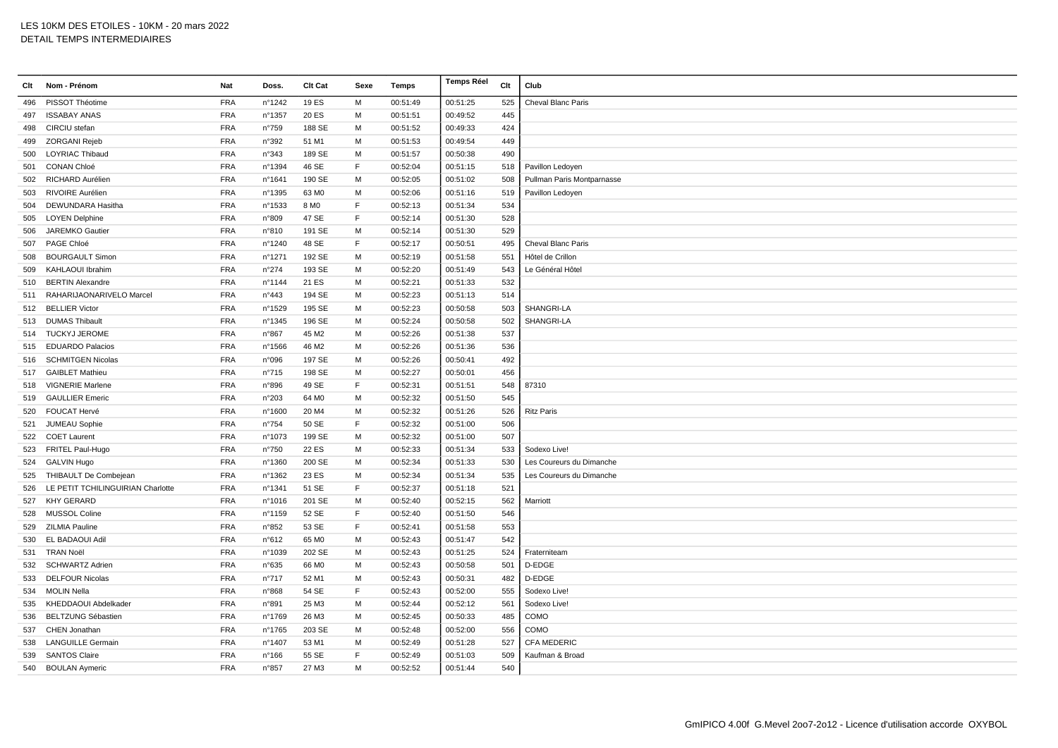| Clt | Nom - Prénom                      | Nat        | Doss.          | Clt Cat           | Sexe | Temps    | <b>Temps Réel</b> | Clt | Club                       |
|-----|-----------------------------------|------------|----------------|-------------------|------|----------|-------------------|-----|----------------------------|
| 496 | PISSOT Théotime                   | <b>FRA</b> | n°1242         | 19 ES             | M    | 00:51:49 | 00:51:25          | 525 | <b>Cheval Blanc Paris</b>  |
| 497 | <b>ISSABAY ANAS</b>               | <b>FRA</b> | n°1357         | 20 ES             | M    | 00:51:51 | 00:49:52          | 445 |                            |
| 498 | CIRCIU stefan                     | <b>FRA</b> | n°759          | 188 SE            | M    | 00:51:52 | 00:49:33          | 424 |                            |
| 499 | ZORGANI Rejeb                     | <b>FRA</b> | n°392          | 51 M1             | M    | 00:51:53 | 00:49:54          | 449 |                            |
| 500 | <b>LOYRIAC Thibaud</b>            | <b>FRA</b> | n°343          | 189 SE            | M    | 00:51:57 | 00:50:38          | 490 |                            |
| 501 | <b>CONAN Chloé</b>                | <b>FRA</b> | n°1394         | 46 SE             | F    | 00:52:04 | 00:51:15          | 518 | Pavillon Ledoyen           |
| 502 | RICHARD Aurélien                  | <b>FRA</b> | nº1641         | 190 SE            | M    | 00:52:05 | 00:51:02          | 508 | Pullman Paris Montparnasse |
| 503 | RIVOIRE Aurélien                  | <b>FRA</b> | n°1395         | 63 MO             | M    | 00:52:06 | 00:51:16          | 519 | Pavillon Ledoyen           |
| 504 | DEWUNDARA Hasitha                 | <b>FRA</b> | n°1533         | 8 M <sub>O</sub>  | E    | 00:52:13 | 00:51:34          | 534 |                            |
| 505 | <b>LOYEN Delphine</b>             | <b>FRA</b> | n°809          | 47 SE             | E    | 00:52:14 | 00:51:30          | 528 |                            |
| 506 | JAREMKO Gautier                   | <b>FRA</b> | n°810          | 191 SE            | M    | 00:52:14 | 00:51:30          | 529 |                            |
| 507 | PAGE Chloé                        | <b>FRA</b> | nº1240         | 48 SE             | F    | 00:52:17 | 00:50:51          | 495 | Cheval Blanc Paris         |
| 508 | <b>BOURGAULT Simon</b>            | <b>FRA</b> | n°1271         | 192 SE            | M    | 00:52:19 | 00:51:58          | 551 | Hôtel de Crillon           |
| 509 | KAHLAOUI Ibrahim                  | <b>FRA</b> | n°274          | 193 SE            | M    | 00:52:20 | 00:51:49          | 543 | Le Général Hôtel           |
| 510 | <b>BERTIN Alexandre</b>           | <b>FRA</b> | n°1144         | 21 ES             | M    | 00:52:21 | 00:51:33          | 532 |                            |
| 511 | RAHARIJAONARIVELO Marcel          | <b>FRA</b> | n°443          | 194 SE            | M    | 00:52:23 | 00:51:13          | 514 |                            |
| 512 | <b>BELLIER Victor</b>             | <b>FRA</b> | n°1529         | 195 SE            | M    | 00:52:23 | 00:50:58          | 503 | SHANGRI-LA                 |
| 513 | <b>DUMAS Thibault</b>             | <b>FRA</b> | nº1345         | 196 SE            | M    | 00:52:24 | 00:50:58          | 502 | SHANGRI-LA                 |
|     | 514 TUCKYJ JEROME                 | <b>FRA</b> | n°867          | 45 M2             | M    | 00:52:26 | 00:51:38          | 537 |                            |
| 515 | <b>EDUARDO Palacios</b>           | <b>FRA</b> | n°1566         | 46 M2             | M    | 00:52:26 | 00:51:36          | 536 |                            |
| 516 | <b>SCHMITGEN Nicolas</b>          | <b>FRA</b> | n°096          | 197 SE            | M    | 00:52:26 | 00:50:41          | 492 |                            |
| 517 | <b>GAIBLET Mathieu</b>            | <b>FRA</b> | n°715          | 198 SE            | M    | 00:52:27 | 00:50:01          | 456 |                            |
| 518 | <b>VIGNERIE Marlene</b>           | <b>FRA</b> | n°896          | 49 SE             | F    | 00:52:31 | 00:51:51          | 548 | 87310                      |
|     | 519 GAULLIER Emeric               | <b>FRA</b> | n°203          | 64 M <sub>0</sub> | M    | 00:52:32 | 00:51:50          | 545 |                            |
| 520 | FOUCAT Hervé                      | <b>FRA</b> | n°1600         | 20 M4             | M    | 00:52:32 | 00:51:26          | 526 | <b>Ritz Paris</b>          |
| 521 | JUMEAU Sophie                     | <b>FRA</b> | $n^{\circ}754$ | 50 SE             | E    | 00:52:32 | 00:51:00          | 506 |                            |
| 522 | <b>COET Laurent</b>               | <b>FRA</b> | n°1073         | 199 SE            | M    | 00:52:32 | 00:51:00          | 507 |                            |
| 523 | FRITEL Paul-Hugo                  | <b>FRA</b> | n°750          | 22 ES             | M    | 00:52:33 | 00:51:34          | 533 | Sodexo Live!               |
|     | 524 GALVIN Hugo                   | <b>FRA</b> | n°1360         | 200 SE            | M    | 00:52:34 | 00:51:33          | 530 | Les Coureurs du Dimanche   |
| 525 | THIBAULT De Combejean             | <b>FRA</b> | n°1362         | 23 ES             | M    | 00:52:34 | 00:51:34          | 535 | Les Coureurs du Dimanche   |
| 526 | LE PETIT TCHILINGUIRIAN Charlotte | <b>FRA</b> | n°1341         | 51 SE             | E    | 00:52:37 | 00:51:18          | 521 |                            |
| 527 | <b>KHY GERARD</b>                 | <b>FRA</b> | n°1016         | 201 SE            | M    | 00:52:40 | 00:52:15          | 562 | Marriott                   |
| 528 | MUSSOL Coline                     | <b>FRA</b> | n°1159         | 52 SE             | F    | 00:52:40 | 00:51:50          | 546 |                            |
| 529 | <b>ZILMIA Pauline</b>             | <b>FRA</b> | n°852          | 53 SE             | F    | 00:52:41 | 00:51:58          | 553 |                            |
| 530 | EL BADAOUI Adil                   | <b>FRA</b> | n°612          | 65 M <sub>0</sub> | M    | 00:52:43 | 00:51:47          | 542 |                            |
| 531 | <b>TRAN Noël</b>                  | <b>FRA</b> | n°1039         | 202 SE            | M    | 00:52:43 | 00:51:25          | 524 | Fraterniteam               |
| 532 | <b>SCHWARTZ Adrien</b>            | <b>FRA</b> | n°635          | 66 M <sub>0</sub> | м    | 00:52:43 | 00:50:58          | 501 | D-EDGE                     |
| 533 | <b>DELFOUR Nicolas</b>            | <b>FRA</b> | $n^{\circ}717$ | 52 M1             | M    | 00:52:43 | 00:50:31          | 482 | D-EDGE                     |
| 534 | MOLIN Nella                       | <b>FRA</b> | n°868          | 54 SE             | F    | 00:52:43 | 00:52:00          | 555 | Sodexo Live!               |
| 535 | KHEDDAOUI Abdelkader              | <b>FRA</b> | n°891          | 25 M3             | M    | 00:52:44 | 00:52:12          | 561 | Sodexo Live!               |
| 536 | <b>BELTZUNG Sébastien</b>         | <b>FRA</b> | n°1769         | 26 M3             | M    | 00:52:45 | 00:50:33          | 485 | COMO                       |
| 537 | CHEN Jonathan                     | <b>FRA</b> | n°1765         | 203 SE            | M    | 00:52:48 | 00:52:00          | 556 | COMO                       |
| 538 | <b>LANGUILLE Germain</b>          | <b>FRA</b> | n°1407         | 53 M1             | M    | 00:52:49 | 00:51:28          | 527 | <b>CFA MEDERIC</b>         |
| 539 | <b>SANTOS Claire</b>              | <b>FRA</b> | $n^{\circ}166$ | 55 SE             | F    | 00:52:49 | 00:51:03          | 509 | Kaufman & Broad            |
|     | 540 BOULAN Aymeric                | <b>FRA</b> | n°857          | 27 M3             | M    | 00:52:52 | 00:51:44          | 540 |                            |
|     |                                   |            |                |                   |      |          |                   |     |                            |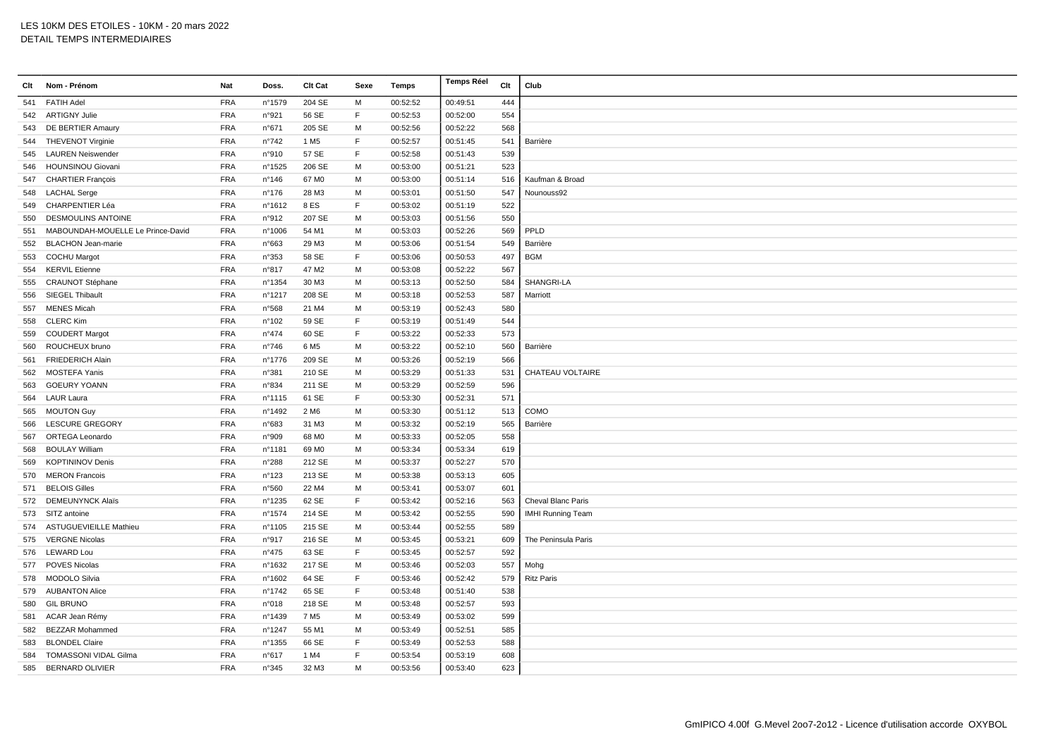| Clt | Nom - Prénom                      | Nat        | Doss.           | Clt Cat           | Sexe        | Temps    | <b>Temps Réel</b> | Clt | Club                     |
|-----|-----------------------------------|------------|-----------------|-------------------|-------------|----------|-------------------|-----|--------------------------|
| 541 | <b>FATIH Adel</b>                 | <b>FRA</b> | n°1579          | 204 SE            | M           | 00:52:52 | 00:49:51          | 444 |                          |
|     | 542 ARTIGNY Julie                 | <b>FRA</b> | n°921           | 56 SE             | F           | 00:52:53 | 00:52:00          | 554 |                          |
| 543 | DE BERTIER Amaury                 | <b>FRA</b> | n°671           | 205 SE            | M           | 00:52:56 | 00:52:22          | 568 |                          |
|     | 544 THEVENOT Virginie             | <b>FRA</b> | $n^{\circ}742$  | 1 M <sub>5</sub>  | E           | 00:52:57 | 00:51:45          | 541 | Barrière                 |
| 545 | <b>LAUREN Neiswender</b>          | <b>FRA</b> | n°910           | 57 SE             | F           | 00:52:58 | 00:51:43          | 539 |                          |
| 546 | <b>HOUNSINOU Giovani</b>          | <b>FRA</b> | n°1525          | 206 SE            | M           | 00:53:00 | 00:51:21          | 523 |                          |
| 547 | <b>CHARTIER François</b>          | <b>FRA</b> | n°146           | 67 M <sub>0</sub> | M           | 00:53:00 | 00:51:14          | 516 | Kaufman & Broad          |
| 548 | <b>LACHAL Serge</b>               | <b>FRA</b> | $n^{\circ}$ 176 | 28 M3             | M           | 00:53:01 | 00:51:50          | 547 | Nounouss92               |
| 549 | CHARPENTIER Léa                   | <b>FRA</b> | n°1612          | 8 ES              | F           | 00:53:02 | 00:51:19          | 522 |                          |
| 550 | <b>DESMOULINS ANTOINE</b>         | <b>FRA</b> | n°912           | 207 SE            | M           | 00:53:03 | 00:51:56          | 550 |                          |
| 551 | MABOUNDAH-MOUELLE Le Prince-David | <b>FRA</b> | n°1006          | 54 M1             | M           | 00:53:03 | 00:52:26          | 569 | PPLD                     |
| 552 | <b>BLACHON Jean-marie</b>         | <b>FRA</b> | n°663           | 29 M3             | м           | 00:53:06 | 00:51:54          | 549 | Barrière                 |
| 553 | <b>COCHU Margot</b>               | <b>FRA</b> | n°353           | 58 SE             | F           | 00:53:06 | 00:50:53          | 497 | <b>BGM</b>               |
| 554 | <b>KERVIL Etienne</b>             | <b>FRA</b> | n°817           | 47 M2             | м           | 00:53:08 | 00:52:22          | 567 |                          |
| 555 | <b>CRAUNOT Stéphane</b>           | <b>FRA</b> | nº1354          | 30 M3             | M           | 00:53:13 | 00:52:50          | 584 | SHANGRI-LA               |
| 556 | SIEGEL Thibault                   | <b>FRA</b> | n°1217          | 208 SE            | M           | 00:53:18 | 00:52:53          | 587 | Marriott                 |
| 557 | <b>MENES Micah</b>                | <b>FRA</b> | n°568           | 21 M4             | м           | 00:53:19 | 00:52:43          | 580 |                          |
| 558 | <b>CLERC Kim</b>                  | <b>FRA</b> | n°102           | 59 SE             | E           | 00:53:19 | 00:51:49          | 544 |                          |
| 559 | <b>COUDERT Margot</b>             | <b>FRA</b> | $n^{\circ}474$  | 60 SE             | $\mathsf F$ | 00:53:22 | 00:52:33          | 573 |                          |
| 560 | ROUCHEUX bruno                    | <b>FRA</b> | n°746           | 6 M <sub>5</sub>  | M           | 00:53:22 | 00:52:10          | 560 | Barrière                 |
| 561 | <b>FRIEDERICH Alain</b>           | <b>FRA</b> | n°1776          | 209 SE            | M           | 00:53:26 | 00:52:19          | 566 |                          |
| 562 | MOSTEFA Yanis                     | <b>FRA</b> | n°381           | 210 SE            | М           | 00:53:29 | 00:51:33          | 531 | CHATEAU VOLTAIRE         |
| 563 | <b>GOEURY YOANN</b>               | <b>FRA</b> | n°834           | 211 SE            | M           | 00:53:29 | 00:52:59          | 596 |                          |
| 564 | <b>LAUR Laura</b>                 | <b>FRA</b> | n°1115          | 61 SE             | F           | 00:53:30 | 00:52:31          | 571 |                          |
| 565 | <b>MOUTON Guy</b>                 | <b>FRA</b> | n°1492          | 2 M <sub>6</sub>  | M           | 00:53:30 | 00:51:12          | 513 | COMO                     |
| 566 | LESCURE GREGORY                   | <b>FRA</b> | n°683           | 31 M3             | M           | 00:53:32 | 00:52:19          | 565 | Barrière                 |
| 567 | ORTEGA Leonardo                   | <b>FRA</b> | n°909           | 68 M <sub>0</sub> | М           | 00:53:33 | 00:52:05          | 558 |                          |
| 568 | <b>BOULAY William</b>             | <b>FRA</b> | n°1181          | 69 MO             | M           | 00:53:34 | 00:53:34          | 619 |                          |
| 569 | <b>KOPTININOV Denis</b>           | <b>FRA</b> | n°288           | 212 SE            | М           | 00:53:37 | 00:52:27          | 570 |                          |
| 570 | <b>MERON Francois</b>             | <b>FRA</b> | n°123           | 213 SE            | M           | 00:53:38 | 00:53:13          | 605 |                          |
| 571 | <b>BELOIS Gilles</b>              | <b>FRA</b> | n°560           | 22 M4             | м           | 00:53:41 | 00:53:07          | 601 |                          |
| 572 | <b>DEMEUNYNCK Alaïs</b>           | <b>FRA</b> | n°1235          | 62 SE             | $\mathsf F$ | 00:53:42 | 00:52:16          | 563 | Cheval Blanc Paris       |
| 573 | SITZ antoine                      | <b>FRA</b> | n°1574          | 214 SE            | M           | 00:53:42 | 00:52:55          | 590 | <b>IMHI Running Team</b> |
|     | 574 ASTUGUEVIEILLE Mathieu        | <b>FRA</b> | n°1105          | 215 SE            | м           | 00:53:44 | 00:52:55          | 589 |                          |
| 575 | <b>VERGNE Nicolas</b>             | <b>FRA</b> | n°917           | 216 SE            | M           | 00:53:45 | 00:53:21          | 609 | The Peninsula Paris      |
|     | 576 LEWARD Lou                    | <b>FRA</b> | $n^{\circ}475$  | 63 SE             | $\mathsf F$ | 00:53:45 | 00:52:57          | 592 |                          |
|     | 577 POVES Nicolas                 | <b>FRA</b> | n°1632          | 217 SE            | M           | 00:53:46 | 00:52:03          | 557 | Mohg                     |
| 578 | <b>MODOLO Silvia</b>              | <b>FRA</b> | n°1602          | 64 SE             | F           | 00:53:46 | 00:52:42          | 579 | <b>Ritz Paris</b>        |
|     | 579 AUBANTON Alice                | <b>FRA</b> | nº1742          | 65 SE             | F           | 00:53:48 | 00:51:40          | 538 |                          |
| 580 | <b>GIL BRUNO</b>                  | <b>FRA</b> | n°018           | 218 SE            | М           | 00:53:48 | 00:52:57          | 593 |                          |
|     | 581 ACAR Jean Rémy                | <b>FRA</b> | n°1439          | 7 M <sub>5</sub>  | м           | 00:53:49 | 00:53:02          | 599 |                          |
| 582 | <b>BEZZAR Mohammed</b>            | <b>FRA</b> | nº1247          | 55 M1             | M           | 00:53:49 | 00:52:51          | 585 |                          |
| 583 | <b>BLONDEL Claire</b>             | <b>FRA</b> | n°1355          | 66 SE             | F           | 00:53:49 | 00:52:53          | 588 |                          |
| 584 | <b>TOMASSONI VIDAL Gilma</b>      | <b>FRA</b> | n°617           | 1 M4              | F           | 00:53:54 | 00:53:19          | 608 |                          |
| 585 | <b>BERNARD OLIVIER</b>            | <b>FRA</b> | n°345           | 32 M3             | M           | 00:53:56 | 00:53:40          | 623 |                          |
|     |                                   |            |                 |                   |             |          |                   |     |                          |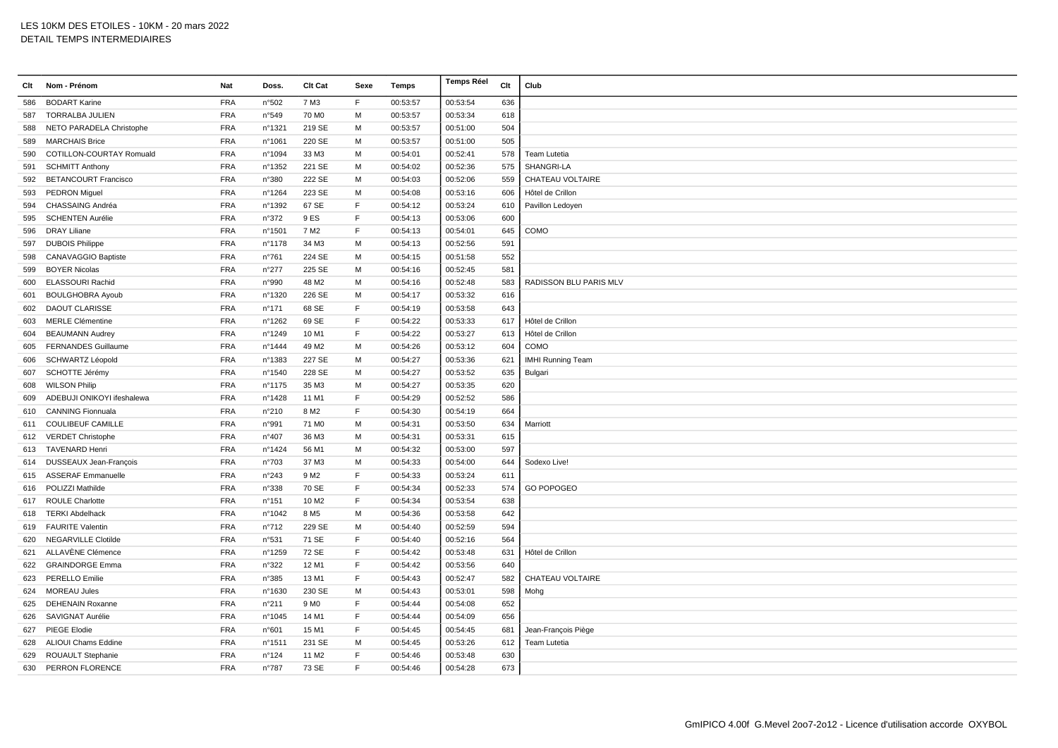| Clt | Nom - Prénom                  | Nat        | Doss.           | Clt Cat           | Sexe | Temps    | <b>Temps Réel</b> | Clt | Club                     |
|-----|-------------------------------|------------|-----------------|-------------------|------|----------|-------------------|-----|--------------------------|
| 586 | <b>BODART Karine</b>          | <b>FRA</b> | n°502           | 7 M3              | F    | 00:53:57 | 00:53:54          | 636 |                          |
| 587 | <b>TORRALBA JULIEN</b>        | <b>FRA</b> | n°549           | 70 M <sub>0</sub> | M    | 00:53:57 | 00:53:34          | 618 |                          |
| 588 | NETO PARADELA Christophe      | <b>FRA</b> | n°1321          | 219 SE            | M    | 00:53:57 | 00:51:00          | 504 |                          |
| 589 | <b>MARCHAIS Brice</b>         | <b>FRA</b> | n°1061          | 220 SE            | M    | 00:53:57 | 00:51:00          | 505 |                          |
| 590 | COTILLON-COURTAY Romuald      | <b>FRA</b> | n°1094          | 33 M3             | M    | 00:54:01 | 00:52:41          | 578 | Team Lutetia             |
| 591 | <b>SCHMITT Anthony</b>        | <b>FRA</b> | n°1352          | 221 SE            | M    | 00:54:02 | 00:52:36          | 575 | SHANGRI-LA               |
| 592 | <b>BETANCOURT Francisco</b>   | <b>FRA</b> | n°380           | 222 SE            | M    | 00:54:03 | 00:52:06          | 559 | CHATEAU VOLTAIRE         |
| 593 | <b>PEDRON Miguel</b>          | <b>FRA</b> | n°1264          | 223 SE            | M    | 00:54:08 | 00:53:16          | 606 | Hôtel de Crillon         |
| 594 | CHASSAING Andréa              | <b>FRA</b> | n°1392          | 67 SE             | F    | 00:54:12 | 00:53:24          | 610 | Pavillon Ledoyen         |
| 595 | <b>SCHENTEN Aurélie</b>       | <b>FRA</b> | n°372           | 9 ES              | E    | 00:54:13 | 00:53:06          | 600 |                          |
| 596 | <b>DRAY Liliane</b>           | <b>FRA</b> | n°1501          | 7 M <sub>2</sub>  | E    | 00:54:13 | 00:54:01          | 645 | COMO                     |
| 597 | <b>DUBOIS Philippe</b>        | <b>FRA</b> | n°1178          | 34 M3             | M    | 00:54:13 | 00:52:56          | 591 |                          |
| 598 | CANAVAGGIO Baptiste           | <b>FRA</b> | n°761           | 224 SE            | M    | 00:54:15 | 00:51:58          | 552 |                          |
| 599 | <b>BOYER Nicolas</b>          | <b>FRA</b> | n°277           | 225 SE            | M    | 00:54:16 | 00:52:45          | 581 |                          |
| 600 | <b>ELASSOURI Rachid</b>       | <b>FRA</b> | n°990           | 48 M2             | M    | 00:54:16 | 00:52:48          | 583 | RADISSON BLU PARIS MLV   |
| 601 | <b>BOULGHOBRA Ayoub</b>       | <b>FRA</b> | n°1320          | 226 SE            | M    | 00:54:17 | 00:53:32          | 616 |                          |
| 602 | <b>DAOUT CLARISSE</b>         | <b>FRA</b> | $n^{\circ}$ 171 | 68 SE             | F    | 00:54:19 | 00:53:58          | 643 |                          |
| 603 | <b>MERLE Clémentine</b>       | <b>FRA</b> | n°1262          | 69 SE             | E    | 00:54:22 | 00:53:33          | 617 | Hôtel de Crillon         |
| 604 | <b>BEAUMANN Audrey</b>        | <b>FRA</b> | n°1249          | 10 M1             | E    | 00:54:22 | 00:53:27          | 613 | Hôtel de Crillon         |
| 605 | <b>FERNANDES Guillaume</b>    | <b>FRA</b> | n°1444          | 49 M <sub>2</sub> | M    | 00:54:26 | 00:53:12          | 604 | COMO                     |
| 606 | <b>SCHWARTZ Léopold</b>       | <b>FRA</b> | n°1383          | 227 SE            | M    | 00:54:27 | 00:53:36          | 621 | <b>IMHI Running Team</b> |
| 607 | SCHOTTE Jérémy                | <b>FRA</b> | n°1540          | 228 SE            | M    | 00:54:27 | 00:53:52          | 635 | Bulgari                  |
| 608 | <b>WILSON Philip</b>          | <b>FRA</b> | nº1175          | 35 M3             | M    | 00:54:27 | 00:53:35          | 620 |                          |
| 609 | ADEBUJI ONIKOYI ifeshalewa    | <b>FRA</b> | n°1428          | 11 M1             | E    | 00:54:29 | 00:52:52          | 586 |                          |
| 610 | <b>CANNING Fionnuala</b>      | <b>FRA</b> | n°210           | 8 M <sub>2</sub>  | E    | 00:54:30 | 00:54:19          | 664 |                          |
| 611 | <b>COULIBEUF CAMILLE</b>      | <b>FRA</b> | n°991           | 71 M <sub>0</sub> | M    | 00:54:31 | 00:53:50          | 634 | Marriott                 |
|     | 612 VERDET Christophe         | <b>FRA</b> | n°407           | 36 M3             | M    | 00:54:31 | 00:53:31          | 615 |                          |
| 613 | <b>TAVENARD Henri</b>         | <b>FRA</b> | n°1424          | 56 M1             | M    | 00:54:32 | 00:53:00          | 597 |                          |
| 614 | <b>DUSSEAUX Jean-François</b> | <b>FRA</b> | n°703           | 37 M3             | M    | 00:54:33 | 00:54:00          | 644 | Sodexo Live!             |
| 615 | <b>ASSERAF Emmanuelle</b>     | <b>FRA</b> | n°243           | 9 M <sub>2</sub>  | F    | 00:54:33 | 00:53:24          | 611 |                          |
|     | 616 POLIZZI Mathilde          | <b>FRA</b> | n°338           | 70 SE             | E    | 00:54:34 | 00:52:33          | 574 | <b>GO POPOGEO</b>        |
|     | 617 ROULE Charlotte           | <b>FRA</b> | n°151           | 10 M <sub>2</sub> | E    | 00:54:34 | 00:53:54          | 638 |                          |
| 618 | <b>TERKI Abdelhack</b>        | <b>FRA</b> | n°1042          | 8 M <sub>5</sub>  | M    | 00:54:36 | 00:53:58          | 642 |                          |
|     | 619 FAURITE Valentin          | <b>FRA</b> | n°712           | 229 SE            | M    | 00:54:40 | 00:52:59          | 594 |                          |
| 620 | <b>NEGARVILLE Clotilde</b>    | <b>FRA</b> | n°531           | 71 SE             | E    | 00:54:40 | 00:52:16          | 564 |                          |
| 621 | ALLAVÈNE Clémence             | <b>FRA</b> | n°1259          | 72 SE             | E    | 00:54:42 | 00:53:48          | 631 | Hôtel de Crillon         |
| 622 | <b>GRAINDORGE Emma</b>        | <b>FRA</b> | n°322           | 12 M1             | E    | 00:54:42 | 00:53:56          | 640 |                          |
|     | 623 PERELLO Emilie            | <b>FRA</b> | n°385           | 13 M1             | E    | 00:54:43 | 00:52:47          | 582 | CHATEAU VOLTAIRE         |
| 624 | <b>MOREAU Jules</b>           | <b>FRA</b> | n°1630          | 230 SE            | M    | 00:54:43 | 00:53:01          | 598 | Mohg                     |
| 625 | <b>DEHENAIN Roxanne</b>       | <b>FRA</b> | n°211           | 9 M <sub>0</sub>  | E    | 00:54:44 | 00:54:08          | 652 |                          |
| 626 | SAVIGNAT Aurélie              | <b>FRA</b> | n°1045          | 14 M1             | E    | 00:54:44 | 00:54:09          | 656 |                          |
| 627 | <b>PIEGE Elodie</b>           | <b>FRA</b> | n°601           | 15 M1             | E    | 00:54:45 | 00:54:45          | 681 | Jean-François Piège      |
|     | 628 ALIOUI Chams Eddine       | <b>FRA</b> | n°1511          | 231 SE            | M    | 00:54:45 | 00:53:26          | 612 | Team Lutetia             |
| 629 | <b>ROUAULT Stephanie</b>      | <b>FRA</b> | n°124           | 11 M <sub>2</sub> | E    | 00:54:46 | 00:53:48          | 630 |                          |
|     | 630 PERRON FLORENCE           | <b>FRA</b> | $n^{\circ}787$  | 73 SE             | F    | 00:54:46 | 00:54:28          | 673 |                          |
|     |                               |            |                 |                   |      |          |                   |     |                          |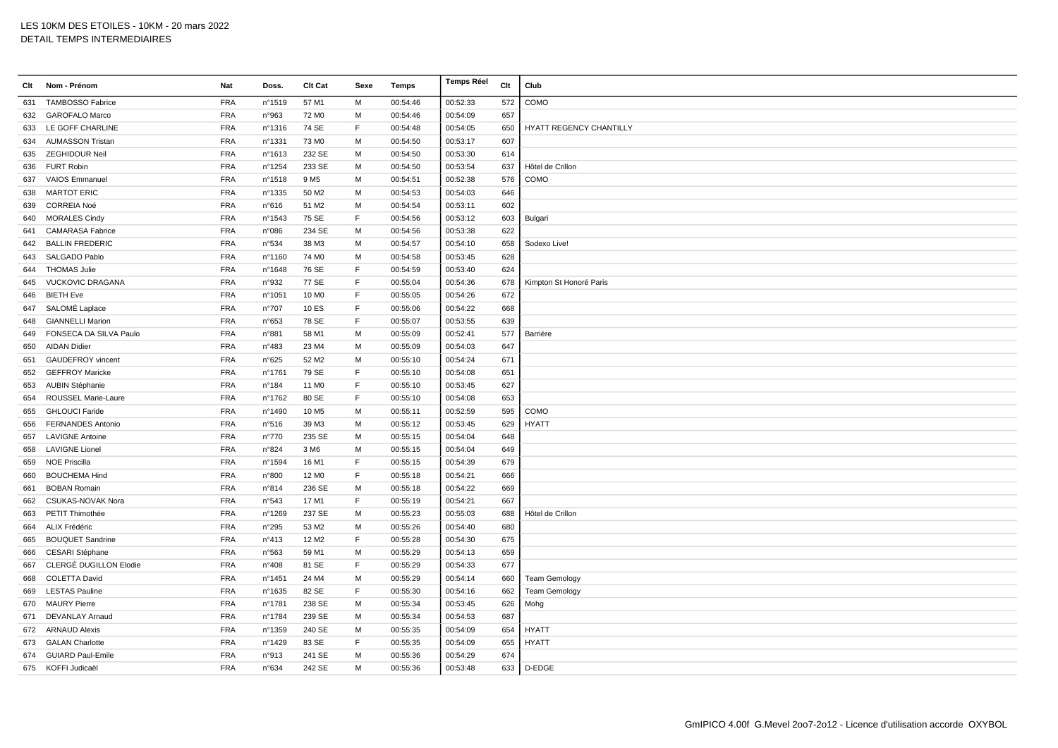| Clt | Nom - Prénom             | Nat        | Doss.  | Clt Cat           | Sexe        | <b>Temps</b> | <b>Temps Réel</b> | Clt | Club                           |
|-----|--------------------------|------------|--------|-------------------|-------------|--------------|-------------------|-----|--------------------------------|
| 631 | <b>TAMBOSSO Fabrice</b>  | <b>FRA</b> | n°1519 | 57 M1             | M           | 00:54:46     | 00:52:33          | 572 | COMO                           |
| 632 | <b>GAROFALO Marco</b>    | <b>FRA</b> | n°963  | 72 M <sub>0</sub> | M           | 00:54:46     | 00:54:09          | 657 |                                |
| 633 | LE GOFF CHARLINE         | <b>FRA</b> | nº1316 | 74 SE             | E           | 00:54:48     | 00:54:05          | 650 | <b>HYATT REGENCY CHANTILLY</b> |
| 634 | <b>AUMASSON Tristan</b>  | <b>FRA</b> | n°1331 | 73 M <sub>0</sub> | M           | 00:54:50     | 00:53:17          | 607 |                                |
| 635 | ZEGHIDOUR Neil           | <b>FRA</b> | nº1613 | 232 SE            | M           | 00:54:50     | 00:53:30          | 614 |                                |
| 636 | <b>FURT Robin</b>        | <b>FRA</b> | n°1254 | 233 SE            | M           | 00:54:50     | 00:53:54          | 637 | Hôtel de Crillon               |
| 637 | <b>VAIOS Emmanuel</b>    | <b>FRA</b> | n°1518 | 9 M <sub>5</sub>  | M           | 00:54:51     | 00:52:38          | 576 | COMO                           |
| 638 | <b>MARTOT ERIC</b>       | <b>FRA</b> | n°1335 | 50 M <sub>2</sub> | M           | 00:54:53     | 00:54:03          | 646 |                                |
| 639 | <b>CORREIA Noé</b>       | <b>FRA</b> | n°616  | 51 M2             | M           | 00:54:54     | 00:53:11          | 602 |                                |
| 640 | <b>MORALES Cindy</b>     | <b>FRA</b> | n°1543 | 75 SE             | F           | 00:54:56     | 00:53:12          | 603 | Bulgari                        |
| 641 | <b>CAMARASA Fabrice</b>  | <b>FRA</b> | n°086  | 234 SE            | M           | 00:54:56     | 00:53:38          | 622 |                                |
| 642 | <b>BALLIN FREDERIC</b>   | <b>FRA</b> | n°534  | 38 M3             | M           | 00:54:57     | 00:54:10          | 658 | Sodexo Live!                   |
| 643 | SALGADO Pablo            | <b>FRA</b> | n°1160 | 74 M <sub>0</sub> | M           | 00:54:58     | 00:53:45          | 628 |                                |
|     | 644 THOMAS Julie         | <b>FRA</b> | n°1648 | 76 SE             | E           | 00:54:59     | 00:53:40          | 624 |                                |
| 645 | <b>VUCKOVIC DRAGANA</b>  | <b>FRA</b> | n°932  | 77 SE             | F           | 00:55:04     | 00:54:36          | 678 | Kimpton St Honoré Paris        |
| 646 | <b>BIETH Eve</b>         | <b>FRA</b> | n°1051 | 10 M <sub>0</sub> | F           | 00:55:05     | 00:54:26          | 672 |                                |
| 647 | SALOMÉ Laplace           | <b>FRA</b> | n°707  | 10 ES             | F           | 00:55:06     | 00:54:22          | 668 |                                |
| 648 | <b>GIANNELLI Marion</b>  | <b>FRA</b> | n°653  | 78 SE             | F           | 00:55:07     | 00:53:55          | 639 |                                |
| 649 | FONSECA DA SILVA Paulo   | <b>FRA</b> | n°881  | 58 M1             | M           | 00:55:09     | 00:52:41          | 577 | Barrière                       |
| 650 | <b>AIDAN Didier</b>      | <b>FRA</b> | n°483  | 23 M4             | M           | 00:55:09     | 00:54:03          | 647 |                                |
| 651 | <b>GAUDEFROY</b> vincent | <b>FRA</b> | n°625  | 52 M2             | M           | 00:55:10     | 00:54:24          | 671 |                                |
| 652 | <b>GEFFROY Maricke</b>   | <b>FRA</b> | n°1761 | 79 SE             | F           | 00:55:10     | 00:54:08          | 651 |                                |
| 653 | <b>AUBIN Stéphanie</b>   | <b>FRA</b> | n°184  | 11 M <sub>0</sub> | E           | 00:55:10     | 00:53:45          | 627 |                                |
| 654 | ROUSSEL Marie-Laure      | <b>FRA</b> | n°1762 | 80 SE             | $\mathsf F$ | 00:55:10     | 00:54:08          | 653 |                                |
| 655 | <b>GHLOUCI Faride</b>    | <b>FRA</b> | n°1490 | 10 M <sub>5</sub> | M           | 00:55:11     | 00:52:59          | 595 | COMO                           |
| 656 | <b>FERNANDES Antonio</b> | <b>FRA</b> | n°516  | 39 M3             | M           | 00:55:12     | 00:53:45          | 629 | <b>HYATT</b>                   |
| 657 | <b>LAVIGNE Antoine</b>   | <b>FRA</b> | n°770  | 235 SE            | M           | 00:55:15     | 00:54:04          | 648 |                                |
| 658 | <b>LAVIGNE Lionel</b>    | <b>FRA</b> | n°824  | 3 M <sub>6</sub>  | M           | 00:55:15     | 00:54:04          | 649 |                                |
| 659 | <b>NOE Priscilla</b>     | <b>FRA</b> | n°1594 | 16 M1             | F           | 00:55:15     | 00:54:39          | 679 |                                |
| 660 | <b>BOUCHEMA Hind</b>     | <b>FRA</b> | n°800  | 12 M <sub>0</sub> | $\mathsf F$ | 00:55:18     | 00:54:21          | 666 |                                |
| 661 | <b>BOBAN Romain</b>      | <b>FRA</b> | n°814  | 236 SE            | M           | 00:55:18     | 00:54:22          | 669 |                                |
| 662 | <b>CSUKAS-NOVAK Nora</b> | <b>FRA</b> | n°543  | 17 M1             | F           | 00:55:19     | 00:54:21          | 667 |                                |
| 663 | PETIT Thimothée          | <b>FRA</b> | n°1269 | 237 SE            | M           | 00:55:23     | 00:55:03          | 688 | Hôtel de Crillon               |
| 664 | ALIX Frédéric            | <b>FRA</b> | n°295  | 53 M2             | M           | 00:55:26     | 00:54:40          | 680 |                                |
| 665 | <b>BOUQUET Sandrine</b>  | <b>FRA</b> | n°413  | 12 M <sub>2</sub> | F           | 00:55:28     | 00:54:30          | 675 |                                |
| 666 | CESARI Stéphane          | <b>FRA</b> | n°563  | 59 M1             | M           | 00:55:29     | 00:54:13          | 659 |                                |
| 667 | CLERGÉ DUGILLON Elodie   | <b>FRA</b> | n°408  | 81 SE             | E           | 00:55:29     | 00:54:33          | 677 |                                |
| 668 | <b>COLETTA David</b>     | <b>FRA</b> | n°1451 | 24 M4             | M           | 00:55:29     | 00:54:14          | 660 | <b>Team Gemology</b>           |
| 669 | <b>LESTAS Pauline</b>    | <b>FRA</b> | n°1635 | 82 SE             | F           | 00:55:30     | 00:54:16          | 662 | <b>Team Gemology</b>           |
| 670 | <b>MAURY Pierre</b>      | <b>FRA</b> | n°1781 | 238 SE            | M           | 00:55:34     | 00:53:45          | 626 | Mohg                           |
| 671 | DEVANLAY Arnaud          | <b>FRA</b> | n°1784 | 239 SE            | M           | 00:55:34     | 00:54:53          | 687 |                                |
|     | 672 ARNAUD Alexis        | <b>FRA</b> | n°1359 | 240 SE            | M           | 00:55:35     | 00:54:09          | 654 | <b>HYATT</b>                   |
|     | 673 GALAN Charlotte      | <b>FRA</b> | n°1429 | 83 SE             | F           | 00:55:35     | 00:54:09          | 655 | <b>HYATT</b>                   |
| 674 | <b>GUIARD Paul-Emile</b> | <b>FRA</b> | n°913  | 241 SE            | M           | 00:55:36     | 00:54:29          | 674 |                                |
|     | 675 KOFFI Judicaël       | <b>FRA</b> | n°634  | 242 SE            | M           | 00:55:36     | 00:53:48          |     | 633   D-EDGE                   |
|     |                          |            |        |                   |             |              |                   |     |                                |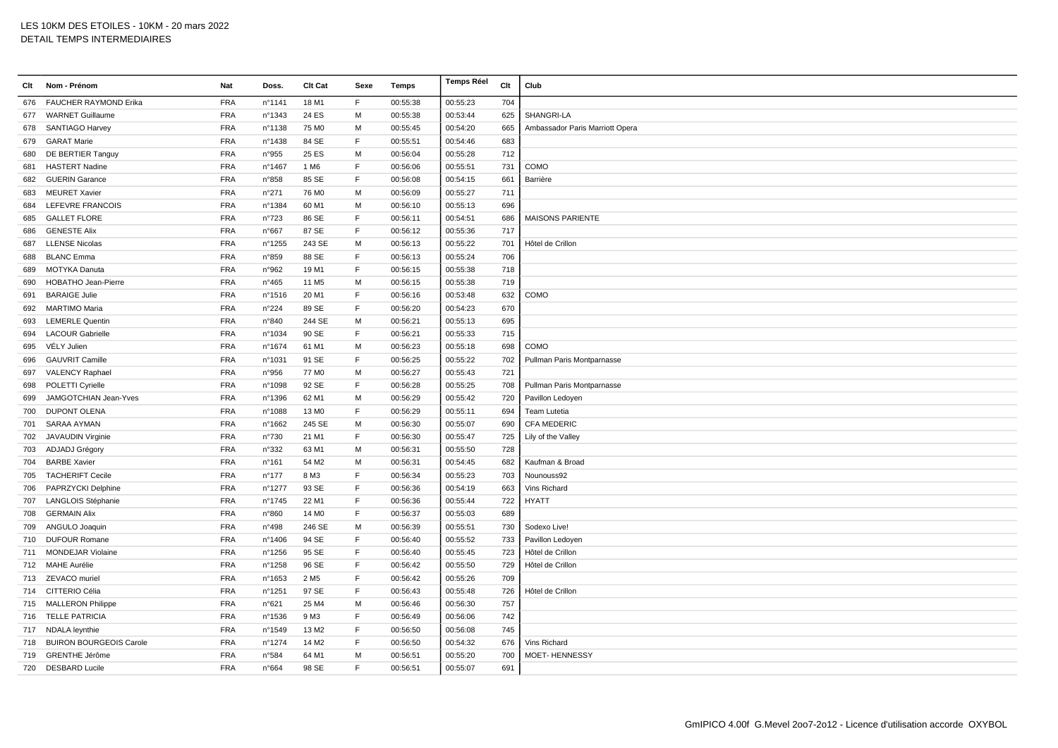| Clt | Nom - Prénom                 | Nat        | Doss.           | Clt Cat           | Sexe         | <b>Temps</b> | <b>Temps Réel</b> | Clt | Club                            |
|-----|------------------------------|------------|-----------------|-------------------|--------------|--------------|-------------------|-----|---------------------------------|
| 676 | <b>FAUCHER RAYMOND Erika</b> | <b>FRA</b> | n°1141          | 18 M1             | F            | 00:55:38     | 00:55:23          | 704 |                                 |
| 677 | <b>WARNET Guillaume</b>      | <b>FRA</b> | n°1343          | 24 ES             | M            | 00:55:38     | 00:53:44          | 625 | SHANGRI-LA                      |
| 678 | SANTIAGO Harvey              | <b>FRA</b> | nº1138          | 75 M <sub>0</sub> | M            | 00:55:45     | 00:54:20          | 665 | Ambassador Paris Marriott Opera |
| 679 | <b>GARAT Marie</b>           | <b>FRA</b> | n°1438          | 84 SE             | $\mathsf{F}$ | 00:55:51     | 00:54:46          | 683 |                                 |
| 680 | DE BERTIER Tanguy            | <b>FRA</b> | n°955           | 25 ES             | M            | 00:56:04     | 00:55:28          | 712 |                                 |
| 681 | <b>HASTERT Nadine</b>        | <b>FRA</b> | n°1467          | 1 M <sub>6</sub>  | F            | 00:56:06     | 00:55:51          | 731 | COMO                            |
| 682 | <b>GUERIN Garance</b>        | <b>FRA</b> | n°858           | 85 SE             | F            | 00:56:08     | 00:54:15          | 661 | Barrière                        |
| 683 | <b>MEURET Xavier</b>         | <b>FRA</b> | n°271           | 76 M <sub>0</sub> | M            | 00:56:09     | 00:55:27          | 711 |                                 |
| 684 | LEFEVRE FRANCOIS             | <b>FRA</b> | n°1384          | 60 M1             | м            | 00:56:10     | 00:55:13          | 696 |                                 |
| 685 | <b>GALLET FLORE</b>          | <b>FRA</b> | n°723           | 86 SE             | $\mathsf{F}$ | 00:56:11     | 00:54:51          | 686 | <b>MAISONS PARIENTE</b>         |
| 686 | <b>GENESTE Alix</b>          | <b>FRA</b> | n°667           | 87 SE             | $\mathsf F$  | 00:56:12     | 00:55:36          | 717 |                                 |
| 687 | <b>LLENSE Nicolas</b>        | <b>FRA</b> | n°1255          | 243 SE            | M            | 00:56:13     | 00:55:22          | 701 | Hôtel de Crillon                |
| 688 | <b>BLANC Emma</b>            | <b>FRA</b> | n°859           | 88 SE             | F            | 00:56:13     | 00:55:24          | 706 |                                 |
| 689 | MOTYKA Danuta                | <b>FRA</b> | n°962           | 19 M1             | $\mathsf{F}$ | 00:56:15     | 00:55:38          | 718 |                                 |
| 690 | <b>HOBATHO Jean-Pierre</b>   | <b>FRA</b> | $n^{\circ}465$  | 11 M <sub>5</sub> | M            | 00:56:15     | 00:55:38          | 719 |                                 |
| 691 | <b>BARAIGE Julie</b>         | <b>FRA</b> | n°1516          | 20 M1             | $\mathsf F$  | 00:56:16     | 00:53:48          | 632 | COMO                            |
| 692 | <b>MARTIMO Maria</b>         | <b>FRA</b> | n°224           | 89 SE             | F            | 00:56:20     | 00:54:23          | 670 |                                 |
| 693 | <b>LEMERLE Quentin</b>       | <b>FRA</b> | n°840           | 244 SE            | M            | 00:56:21     | 00:55:13          | 695 |                                 |
| 694 | <b>LACOUR Gabrielle</b>      | <b>FRA</b> | n°1034          | 90 SE             | $\mathsf{F}$ | 00:56:21     | 00:55:33          | 715 |                                 |
| 695 | VÉLY Julien                  | <b>FRA</b> | n°1674          | 61 M1             | M            | 00:56:23     | 00:55:18          | 698 | COMO                            |
| 696 | <b>GAUVRIT Camille</b>       | <b>FRA</b> | n°1031          | 91 SE             | $\mathsf{F}$ | 00:56:25     | 00:55:22          | 702 | Pullman Paris Montparnasse      |
| 697 | VALENCY Raphael              | <b>FRA</b> | n°956           | 77 M <sub>0</sub> | M            | 00:56:27     | 00:55:43          | 721 |                                 |
| 698 | POLETTI Cyrielle             | <b>FRA</b> | n°1098          | 92 SE             | E            | 00:56:28     | 00:55:25          | 708 | Pullman Paris Montparnasse      |
| 699 | JAMGOTCHIAN Jean-Yves        | <b>FRA</b> | n°1396          | 62 M1             | M            | 00:56:29     | 00:55:42          | 720 | Pavillon Ledoyen                |
| 700 | <b>DUPONT OLENA</b>          | <b>FRA</b> | n°1088          | 13 M <sub>0</sub> | $\mathsf F$  | 00:56:29     | 00:55:11          | 694 | Team Lutetia                    |
| 701 | SARAA AYMAN                  | <b>FRA</b> | n°1662          | 245 SE            | M            | 00:56:30     | 00:55:07          | 690 | <b>CFA MEDERIC</b>              |
| 702 | JAVAUDIN Virginie            | <b>FRA</b> | n°730           | 21 M1             | E            | 00:56:30     | 00:55:47          | 725 | Lily of the Valley              |
| 703 | ADJADJ Grégory               | <b>FRA</b> | n°332           | 63 M1             | M            | 00:56:31     | 00:55:50          | 728 |                                 |
|     | 704 BARBE Xavier             | <b>FRA</b> | $n^{\circ}161$  | 54 M2             | M            | 00:56:31     | 00:54:45          | 682 | Kaufman & Broad                 |
| 705 | <b>TACHERIFT Cecile</b>      | <b>FRA</b> | $n^{\circ}$ 177 | 8 M3              | F            | 00:56:34     | 00:55:23          | 703 | Nounouss92                      |
|     | 706 PAPRZYCKI Delphine       | <b>FRA</b> | n°1277          | 93 SE             | F            | 00:56:36     | 00:54:19          | 663 | Vins Richard                    |
| 707 | <b>LANGLOIS Stéphanie</b>    | <b>FRA</b> | n°1745          | 22 M1             | $\mathsf{F}$ | 00:56:36     | 00:55:44          | 722 | <b>HYATT</b>                    |
| 708 | <b>GERMAIN Alix</b>          | <b>FRA</b> | n°860           | 14 M <sub>0</sub> | E            | 00:56:37     | 00:55:03          | 689 |                                 |
| 709 | ANGULO Joaquin               | <b>FRA</b> | n°498           | 246 SE            | M            | 00:56:39     | 00:55:51          | 730 | Sodexo Live!                    |
| 710 | <b>DUFOUR Romane</b>         | <b>FRA</b> | n°1406          | 94 SE             | $\mathsf{F}$ | 00:56:40     | 00:55:52          | 733 | Pavillon Ledoyen                |
| 711 | <b>MONDEJAR Violaine</b>     | <b>FRA</b> | n°1256          | 95 SE             | $\mathsf F$  | 00:56:40     | 00:55:45          | 723 | Hôtel de Crillon                |
|     | 712 MAHE Aurélie             | <b>FRA</b> | n°1258          | 96 SE             | $\mathsf{F}$ | 00:56:42     | 00:55:50          | 729 | Hôtel de Crillon                |
|     | 713 ZEVACO muriel            | <b>FRA</b> | n°1653          | 2 M <sub>5</sub>  | E            | 00:56:42     | 00:55:26          | 709 |                                 |
| 714 | CITTERIO Célia               | <b>FRA</b> | n°1251          | 97 SE             | F            | 00:56:43     | 00:55:48          | 726 | Hôtel de Crillon                |
|     | 715 MALLERON Philippe        | <b>FRA</b> | n°621           | 25 M4             | M            | 00:56:46     | 00:56:30          | 757 |                                 |
|     | 716 TELLE PATRICIA           | <b>FRA</b> | n°1536          | 9 M3              | $\mathsf F$  | 00:56:49     | 00:56:06          | 742 |                                 |
|     | 717 NDALA leynthie           | <b>FRA</b> | n°1549          | 13 M <sub>2</sub> | $\mathsf F$  | 00:56:50     | 00:56:08          | 745 |                                 |
|     | 718 BUIRON BOURGEOIS Carole  | <b>FRA</b> | n°1274          | 14 M <sub>2</sub> | $\mathsf{F}$ | 00:56:50     | 00:54:32          | 676 | Vins Richard                    |
| 719 | <b>GRENTHE Jérôme</b>        | <b>FRA</b> | n°584           | 64 M1             | M            | 00:56:51     | 00:55:20          | 700 | <b>MOET- HENNESSY</b>           |
|     | 720 DESBARD Lucile           | <b>FRA</b> | n°664           | 98 SE             | F            | 00:56:51     | 00:55:07          | 691 |                                 |
|     |                              |            |                 |                   |              |              |                   |     |                                 |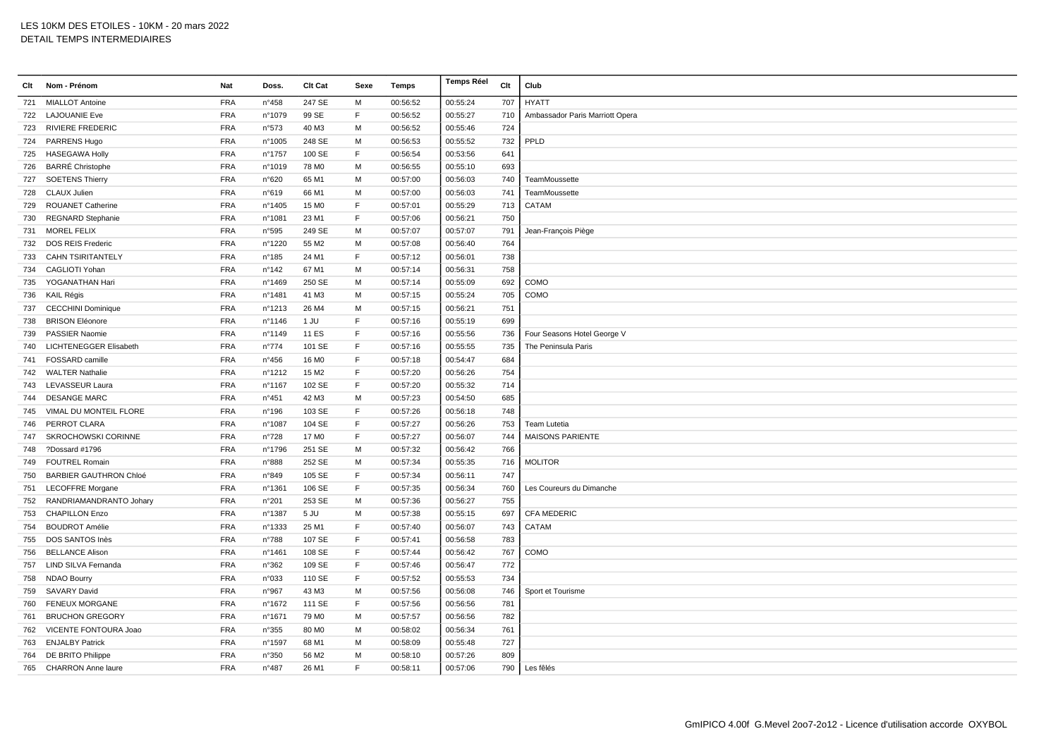| Clt | Nom - Prénom                  | Nat        | Doss.          | Clt Cat           | Sexe         | Temps    | <b>Temps Réel</b> | Clt | Club                            |
|-----|-------------------------------|------------|----------------|-------------------|--------------|----------|-------------------|-----|---------------------------------|
| 721 | <b>MIALLOT Antoine</b>        | <b>FRA</b> | $n^{\circ}458$ | 247 SE            | M            | 00:56:52 | 00:55:24          | 707 | <b>HYATT</b>                    |
|     | 722 LAJOUANIE Eve             | <b>FRA</b> | n°1079         | 99 SE             | F            | 00:56:52 | 00:55:27          | 710 | Ambassador Paris Marriott Opera |
| 723 | <b>RIVIERE FREDERIC</b>       | <b>FRA</b> | n°573          | 40 M3             | M            | 00:56:52 | 00:55:46          | 724 |                                 |
|     | 724 PARRENS Hugo              | <b>FRA</b> | n°1005         | 248 SE            | M            | 00:56:53 | 00:55:52          | 732 | PPLD                            |
| 725 | <b>HASEGAWA Holly</b>         | <b>FRA</b> | n°1757         | 100 SE            | E            | 00:56:54 | 00:53:56          | 641 |                                 |
| 726 | <b>BARRÉ Christophe</b>       | <b>FRA</b> | n°1019         | 78 M <sub>0</sub> | M            | 00:56:55 | 00:55:10          | 693 |                                 |
| 727 | <b>SOETENS Thierry</b>        | <b>FRA</b> | n°620          | 65 M1             | M            | 00:57:00 | 00:56:03          | 740 | TeamMoussette                   |
| 728 | CLAUX Julien                  | <b>FRA</b> | n°619          | 66 M1             | M            | 00:57:00 | 00:56:03          | 741 | TeamMoussette                   |
| 729 | <b>ROUANET Catherine</b>      | <b>FRA</b> | n°1405         | 15 M <sub>0</sub> | E            | 00:57:01 | 00:55:29          | 713 | CATAM                           |
| 730 | <b>REGNARD Stephanie</b>      | <b>FRA</b> | n°1081         | 23 M1             | E            | 00:57:06 | 00:56:21          | 750 |                                 |
| 731 | <b>MOREL FELIX</b>            | <b>FRA</b> | n°595          | 249 SE            | M            | 00:57:07 | 00:57:07          | 791 | Jean-François Piège             |
| 732 | <b>DOS REIS Frederic</b>      | <b>FRA</b> | n°1220         | 55 M2             | M            | 00:57:08 | 00:56:40          | 764 |                                 |
| 733 | <b>CAHN TSIRITANTELY</b>      | <b>FRA</b> | n°185          | 24 M1             | F            | 00:57:12 | 00:56:01          | 738 |                                 |
| 734 | CAGLIOTI Yohan                | <b>FRA</b> | n°142          | 67 M1             | M            | 00:57:14 | 00:56:31          | 758 |                                 |
| 735 | YOGANATHAN Hari               | <b>FRA</b> | n°1469         | 250 SE            | M            | 00:57:14 | 00:55:09          | 692 | COMO                            |
| 736 | KAIL Régis                    | <b>FRA</b> | n°1481         | 41 M3             | M            | 00:57:15 | 00:55:24          | 705 | COMO                            |
| 737 | <b>CECCHINI Dominique</b>     | <b>FRA</b> | n°1213         | 26 M4             | M            | 00:57:15 | 00:56:21          | 751 |                                 |
| 738 | <b>BRISON Eléonore</b>        | <b>FRA</b> | n°1146         | $1$ JU            | E            | 00:57:16 | 00:55:19          | 699 |                                 |
| 739 | <b>PASSIER Naomie</b>         | <b>FRA</b> | n°1149         | 11 ES             | E            | 00:57:16 | 00:55:56          | 736 | Four Seasons Hotel George V     |
| 740 | LICHTENEGGER Elisabeth        | <b>FRA</b> | $n^{\circ}774$ | 101 SE            | E            | 00:57:16 | 00:55:55          | 735 | The Peninsula Paris             |
| 741 | FOSSARD camille               | <b>FRA</b> | n°456          | 16 M <sub>0</sub> | E            | 00:57:18 | 00:54:47          | 684 |                                 |
| 742 | <b>WALTER Nathalie</b>        | <b>FRA</b> | n°1212         | 15 M2             | $\mathsf F$  | 00:57:20 | 00:56:26          | 754 |                                 |
| 743 | LEVASSEUR Laura               | <b>FRA</b> | n°1167         | 102 SE            | F            | 00:57:20 | 00:55:32          | 714 |                                 |
| 744 | <b>DESANGE MARC</b>           | <b>FRA</b> | n°451          | 42 M3             | M            | 00:57:23 | 00:54:50          | 685 |                                 |
| 745 | VIMAL DU MONTEIL FLORE        | <b>FRA</b> | n°196          | 103 SE            | E            | 00:57:26 | 00:56:18          | 748 |                                 |
| 746 | PERROT CLARA                  | <b>FRA</b> | n°1087         | 104 SE            | E            | 00:57:27 | 00:56:26          | 753 | Team Lutetia                    |
| 747 | <b>SKROCHOWSKI CORINNE</b>    | <b>FRA</b> | n°728          | 17 M <sub>0</sub> | F            | 00:57:27 | 00:56:07          | 744 | <b>MAISONS PARIENTE</b>         |
| 748 | ?Dossard #1796                | <b>FRA</b> | n°1796         | 251 SE            | M            | 00:57:32 | 00:56:42          | 766 |                                 |
|     | 749 FOUTREL Romain            | <b>FRA</b> | n°888          | 252 SE            | M            | 00:57:34 | 00:55:35          | 716 | <b>MOLITOR</b>                  |
| 750 | <b>BARBIER GAUTHRON Chloé</b> | <b>FRA</b> | n°849          | 105 SE            | $\mathsf F$  | 00:57:34 | 00:56:11          | 747 |                                 |
| 751 | <b>LECOFFRE Morgane</b>       | <b>FRA</b> | n°1361         | 106 SE            | E            | 00:57:35 | 00:56:34          | 760 | Les Coureurs du Dimanche        |
| 752 | RANDRIAMANDRANTO Johary       | <b>FRA</b> | n°201          | 253 SE            | M            | 00:57:36 | 00:56:27          | 755 |                                 |
| 753 | <b>CHAPILLON Enzo</b>         | <b>FRA</b> | n°1387         | 5 JU              | M            | 00:57:38 | 00:55:15          | 697 | <b>CFA MEDERIC</b>              |
| 754 | <b>BOUDROT Amélie</b>         | <b>FRA</b> | n°1333         | 25 M1             | F.           | 00:57:40 | 00:56:07          | 743 | CATAM                           |
| 755 | DOS SANTOS Inès               | <b>FRA</b> | n°788          | 107 SE            | E            | 00:57:41 | 00:56:58          | 783 |                                 |
| 756 | <b>BELLANCE Alison</b>        | <b>FRA</b> | n°1461         | 108 SE            | F            | 00:57:44 | 00:56:42          | 767 | COMO                            |
| 757 | LIND SILVA Fernanda           | <b>FRA</b> | n°362          | 109 SE            | E            | 00:57:46 | 00:56:47          | 772 |                                 |
| 758 | <b>NDAO Bourry</b>            | <b>FRA</b> | n°033          | 110 SE            | $\mathsf F$  | 00:57:52 | 00:55:53          | 734 |                                 |
| 759 | SAVARY David                  | <b>FRA</b> | n°967          | 43 M3             | M            | 00:57:56 | 00:56:08          | 746 | Sport et Tourisme               |
| 760 | <b>FENEUX MORGANE</b>         | <b>FRA</b> | n°1672         | 111 SE            | F            | 00:57:56 | 00:56:56          | 781 |                                 |
| 761 | <b>BRUCHON GREGORY</b>        | <b>FRA</b> | n°1671         | 79 M <sub>0</sub> | M            | 00:57:57 | 00:56:56          | 782 |                                 |
| 762 | VICENTE FONTOURA Joao         | <b>FRA</b> | n°355          | 80 MO             | M            | 00:58:02 | 00:56:34          | 761 |                                 |
| 763 | <b>ENJALBY Patrick</b>        | <b>FRA</b> | n°1597         | 68 M1             | M            | 00:58:09 | 00:55:48          | 727 |                                 |
| 764 | DE BRITO Philippe             | <b>FRA</b> | n°350          | 56 M2             | м            | 00:58:10 | 00:57:26          | 809 |                                 |
|     | 765 CHARRON Anne laure        | <b>FRA</b> | $n^{\circ}487$ | 26 M1             | $\mathsf{F}$ | 00:58:11 | 00:57:06          | 790 | Les fêlés                       |
|     |                               |            |                |                   |              |          |                   |     |                                 |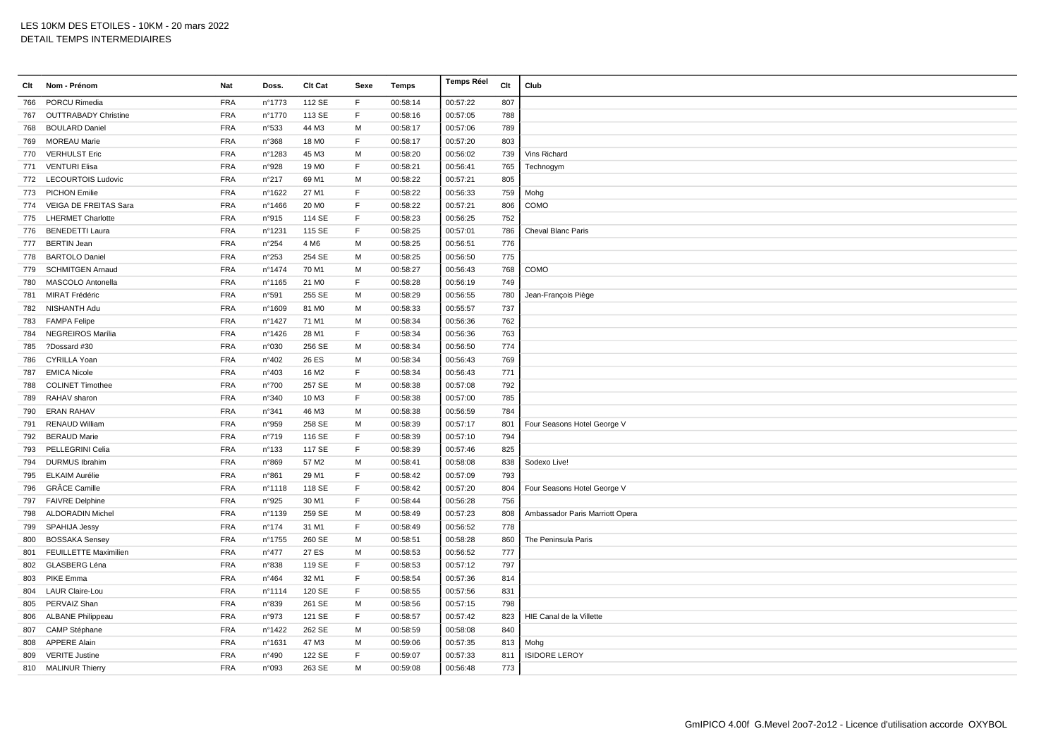| Clt | Nom - Prénom                 | Nat        | Doss.          | Clt Cat           | Sexe         | Temps    | <b>Temps Réel</b> | Clt | Club                            |
|-----|------------------------------|------------|----------------|-------------------|--------------|----------|-------------------|-----|---------------------------------|
| 766 | PORCU Rimedia                | <b>FRA</b> | n°1773         | 112 SE            | F            | 00:58:14 | 00:57:22          | 807 |                                 |
| 767 | <b>OUTTRABADY Christine</b>  | <b>FRA</b> | n°1770         | 113 SE            | F            | 00:58:16 | 00:57:05          | 788 |                                 |
| 768 | <b>BOULARD Daniel</b>        | <b>FRA</b> | n°533          | 44 M3             | М            | 00:58:17 | 00:57:06          | 789 |                                 |
| 769 | <b>MOREAU Marie</b>          | <b>FRA</b> | n°368          | 18 M <sub>0</sub> | F            | 00:58:17 | 00:57:20          | 803 |                                 |
| 770 | <b>VERHULST Eric</b>         | <b>FRA</b> | n°1283         | 45 M3             | м            | 00:58:20 | 00:56:02          | 739 | Vins Richard                    |
|     | 771 VENTURI Elisa            | <b>FRA</b> | n°928          | 19 MO             | E            | 00:58:21 | 00:56:41          | 765 | Technogym                       |
| 772 | <b>LECOURTOIS Ludovic</b>    | <b>FRA</b> | n°217          | 69 M1             | M            | 00:58:22 | 00:57:21          | 805 |                                 |
| 773 | <b>PICHON Emilie</b>         | <b>FRA</b> | n°1622         | 27 M1             | $\mathsf{F}$ | 00:58:22 | 00:56:33          | 759 | Mohg                            |
| 774 | VEIGA DE FREITAS Sara        | <b>FRA</b> | n°1466         | 20 M <sub>0</sub> | $\mathsf F$  | 00:58:22 | 00:57:21          | 806 | COMO                            |
| 775 | <b>LHERMET Charlotte</b>     | <b>FRA</b> | n°915          | 114 SE            | $\mathsf F$  | 00:58:23 | 00:56:25          | 752 |                                 |
| 776 | <b>BENEDETTI Laura</b>       | <b>FRA</b> | nº1231         | 115 SE            | $\mathsf F$  | 00:58:25 | 00:57:01          | 786 | Cheval Blanc Paris              |
| 777 | <b>BERTIN Jean</b>           | <b>FRA</b> | n°254          | 4 M <sub>6</sub>  | M            | 00:58:25 | 00:56:51          | 776 |                                 |
| 778 | <b>BARTOLO Daniel</b>        | <b>FRA</b> | n°253          | 254 SE            | M            | 00:58:25 | 00:56:50          | 775 |                                 |
| 779 | <b>SCHMITGEN Arnaud</b>      | <b>FRA</b> | n°1474         | 70 M1             | M            | 00:58:27 | 00:56:43          | 768 | COMO                            |
| 780 | MASCOLO Antonella            | <b>FRA</b> | n°1165         | 21 M <sub>0</sub> | E            | 00:58:28 | 00:56:19          | 749 |                                 |
| 781 | MIRAT Frédéric               | <b>FRA</b> | n°591          | 255 SE            | м            | 00:58:29 | 00:56:55          | 780 | Jean-François Piège             |
| 782 | NISHANTH Adu                 | <b>FRA</b> | n°1609         | 81 MO             | M            | 00:58:33 | 00:55:57          | 737 |                                 |
| 783 | <b>FAMPA Felipe</b>          | <b>FRA</b> | n°1427         | 71 M1             | M            | 00:58:34 | 00:56:36          | 762 |                                 |
| 784 | NEGREIROS Marília            | <b>FRA</b> | n°1426         | 28 M1             | F            | 00:58:34 | 00:56:36          | 763 |                                 |
| 785 | ?Dossard #30                 | <b>FRA</b> | n°030          | 256 SE            | M            | 00:58:34 | 00:56:50          | 774 |                                 |
| 786 | CYRILLA Yoan                 | <b>FRA</b> | n°402          | 26 ES             | M            | 00:58:34 | 00:56:43          | 769 |                                 |
| 787 | <b>EMICA Nicole</b>          | <b>FRA</b> | n°403          | 16 M <sub>2</sub> | $\mathsf F$  | 00:58:34 | 00:56:43          | 771 |                                 |
| 788 | <b>COLINET Timothee</b>      | <b>FRA</b> | n°700          | 257 SE            | M            | 00:58:38 | 00:57:08          | 792 |                                 |
| 789 | RAHAV sharon                 | <b>FRA</b> | n°340          | 10 M3             | F            | 00:58:38 | 00:57:00          | 785 |                                 |
| 790 | <b>ERAN RAHAV</b>            | FRA        | n°341          | 46 M3             | M            | 00:58:38 | 00:56:59          | 784 |                                 |
| 791 | <b>RENAUD William</b>        | <b>FRA</b> | n°959          | 258 SE            | M            | 00:58:39 | 00:57:17          | 801 | Four Seasons Hotel George V     |
| 792 | <b>BERAUD Marie</b>          | <b>FRA</b> | n°719          | 116 SE            | E            | 00:58:39 | 00:57:10          | 794 |                                 |
| 793 | PELLEGRINI Celia             | <b>FRA</b> | n°133          | 117 SE            | $\mathsf F$  | 00:58:39 | 00:57:46          | 825 |                                 |
| 794 | <b>DURMUS Ibrahim</b>        | <b>FRA</b> | n°869          | 57 M2             | M            | 00:58:41 | 00:58:08          | 838 | Sodexo Live!                    |
| 795 | <b>ELKAIM Aurélie</b>        | <b>FRA</b> | n°861          | 29 M1             | $\mathsf F$  | 00:58:42 | 00:57:09          | 793 |                                 |
| 796 | <b>GRÂCE Camille</b>         | <b>FRA</b> | n°1118         | 118 SE            | $\mathsf F$  | 00:58:42 | 00:57:20          | 804 | Four Seasons Hotel George V     |
| 797 | <b>FAIVRE Delphine</b>       | <b>FRA</b> | n°925          | 30 M1             | E            | 00:58:44 | 00:56:28          | 756 |                                 |
| 798 | <b>ALDORADIN Michel</b>      | <b>FRA</b> | n°1139         | 259 SE            | M            | 00:58:49 | 00:57:23          | 808 | Ambassador Paris Marriott Opera |
| 799 | SPAHIJA Jessy                | <b>FRA</b> | n°174          | 31 M1             | F            | 00:58:49 | 00:56:52          | 778 |                                 |
| 800 | <b>BOSSAKA Sensey</b>        | <b>FRA</b> | n°1755         | 260 SE            | M            | 00:58:51 | 00:58:28          | 860 | The Peninsula Paris             |
| 801 | <b>FEUILLETTE Maximilien</b> | <b>FRA</b> | $n^{\circ}477$ | 27 ES             | M            | 00:58:53 | 00:56:52          | 777 |                                 |
| 802 | <b>GLASBERG Léna</b>         | <b>FRA</b> | n°838          | 119 SE            | $\mathsf F$  | 00:58:53 | 00:57:12          | 797 |                                 |
| 803 | <b>PIKE Emma</b>             | <b>FRA</b> | $n^{\circ}464$ | 32 M1             | F            | 00:58:54 | 00:57:36          | 814 |                                 |
| 804 | <b>LAUR Claire-Lou</b>       | <b>FRA</b> | n°1114         | 120 SE            | F            | 00:58:55 | 00:57:56          | 831 |                                 |
| 805 | PERVAIZ Shan                 | <b>FRA</b> | n°839          | 261 SE            | M            | 00:58:56 | 00:57:15          | 798 |                                 |
| 806 | <b>ALBANE Philippeau</b>     | <b>FRA</b> | n°973          | 121 SE            | F            | 00:58:57 | 00:57:42          | 823 | HIE Canal de la Villette        |
| 807 | CAMP Stéphane                | <b>FRA</b> | n°1422         | 262 SE            | M            | 00:58:59 | 00:58:08          | 840 |                                 |
| 808 | <b>APPERE Alain</b>          | <b>FRA</b> | n°1631         | 47 M3             | м            | 00:59:06 | 00:57:35          | 813 | Mohg                            |
| 809 | <b>VERITE Justine</b>        | <b>FRA</b> | n°490          | 122 SE            | $\mathsf F$  | 00:59:07 | 00:57:33          | 811 | <b>ISIDORE LEROY</b>            |
|     | 810 MALINUR Thierry          | <b>FRA</b> | n°093          | 263 SE            | M            | 00:59:08 | 00:56:48          | 773 |                                 |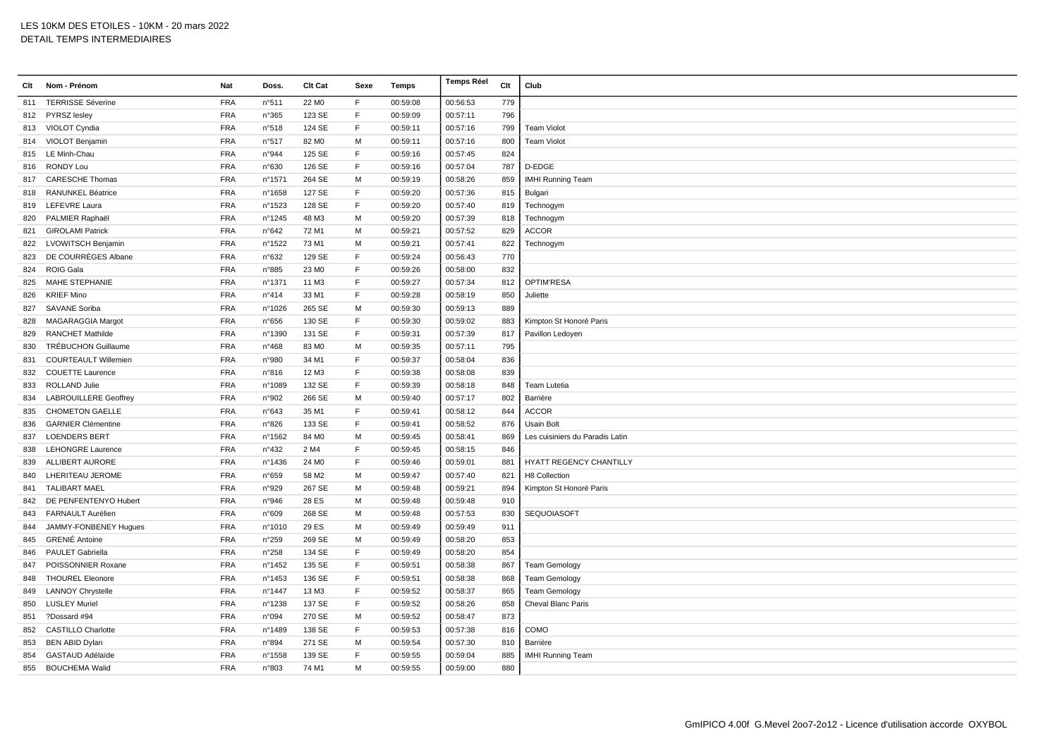| Clt | Nom - Prénom                 | Nat        | Doss.          | <b>Clt Cat</b>    | Sexe        | Temps    | <b>Temps Réel</b> | Clt | Club                            |
|-----|------------------------------|------------|----------------|-------------------|-------------|----------|-------------------|-----|---------------------------------|
|     | 811 TERRISSE Séverine        | <b>FRA</b> | n°511          | 22 M <sub>0</sub> | E           | 00:59:08 | 00:56:53          | 779 |                                 |
|     | 812 PYRSZ lesley             | <b>FRA</b> | n°365          | 123 SE            | F           | 00:59:09 | 00:57:11          | 796 |                                 |
|     | 813 VIOLOT Cyndia            | <b>FRA</b> | n°518          | 124 SE            | F           | 00:59:11 | 00:57:16          | 799 | <b>Team Violot</b>              |
|     | 814 VIOLOT Benjamin          | <b>FRA</b> | n°517          | 82 M <sub>0</sub> | м           | 00:59:11 | 00:57:16          | 800 | <b>Team Violot</b>              |
| 815 | LE Minh-Chau                 | <b>FRA</b> | n°944          | 125 SE            | $\mathsf F$ | 00:59:16 | 00:57:45          | 824 |                                 |
|     | 816 RONDY Lou                | <b>FRA</b> | n°630          | 126 SE            | E           | 00:59:16 | 00:57:04          | 787 | D-EDGE                          |
| 817 | <b>CARESCHE Thomas</b>       | <b>FRA</b> | n°1571         | 264 SE            | M           | 00:59:19 | 00:58:26          | 859 | <b>IMHI Running Team</b>        |
| 818 | RANUNKEL Béatrice            | <b>FRA</b> | n°1658         | 127 SE            | F           | 00:59:20 | 00:57:36          | 815 | Bulgari                         |
|     | 819 LEFEVRE Laura            | <b>FRA</b> | n°1523         | 128 SE            | F           | 00:59:20 | 00:57:40          | 819 | Technogym                       |
| 820 | PALMIER Raphaël              | <b>FRA</b> | n°1245         | 48 M3             | м           | 00:59:20 | 00:57:39          | 818 | Technogym                       |
| 821 | <b>GIROLAMI Patrick</b>      | <b>FRA</b> | n°642          | 72 M1             | м           | 00:59:21 | 00:57:52          | 829 | <b>ACCOR</b>                    |
| 822 | <b>LVOWITSCH Benjamin</b>    | <b>FRA</b> | n°1522         | 73 M1             | M           | 00:59:21 | 00:57:41          | 822 | Technogym                       |
| 823 | DE COURRÈGES Albane          | <b>FRA</b> | n°632          | 129 SE            | F           | 00:59:24 | 00:56:43          | 770 |                                 |
| 824 | <b>ROIG Gala</b>             | <b>FRA</b> | n°885          | 23 MO             | F           | 00:59:26 | 00:58:00          | 832 |                                 |
| 825 | MAHE STEPHANIE               | <b>FRA</b> | nº1371         | 11 M3             | F           | 00:59:27 | 00:57:34          | 812 | OPTIM'RESA                      |
| 826 | <b>KRIEF Mino</b>            | <b>FRA</b> | $n^{\circ}414$ | 33 M1             | F           | 00:59:28 | 00:58:19          | 850 | Juliette                        |
| 827 | <b>SAVANE Soriba</b>         | <b>FRA</b> | n°1026         | 265 SE            | M           | 00:59:30 | 00:59:13          | 889 |                                 |
| 828 | MAGARAGGIA Margot            | FRA        | $n^{\circ}656$ | 130 SE            | E           | 00:59:30 | 00:59:02          | 883 | Kimpton St Honoré Paris         |
| 829 | <b>RANCHET Mathilde</b>      | <b>FRA</b> | n°1390         | 131 SE            | F           | 00:59:31 | 00:57:39          | 817 | Pavillon Ledoyen                |
| 830 | TRÉBUCHON Guillaume          | <b>FRA</b> | $n^{\circ}468$ | 83 MO             | м           | 00:59:35 | 00:57:11          | 795 |                                 |
| 831 | <b>COURTEAULT Willemien</b>  | <b>FRA</b> | n°980          | 34 M1             | E           | 00:59:37 | 00:58:04          | 836 |                                 |
| 832 | <b>COUETTE Laurence</b>      | <b>FRA</b> | n°816          | 12 M3             | F           | 00:59:38 | 00:58:08          | 839 |                                 |
| 833 | <b>ROLLAND Julie</b>         | <b>FRA</b> | n°1089         | 132 SE            | E           | 00:59:39 | 00:58:18          | 848 | Team Lutetia                    |
| 834 | <b>LABROUILLERE Geoffrey</b> | <b>FRA</b> | n°902          | 266 SE            | M           | 00:59:40 | 00:57:17          | 802 | Barrière                        |
| 835 | <b>CHOMETON GAELLE</b>       | <b>FRA</b> | $n^{\circ}643$ | 35 M1             | F           | 00:59:41 | 00:58:12          | 844 | <b>ACCOR</b>                    |
| 836 | <b>GARNIER Clémentine</b>    | <b>FRA</b> | n°826          | 133 SE            | F           | 00:59:41 | 00:58:52          | 876 | <b>Usain Bolt</b>               |
| 837 | <b>LOENDERS BERT</b>         | <b>FRA</b> | nº1562         | 84 M <sub>0</sub> | м           | 00:59:45 | 00:58:41          | 869 | Les cuisiniers du Paradis Latin |
| 838 | <b>LEHONGRE Laurence</b>     | <b>FRA</b> | $n^{\circ}432$ | 2 M4              | F           | 00:59:45 | 00:58:15          | 846 |                                 |
| 839 | <b>ALLIBERT AURORE</b>       | <b>FRA</b> | n°1436         | 24 M <sub>0</sub> | E           | 00:59:46 | 00:59:01          | 881 | <b>HYATT REGENCY CHANTILLY</b>  |
| 840 | LHERITEAU JEROME             | <b>FRA</b> | n°659          | 58 M2             | M           | 00:59:47 | 00:57:40          | 821 | H8 Collection                   |
| 841 | <b>TALIBART MAEL</b>         | <b>FRA</b> | n°929          | 267 SE            | M           | 00:59:48 | 00:59:21          | 894 | Kimpton St Honoré Paris         |
| 842 | DE PENFENTENYO Hubert        | <b>FRA</b> | n°946          | 28 ES             | M           | 00:59:48 | 00:59:48          | 910 |                                 |
| 843 | FARNAULT Aurélien            | <b>FRA</b> | n°609          | 268 SE            | м           | 00:59:48 | 00:57:53          | 830 | SEQUOIASOFT                     |
| 844 | JAMMY-FONBENEY Hugues        | <b>FRA</b> | n°1010         | 29 ES             | M           | 00:59:49 | 00:59:49          | 911 |                                 |
| 845 | <b>GRENIÉ Antoine</b>        | <b>FRA</b> | n°259          | 269 SE            | м           | 00:59:49 | 00:58:20          | 853 |                                 |
| 846 | PAULET Gabriella             | <b>FRA</b> | n°258          | 134 SE            | F           | 00:59:49 | 00:58:20          | 854 |                                 |
| 847 | POISSONNIER Roxane           | <b>FRA</b> | n°1452         | 135 SE            | F           | 00:59:51 | 00:58:38          | 867 | <b>Team Gemology</b>            |
| 848 | <b>THOUREL Eleonore</b>      | <b>FRA</b> | n°1453         | 136 SE            | F           | 00:59:51 | 00:58:38          | 868 | <b>Team Gemology</b>            |
| 849 | <b>LANNOY Chrystelle</b>     | <b>FRA</b> | n°1447         | 13 M3             | F           | 00:59:52 | 00:58:37          | 865 | <b>Team Gemology</b>            |
| 850 | <b>LUSLEY Muriel</b>         | <b>FRA</b> | n°1238         | 137 SE            | F           | 00:59:52 | 00:58:26          | 858 | Cheval Blanc Paris              |
| 851 | ?Dossard #94                 | <b>FRA</b> | n°094          | 270 SE            | M           | 00:59:52 | 00:58:47          | 873 |                                 |
| 852 | <b>CASTILLO Charlotte</b>    | <b>FRA</b> | n°1489         | 138 SE            | F           | 00:59:53 | 00:57:38          | 816 | COMO                            |
| 853 | <b>BEN ABID Dylan</b>        | <b>FRA</b> | n°894          | 271 SE            | M           | 00:59:54 | 00:57:30          | 810 | Barrière                        |
| 854 | GASTAUD Adélaïde             | <b>FRA</b> | n°1558         | 139 SE            | E           | 00:59:55 | 00:59:04          | 885 | <b>IMHI Running Team</b>        |
|     | 855 BOUCHEMA Walid           | <b>FRA</b> | n°803          | 74 M1             | M           | 00:59:55 | 00:59:00          | 880 |                                 |
|     |                              |            |                |                   |             |          |                   |     |                                 |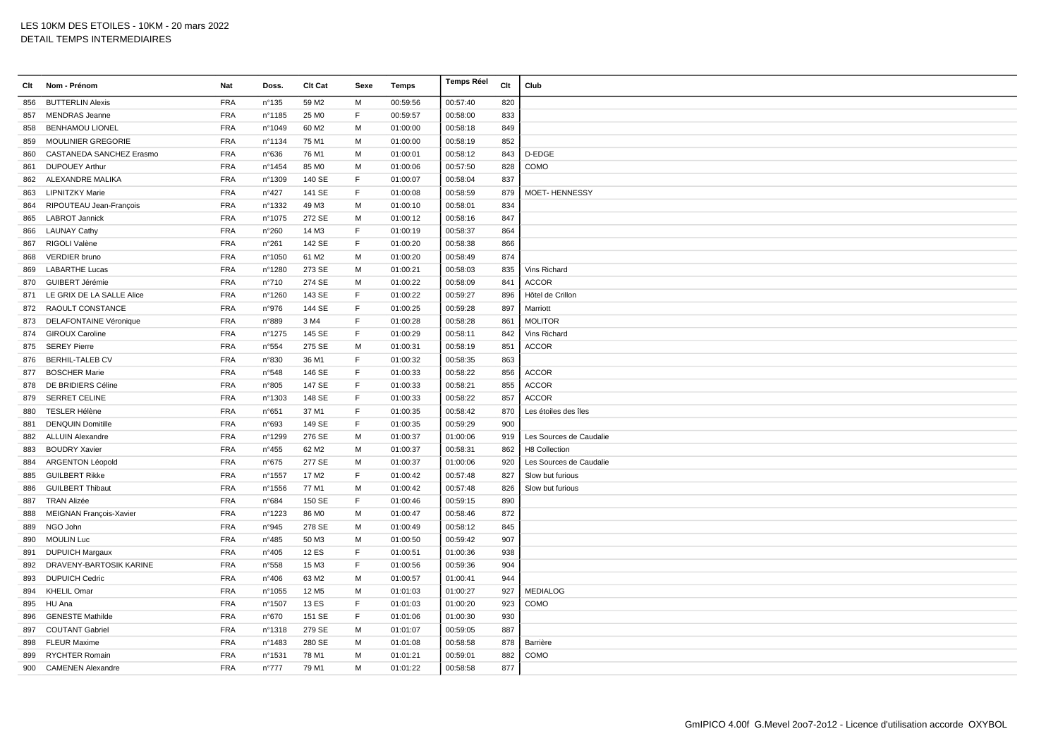| Clt | Nom - Prénom                  | Nat        | Doss.          | <b>Clt Cat</b>    | Sexe         | Temps    | <b>Temps Réel</b> | Clt | Club                    |
|-----|-------------------------------|------------|----------------|-------------------|--------------|----------|-------------------|-----|-------------------------|
| 856 | <b>BUTTERLIN Alexis</b>       | <b>FRA</b> | n°135          | 59 M2             | M            | 00:59:56 | 00:57:40          | 820 |                         |
| 857 | <b>MENDRAS</b> Jeanne         | <b>FRA</b> | n°1185         | 25 M <sub>0</sub> | E            | 00:59:57 | 00:58:00          | 833 |                         |
| 858 | <b>BENHAMOU LIONEL</b>        | <b>FRA</b> | n°1049         | 60 M <sub>2</sub> | M            | 01:00:00 | 00:58:18          | 849 |                         |
| 859 | <b>MOULINIER GREGORIE</b>     | <b>FRA</b> | n°1134         | 75 M1             | M            | 01:00:00 | 00:58:19          | 852 |                         |
| 860 | CASTANEDA SANCHEZ Erasmo      | <b>FRA</b> | n°636          | 76 M1             | M            | 01:00:01 | 00:58:12          | 843 | D-EDGE                  |
| 861 | <b>DUPOUEY Arthur</b>         | <b>FRA</b> | n°1454         | 85 MO             | M            | 01:00:06 | 00:57:50          | 828 | COMO                    |
| 862 | ALEXANDRE MALIKA              | <b>FRA</b> | n°1309         | 140 SE            | F            | 01:00:07 | 00:58:04          | 837 |                         |
| 863 | <b>LIPNITZKY Marie</b>        | <b>FRA</b> | $n^{\circ}427$ | 141 SE            | $\mathsf{F}$ | 01:00:08 | 00:58:59          | 879 | <b>MOET-HENNESSY</b>    |
|     | 864 RIPOUTEAU Jean-François   | <b>FRA</b> | n°1332         | 49 M3             | M            | 01:00:10 | 00:58:01          | 834 |                         |
| 865 | <b>LABROT Jannick</b>         | <b>FRA</b> | n°1075         | 272 SE            | M            | 01:00:12 | 00:58:16          | 847 |                         |
|     | 866 LAUNAY Cathy              | <b>FRA</b> | n°260          | 14 M3             | E            | 01:00:19 | 00:58:37          | 864 |                         |
| 867 | RIGOLI Valène                 | <b>FRA</b> | n°261          | 142 SE            | F            | 01:00:20 | 00:58:38          | 866 |                         |
| 868 | <b>VERDIER</b> bruno          | <b>FRA</b> | n°1050         | 61 M2             | M            | 01:00:20 | 00:58:49          | 874 |                         |
| 869 | <b>LABARTHE Lucas</b>         | <b>FRA</b> | n°1280         | 273 SE            | M            | 01:00:21 | 00:58:03          | 835 | Vins Richard            |
| 870 | GUIBERT Jérémie               | <b>FRA</b> | n°710          | 274 SE            | M            | 01:00:22 | 00:58:09          | 841 | <b>ACCOR</b>            |
|     | 871 LE GRIX DE LA SALLE Alice | <b>FRA</b> | n°1260         | 143 SE            | F            | 01:00:22 | 00:59:27          | 896 | Hôtel de Crillon        |
|     | 872 RAOULT CONSTANCE          | <b>FRA</b> | n°976          | 144 SE            | $\mathsf F$  | 01:00:25 | 00:59:28          | 897 | Marriott                |
| 873 | DELAFONTAINE Véronique        | <b>FRA</b> | n°889          | 3 M4              | F            | 01:00:28 | 00:58:28          | 861 | <b>MOLITOR</b>          |
| 874 | <b>GIROUX Caroline</b>        | <b>FRA</b> | n°1275         | 145 SE            | E            | 01:00:29 | 00:58:11          | 842 | Vins Richard            |
| 875 | <b>SEREY Pierre</b>           | <b>FRA</b> | n°554          | 275 SE            | M            | 01:00:31 | 00:58:19          | 851 | <b>ACCOR</b>            |
|     | 876 BERHIL-TALEB CV           | <b>FRA</b> | n°830          | 36 M1             | E            | 01:00:32 | 00:58:35          | 863 |                         |
| 877 | <b>BOSCHER Marie</b>          | <b>FRA</b> | n°548          | 146 SE            | E            | 01:00:33 | 00:58:22          | 856 | <b>ACCOR</b>            |
|     | 878 DE BRIDIERS Céline        | <b>FRA</b> | n°805          | 147 SE            | F            | 01:00:33 | 00:58:21          | 855 | ACCOR                   |
| 879 | <b>SERRET CELINE</b>          | <b>FRA</b> | n°1303         | 148 SE            | F            | 01:00:33 | 00:58:22          | 857 | <b>ACCOR</b>            |
| 880 | <b>TESLER Hélène</b>          | <b>FRA</b> | n°651          | 37 M1             | $\mathsf F$  | 01:00:35 | 00:58:42          | 870 | Les étoiles des îles    |
| 881 | <b>DENQUIN Domitille</b>      | <b>FRA</b> | n°693          | 149 SE            | $\mathsf F$  | 01:00:35 | 00:59:29          | 900 |                         |
|     | 882 ALLUIN Alexandre          | <b>FRA</b> | n°1299         | 276 SE            | M            | 01:00:37 | 01:00:06          | 919 | Les Sources de Caudalie |
| 883 | <b>BOUDRY Xavier</b>          | <b>FRA</b> | n°455          | 62 M <sub>2</sub> | M            | 01:00:37 | 00:58:31          | 862 | H8 Collection           |
| 884 | <b>ARGENTON Léopold</b>       | <b>FRA</b> | n°675          | 277 SE            | M            | 01:00:37 | 01:00:06          | 920 | Les Sources de Caudalie |
| 885 | <b>GUILBERT Rikke</b>         | <b>FRA</b> | n°1557         | 17 M2             | F            | 01:00:42 | 00:57:48          | 827 | Slow but furious        |
| 886 | <b>GUILBERT Thibaut</b>       | <b>FRA</b> | n°1556         | 77 M1             | M            | 01:00:42 | 00:57:48          | 826 | Slow but furious        |
| 887 | <b>TRAN Alizée</b>            | <b>FRA</b> | n°684          | 150 SE            | E            | 01:00:46 | 00:59:15          | 890 |                         |
| 888 | MEIGNAN François-Xavier       | <b>FRA</b> | n°1223         | 86 MO             | M            | 01:00:47 | 00:58:46          | 872 |                         |
| 889 | NGO John                      | <b>FRA</b> | n°945          | 278 SE            | M            | 01:00:49 | 00:58:12          | 845 |                         |
| 890 | <b>MOULIN Luc</b>             | <b>FRA</b> | n°485          | 50 M3             | M            | 01:00:50 | 00:59:42          | 907 |                         |
| 891 | <b>DUPUICH Margaux</b>        | <b>FRA</b> | n°405          | <b>12 ES</b>      | F            | 01:00:51 | 01:00:36          | 938 |                         |
|     | 892 DRAVENY-BARTOSIK KARINE   | <b>FRA</b> | n°558          | 15 M3             | E            | 01:00:56 | 00:59:36          | 904 |                         |
| 893 | <b>DUPUICH Cedric</b>         | <b>FRA</b> | n°406          | 63 M2             | M            | 01:00:57 | 01:00:41          | 944 |                         |
| 894 | <b>KHELIL Omar</b>            | <b>FRA</b> | n°1055         | 12 M <sub>5</sub> | M            | 01:01:03 | 01:00:27          | 927 | <b>MEDIALOG</b>         |
|     | 895 HU Ana                    | <b>FRA</b> | n°1507         | 13 ES             | F.           | 01:01:03 | 01:00:20          | 923 | COMO                    |
| 896 | <b>GENESTE Mathilde</b>       | <b>FRA</b> | n°670          | 151 SE            | F            | 01:01:06 | 01:00:30          | 930 |                         |
| 897 | <b>COUTANT Gabriel</b>        | <b>FRA</b> | n°1318         | 279 SE            | M            | 01:01:07 | 00:59:05          | 887 |                         |
|     | 898 FLEUR Maxime              | <b>FRA</b> | n°1483         | 280 SE            | M            | 01:01:08 | 00:58:58          | 878 | Barrière                |
| 899 | <b>RYCHTER Romain</b>         | <b>FRA</b> | n°1531         | 78 M1             | м            | 01:01:21 | 00:59:01          | 882 | COMO                    |
|     | 900 CAMENEN Alexandre         | <b>FRA</b> | $n^{\circ}777$ | 79 M1             | M            | 01:01:22 | 00:58:58          | 877 |                         |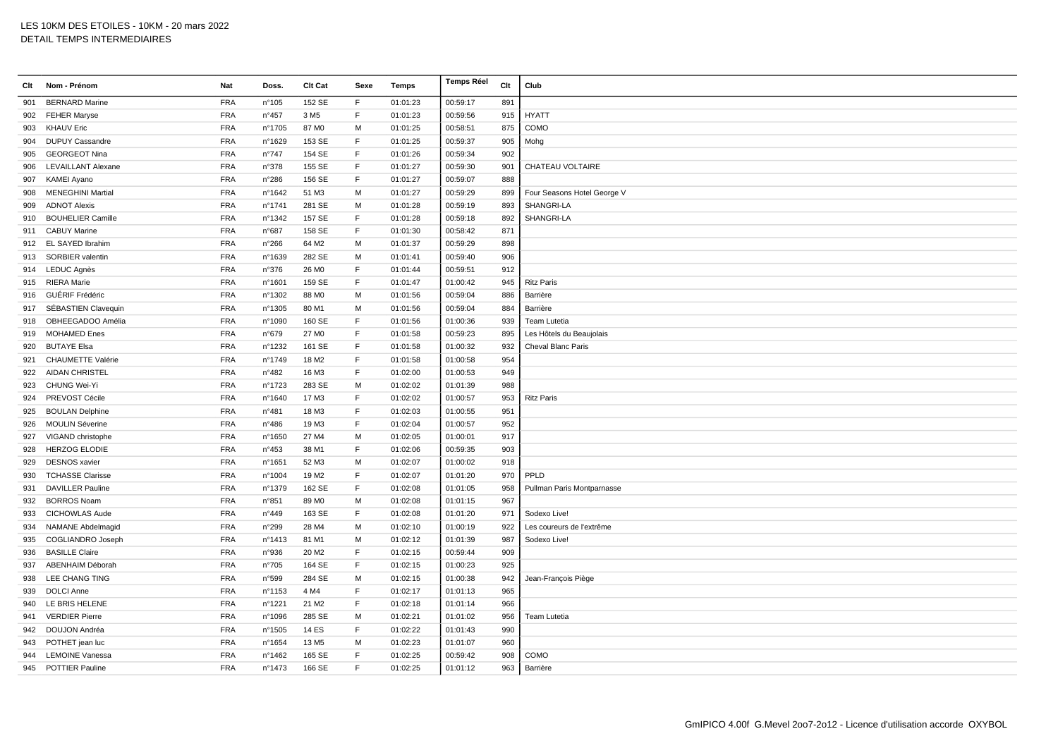| Clt | Nom - Prénom              | Nat        | Doss.          | Clt Cat           | Sexe         | Temps    | <b>Temps Réel</b> | Clt | Club                        |
|-----|---------------------------|------------|----------------|-------------------|--------------|----------|-------------------|-----|-----------------------------|
| 901 | <b>BERNARD Marine</b>     | <b>FRA</b> | n°105          | 152 SE            | F            | 01:01:23 | 00:59:17          | 891 |                             |
| 902 | <b>FEHER Maryse</b>       | <b>FRA</b> | $n^{\circ}457$ | 3 M <sub>5</sub>  | F            | 01:01:23 | 00:59:56          | 915 | <b>HYATT</b>                |
| 903 | <b>KHAUV Eric</b>         | <b>FRA</b> | n°1705         | 87 MO             | M            | 01:01:25 | 00:58:51          | 875 | COMO                        |
| 904 | <b>DUPUY Cassandre</b>    | <b>FRA</b> | n°1629         | 153 SE            | F            | 01:01:25 | 00:59:37          | 905 | Mohg                        |
| 905 | <b>GEORGEOT Nina</b>      | <b>FRA</b> | n°747          | 154 SE            | $\mathsf F$  | 01:01:26 | 00:59:34          | 902 |                             |
| 906 | <b>LEVAILLANT Alexane</b> | <b>FRA</b> | n°378          | 155 SE            | F            | 01:01:27 | 00:59:30          | 901 | CHATEAU VOLTAIRE            |
| 907 | <b>KAMEI Ayano</b>        | <b>FRA</b> | n°286          | 156 SE            | F            | 01:01:27 | 00:59:07          | 888 |                             |
| 908 | <b>MENEGHINI Martial</b>  | <b>FRA</b> | nº1642         | 51 M3             | M            | 01:01:27 | 00:59:29          | 899 | Four Seasons Hotel George V |
| 909 | <b>ADNOT Alexis</b>       | <b>FRA</b> | n°1741         | 281 SE            | M            | 01:01:28 | 00:59:19          | 893 | SHANGRI-LA                  |
| 910 | <b>BOUHELIER Camille</b>  | <b>FRA</b> | nº1342         | 157 SE            | F            | 01:01:28 | 00:59:18          | 892 | SHANGRI-LA                  |
| 911 | <b>CABUY Marine</b>       | <b>FRA</b> | n°687          | 158 SE            | $\mathsf F$  | 01:01:30 | 00:58:42          | 871 |                             |
| 912 | EL SAYED Ibrahim          | <b>FRA</b> | n°266          | 64 M2             | M            | 01:01:37 | 00:59:29          | 898 |                             |
| 913 | SORBIER valentin          | <b>FRA</b> | n°1639         | 282 SE            | M            | 01:01:41 | 00:59:40          | 906 |                             |
|     | 914 LEDUC Agnès           | <b>FRA</b> | n°376          | 26 MO             | E            | 01:01:44 | 00:59:51          | 912 |                             |
| 915 | <b>RIERA</b> Marie        | <b>FRA</b> | n°1601         | 159 SE            | E            | 01:01:47 | 01:00:42          | 945 | <b>Ritz Paris</b>           |
| 916 | GUÉRIF Frédéric           | <b>FRA</b> | n°1302         | 88 MO             | м            | 01:01:56 | 00:59:04          | 886 | Barrière                    |
| 917 | SÉBASTIEN Clavequin       | <b>FRA</b> | n°1305         | 80 M1             | M            | 01:01:56 | 00:59:04          | 884 | Barrière                    |
| 918 | OBHEEGADOO Amélia         | <b>FRA</b> | n°1090         | 160 SE            | F            | 01:01:56 | 01:00:36          | 939 | Team Lutetia                |
| 919 | <b>MOHAMED Enes</b>       | <b>FRA</b> | n°679          | 27 MO             | E            | 01:01:58 | 00:59:23          | 895 | Les Hôtels du Beaujolais    |
| 920 | <b>BUTAYE Elsa</b>        | <b>FRA</b> | n°1232         | 161 SE            | $\mathsf F$  | 01:01:58 | 01:00:32          | 932 | <b>Cheval Blanc Paris</b>   |
| 921 | <b>CHAUMETTE Valérie</b>  | <b>FRA</b> | n°1749         | 18 M2             | F            | 01:01:58 | 01:00:58          | 954 |                             |
| 922 | <b>AIDAN CHRISTEL</b>     | <b>FRA</b> | n°482          | 16 M3             | F            | 01:02:00 | 01:00:53          | 949 |                             |
| 923 | CHUNG Wei-Yi              | <b>FRA</b> | n°1723         | 283 SE            | M            | 01:02:02 | 01:01:39          | 988 |                             |
| 924 | PREVOST Cécile            | <b>FRA</b> | n°1640         | 17 M3             | F            | 01:02:02 | 01:00:57          | 953 | <b>Ritz Paris</b>           |
| 925 | <b>BOULAN Delphine</b>    | <b>FRA</b> | n°481          | 18 M3             | $\mathsf F$  | 01:02:03 | 01:00:55          | 951 |                             |
| 926 | <b>MOULIN Séverine</b>    | <b>FRA</b> | n°486          | 19 M3             | $\mathsf{F}$ | 01:02:04 | 01:00:57          | 952 |                             |
| 927 | VIGAND christophe         | <b>FRA</b> | n°1650         | 27 M4             | M            | 01:02:05 | 01:00:01          | 917 |                             |
| 928 | <b>HERZOG ELODIE</b>      | <b>FRA</b> | n°453          | 38 M1             | E            | 01:02:06 | 00:59:35          | 903 |                             |
| 929 | <b>DESNOS</b> xavier      | <b>FRA</b> | n°1651         | 52 M3             | M            | 01:02:07 | 01:00:02          | 918 |                             |
| 930 | <b>TCHASSE Clarisse</b>   | <b>FRA</b> | n°1004         | 19 M <sub>2</sub> | F            | 01:02:07 | 01:01:20          | 970 | PPLD                        |
| 931 | <b>DAVILLER Pauline</b>   | <b>FRA</b> | n°1379         | 162 SE            | $\mathsf F$  | 01:02:08 | 01:01:05          | 958 | Pullman Paris Montparnasse  |
| 932 | <b>BORROS Noam</b>        | <b>FRA</b> | n°851          | 89 MO             | M            | 01:02:08 | 01:01:15          | 967 |                             |
| 933 | <b>CICHOWLAS Aude</b>     | <b>FRA</b> | n°449          | 163 SE            | E            | 01:02:08 | 01:01:20          | 971 | Sodexo Live!                |
| 934 | <b>NAMANE Abdelmagid</b>  | <b>FRA</b> | n°299          | 28 M4             | M            | 01:02:10 | 01:00:19          | 922 | Les coureurs de l'extrême   |
| 935 | <b>COGLIANDRO Joseph</b>  | <b>FRA</b> | n°1413         | 81 M1             | M            | 01:02:12 | 01:01:39          | 987 | Sodexo Live!                |
| 936 | <b>BASILLE Claire</b>     | <b>FRA</b> | n°936          | 20 M <sub>2</sub> | $\mathsf F$  | 01:02:15 | 00:59:44          | 909 |                             |
| 937 | ABENHAIM Déborah          | <b>FRA</b> | n°705          | 164 SE            | $\mathsf F$  | 01:02:15 | 01:00:23          | 925 |                             |
| 938 | LEE CHANG TING            | <b>FRA</b> | n°599          | 284 SE            | М            | 01:02:15 | 01:00:38          | 942 | Jean-François Piège         |
| 939 | <b>DOLCI Anne</b>         | <b>FRA</b> | n°1153         | 4 M4              | F            | 01:02:17 | 01:01:13          | 965 |                             |
| 940 | LE BRIS HELENE            | <b>FRA</b> | n°1221         | 21 M <sub>2</sub> | F            | 01:02:18 | 01:01:14          | 966 |                             |
| 941 | <b>VERDIER Pierre</b>     | <b>FRA</b> | n°1096         | 285 SE            | M            | 01:02:21 | 01:01:02          | 956 | Team Lutetia                |
| 942 | DOUJON Andréa             | <b>FRA</b> | n°1505         | <b>14 ES</b>      | $\mathsf F$  | 01:02:22 | 01:01:43          | 990 |                             |
| 943 | POTHET jean luc           | <b>FRA</b> | n°1654         | 13 M <sub>5</sub> | м            | 01:02:23 | 01:01:07          | 960 |                             |
| 944 | <b>LEMOINE Vanessa</b>    | <b>FRA</b> | n°1462         | 165 SE            | $\mathsf F$  | 01:02:25 | 00:59:42          | 908 | COMO                        |
| 945 | <b>POTTIER Pauline</b>    | <b>FRA</b> | n°1473         | 166 SE            | E            | 01:02:25 | 01:01:12          | 963 | Barrière                    |
|     |                           |            |                |                   |              |          |                   |     |                             |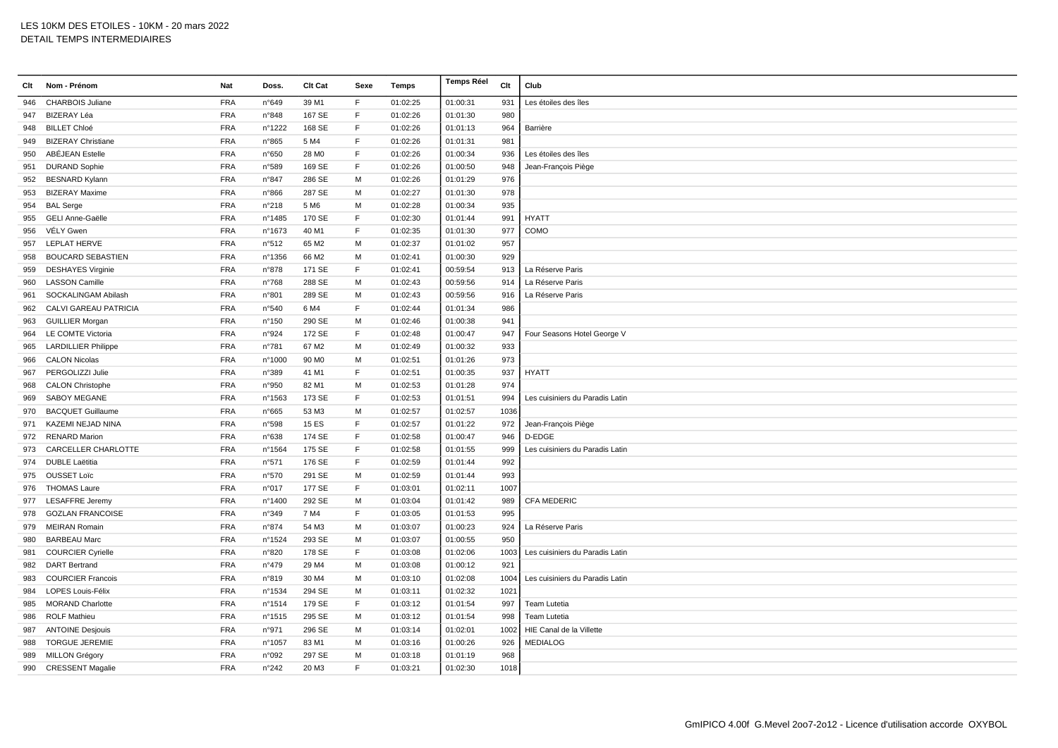| Clt | Nom - Prénom               | Nat        | Doss.           | Clt Cat           | Sexe        | <b>Temps</b> | <b>Temps Réel</b> | Clt  | Club                            |
|-----|----------------------------|------------|-----------------|-------------------|-------------|--------------|-------------------|------|---------------------------------|
| 946 | <b>CHARBOIS Juliane</b>    | <b>FRA</b> | n°649           | 39 M1             | F           | 01:02:25     | 01:00:31          | 931  | Les étoiles des îles            |
| 947 | BIZERAY Léa                | <b>FRA</b> | n°848           | 167 SE            | F           | 01:02:26     | 01:01:30          | 980  |                                 |
| 948 | <b>BILLET Chloé</b>        | <b>FRA</b> | n°1222          | 168 SE            | F           | 01:02:26     | 01:01:13          | 964  | Barrière                        |
| 949 | <b>BIZERAY Christiane</b>  | <b>FRA</b> | n°865           | 5 M4              | F           | 01:02:26     | 01:01:31          | 981  |                                 |
| 950 | ABÉJEAN Estelle            | <b>FRA</b> | n°650           | 28 M <sub>0</sub> | E           | 01:02:26     | 01:00:34          | 936  | Les étoiles des îles            |
| 951 | <b>DURAND Sophie</b>       | <b>FRA</b> | n°589           | 169 SE            | E           | 01:02:26     | 01:00:50          | 948  | Jean-François Piège             |
| 952 | <b>BESNARD Kylann</b>      | <b>FRA</b> | n°847           | 286 SE            | M           | 01:02:26     | 01:01:29          | 976  |                                 |
| 953 | <b>BIZERAY Maxime</b>      | <b>FRA</b> | n°866           | 287 SE            | M           | 01:02:27     | 01:01:30          | 978  |                                 |
| 954 | <b>BAL Serge</b>           | <b>FRA</b> | n°218           | 5 M6              | M           | 01:02:28     | 01:00:34          | 935  |                                 |
| 955 | <b>GELI Anne-Gaëlle</b>    | <b>FRA</b> | n°1485          | 170 SE            | $\mathsf F$ | 01:02:30     | 01:01:44          | 991  | <b>HYATT</b>                    |
| 956 | VÉLY Gwen                  | <b>FRA</b> | n°1673          | 40 M1             | F           | 01:02:35     | 01:01:30          | 977  | COMO                            |
| 957 | LEPLAT HERVE               | <b>FRA</b> | n°512           | 65 M2             | M           | 01:02:37     | 01:01:02          | 957  |                                 |
| 958 | <b>BOUCARD SEBASTIEN</b>   | <b>FRA</b> | n°1356          | 66 M2             | M           | 01:02:41     | 01:00:30          | 929  |                                 |
| 959 | <b>DESHAYES Virginie</b>   | <b>FRA</b> | n°878           | 171 SE            | F           | 01:02:41     | 00:59:54          | 913  | La Réserve Paris                |
| 960 | <b>LASSON Camille</b>      | <b>FRA</b> | n°768           | 288 SE            | M           | 01:02:43     | 00:59:56          | 914  | La Réserve Paris                |
| 961 | SOCKALINGAM Abilash        | <b>FRA</b> | n°801           | 289 SE            | M           | 01:02:43     | 00:59:56          | 916  | La Réserve Paris                |
| 962 | CALVI GAREAU PATRICIA      | <b>FRA</b> | n°540           | 6 M4              | E           | 01:02:44     | 01:01:34          | 986  |                                 |
| 963 | <b>GUILLIER Morgan</b>     | <b>FRA</b> | $n^{\circ}$ 150 | 290 SE            | M           | 01:02:46     | 01:00:38          | 941  |                                 |
| 964 | LE COMTE Victoria          | <b>FRA</b> | n°924           | 172 SE            | F           | 01:02:48     | 01:00:47          | 947  | Four Seasons Hotel George V     |
| 965 | <b>LARDILLIER Philippe</b> | <b>FRA</b> | n°781           | 67 M2             | M           | 01:02:49     | 01:00:32          | 933  |                                 |
| 966 | <b>CALON Nicolas</b>       | <b>FRA</b> | n°1000          | 90 M <sub>0</sub> | M           | 01:02:51     | 01:01:26          | 973  |                                 |
| 967 | PERGOLIZZI Julie           | <b>FRA</b> | n°389           | 41 M1             | E           | 01:02:51     | 01:00:35          | 937  | <b>HYATT</b>                    |
| 968 | <b>CALON Christophe</b>    | <b>FRA</b> | n°950           | 82 M1             | M           | 01:02:53     | 01:01:28          | 974  |                                 |
| 969 | <b>SABOY MEGANE</b>        | <b>FRA</b> | n°1563          | 173 SE            | F           | 01:02:53     | 01:01:51          | 994  | Les cuisiniers du Paradis Latin |
| 970 | <b>BACQUET Guillaume</b>   | <b>FRA</b> | n°665           | 53 M3             | M           | 01:02:57     | 01:02:57          | 1036 |                                 |
| 971 | KAZEMI NEJAD NINA          | <b>FRA</b> | n°598           | <b>15 ES</b>      | $\mathsf F$ | 01:02:57     | 01:01:22          | 972  | Jean-François Piège             |
| 972 | <b>RENARD Marion</b>       | <b>FRA</b> | n°638           | 174 SE            | E           | 01:02:58     | 01:00:47          | 946  | D-EDGE                          |
| 973 | <b>CARCELLER CHARLOTTE</b> | <b>FRA</b> | n°1564          | 175 SE            | F           | 01:02:58     | 01:01:55          | 999  | Les cuisiniers du Paradis Latin |
| 974 | <b>DUBLE Laëtitia</b>      | <b>FRA</b> | n°571           | 176 SE            | F           | 01:02:59     | 01:01:44          | 992  |                                 |
| 975 | <b>OUSSET Loïc</b>         | <b>FRA</b> | n°570           | 291 SE            | M           | 01:02:59     | 01:01:44          | 993  |                                 |
| 976 | <b>THOMAS Laure</b>        | <b>FRA</b> | n°017           | 177 SE            | $\mathsf F$ | 01:03:01     | 01:02:11          | 1007 |                                 |
| 977 | <b>LESAFFRE Jeremy</b>     | <b>FRA</b> | n°1400          | 292 SE            | M           | 01:03:04     | 01:01:42          | 989  | <b>CFA MEDERIC</b>              |
| 978 | <b>GOZLAN FRANCOISE</b>    | <b>FRA</b> | n°349           | 7 M4              | E           | 01:03:05     | 01:01:53          | 995  |                                 |
| 979 | <b>MEIRAN Romain</b>       | <b>FRA</b> | n°874           | 54 M3             | M           | 01:03:07     | 01:00:23          | 924  | La Réserve Paris                |
| 980 | <b>BARBEAU Marc</b>        | <b>FRA</b> | n°1524          | 293 SE            | M           | 01:03:07     | 01:00:55          | 950  |                                 |
| 981 | <b>COURCIER Cyrielle</b>   | <b>FRA</b> | n°820           | 178 SE            | F           | 01:03:08     | 01:02:06          | 1003 | Les cuisiniers du Paradis Latin |
| 982 | <b>DART Bertrand</b>       | <b>FRA</b> | n°479           | 29 M4             | M           | 01:03:08     | 01:00:12          | 921  |                                 |
| 983 | <b>COURCIER Francois</b>   | <b>FRA</b> | n°819           | 30 M4             | M           | 01:03:10     | 01:02:08          | 1004 | Les cuisiniers du Paradis Latin |
| 984 | <b>LOPES Louis-Félix</b>   | <b>FRA</b> | n°1534          | 294 SE            | M           | 01:03:11     | 01:02:32          | 1021 |                                 |
| 985 | <b>MORAND Charlotte</b>    | <b>FRA</b> | nº1514          | 179 SE            | F           | 01:03:12     | 01:01:54          | 997  | Team Lutetia                    |
| 986 | <b>ROLF Mathieu</b>        | <b>FRA</b> | n°1515          | 295 SE            | M           | 01:03:12     | 01:01:54          | 998  | Team Lutetia                    |
| 987 | <b>ANTOINE Desjouis</b>    | <b>FRA</b> | n°971           | 296 SE            | M           | 01:03:14     | 01:02:01          | 1002 | HIE Canal de la Villette        |
| 988 | <b>TORGUE JEREMIE</b>      | <b>FRA</b> | n°1057          | 83 M1             | M           | 01:03:16     | 01:00:26          | 926  | <b>MEDIALOG</b>                 |
| 989 | <b>MILLON Grégory</b>      | <b>FRA</b> | n°092           | 297 SE            | м           | 01:03:18     | 01:01:19          | 968  |                                 |
|     | 990 CRESSENT Magalie       | <b>FRA</b> | n°242           | 20 M3             | E           | 01:03:21     | 01:02:30          | 1018 |                                 |
|     |                            |            |                 |                   |             |              |                   |      |                                 |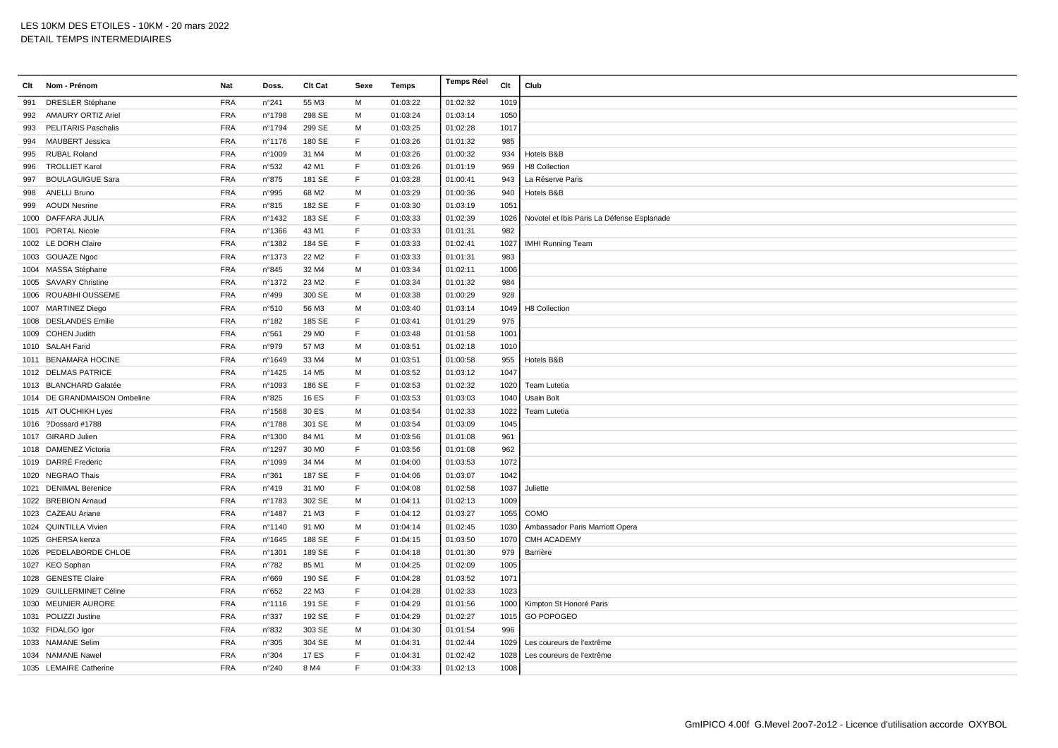| Clt | Nom - Prénom                 | Nat        | Doss.          | Clt Cat           | Sexe        | Temps    | <b>Temps Réel</b> | Clt  | Club                                       |
|-----|------------------------------|------------|----------------|-------------------|-------------|----------|-------------------|------|--------------------------------------------|
| 991 | <b>DRESLER Stéphane</b>      | <b>FRA</b> | n°241          | 55 M3             | M           | 01:03:22 | 01:02:32          | 1019 |                                            |
| 992 | <b>AMAURY ORTIZ Ariel</b>    | <b>FRA</b> | n°1798         | 298 SE            | M           | 01:03:24 | 01:03:14          | 1050 |                                            |
| 993 | <b>PELITARIS Paschalis</b>   | <b>FRA</b> | n°1794         | 299 SE            | M           | 01:03:25 | 01:02:28          | 1017 |                                            |
| 994 | <b>MAUBERT Jessica</b>       | <b>FRA</b> | n°1176         | 180 SE            | F           | 01:03:26 | 01:01:32          | 985  |                                            |
| 995 | <b>RUBAL Roland</b>          | <b>FRA</b> | n°1009         | 31 M4             | M           | 01:03:26 | 01:00:32          | 934  | Hotels B&B                                 |
| 996 | <b>TROLLIET Karol</b>        | <b>FRA</b> | n°532          | 42 M1             | F           | 01:03:26 | 01:01:19          | 969  | H8 Collection                              |
| 997 | <b>BOULAGUIGUE Sara</b>      | <b>FRA</b> | n°875          | 181 SE            | F           | 01:03:28 | 01:00:41          | 943  | La Réserve Paris                           |
| 998 | <b>ANELLI Bruno</b>          | <b>FRA</b> | n°995          | 68 M2             | M           | 01:03:29 | 01:00:36          | 940  | Hotels B&B                                 |
| 999 | <b>AOUDI Nesrine</b>         | <b>FRA</b> | n°815          | 182 SE            | F           | 01:03:30 | 01:03:19          | 1051 |                                            |
|     | 1000 DAFFARA JULIA           | <b>FRA</b> | n°1432         | 183 SE            | F           | 01:03:33 | 01:02:39          | 1026 | Novotel et Ibis Paris La Défense Esplanade |
|     | 1001 PORTAL Nicole           | <b>FRA</b> | n°1366         | 43 M1             | F           | 01:03:33 | 01:01:31          | 982  |                                            |
|     | 1002 LE DORH Claire          | <b>FRA</b> | nº1382         | 184 SE            | $\mathsf F$ | 01:03:33 | 01:02:41          | 1027 | <b>IMHI Running Team</b>                   |
|     | 1003 GOUAZE Ngoc             | <b>FRA</b> | n°1373         | 22 M <sub>2</sub> | F           | 01:03:33 | 01:01:31          | 983  |                                            |
|     | 1004 MASSA Stéphane          | <b>FRA</b> | n°845          | 32 M4             | M           | 01:03:34 | 01:02:11          | 1006 |                                            |
|     | 1005 SAVARY Christine        | <b>FRA</b> | nº1372         | 23 M <sub>2</sub> | F           | 01:03:34 | 01:01:32          | 984  |                                            |
|     | 1006 ROUABHI OUSSEME         | <b>FRA</b> | n°499          | 300 SE            | M           | 01:03:38 | 01:00:29          | 928  |                                            |
|     | 1007 MARTINEZ Diego          | <b>FRA</b> | n°510          | 56 M3             | M           | 01:03:40 | 01:03:14          | 1049 | H8 Collection                              |
|     | 1008 DESLANDES Emilie        | <b>FRA</b> | n°182          | 185 SE            | F           | 01:03:41 | 01:01:29          | 975  |                                            |
|     | 1009 COHEN Judith            | <b>FRA</b> | n°561          | 29 MO             | E           | 01:03:48 | 01:01:58          | 1001 |                                            |
|     | 1010 SALAH Farid             | <b>FRA</b> | n°979          | 57 M3             | M           | 01:03:51 | 01:02:18          | 1010 |                                            |
|     | 1011 BENAMARA HOCINE         | <b>FRA</b> | n°1649         | 33 M4             | M           | 01:03:51 | 01:00:58          | 955  | Hotels B&B                                 |
|     | 1012 DELMAS PATRICE          | <b>FRA</b> | n°1425         | 14 M <sub>5</sub> | M           | 01:03:52 | 01:03:12          | 1047 |                                            |
|     | 1013 BLANCHARD Galatée       | <b>FRA</b> | n°1093         | 186 SE            | F           | 01:03:53 | 01:02:32          | 1020 | Team Lutetia                               |
|     | 1014 DE GRANDMAISON Ombeline | <b>FRA</b> | n°825          | <b>16 ES</b>      | F           | 01:03:53 | 01:03:03          | 1040 | <b>Usain Bolt</b>                          |
|     | 1015 AIT OUCHIKH Lyes        | FRA        | n°1568         | 30 ES             | M           | 01:03:54 | 01:02:33          | 1022 | Team Lutetia                               |
|     | 1016 ?Dossard #1788          | <b>FRA</b> | n°1788         | 301 SE            | M           | 01:03:54 | 01:03:09          | 1045 |                                            |
|     | 1017 GIRARD Julien           | <b>FRA</b> | n°1300         | 84 M1             | M           | 01:03:56 | 01:01:08          | 961  |                                            |
|     | 1018 DAMENEZ Victoria        | <b>FRA</b> | n°1297         | 30 MO             | F           | 01:03:56 | 01:01:08          | 962  |                                            |
|     | 1019 DARRÉ Frederic          | <b>FRA</b> | n°1099         | 34 M4             | M           | 01:04:00 | 01:03:53          | 1072 |                                            |
|     | 1020 NEGRAO Thais            | <b>FRA</b> | n°361          | 187 SE            | F           | 01:04:06 | 01:03:07          | 1042 |                                            |
|     | 1021 DENIMAL Berenice        | <b>FRA</b> | n°419          | 31 MO             | F           | 01:04:08 | 01:02:58          | 1037 | Juliette                                   |
|     | 1022 BREBION Arnaud          | <b>FRA</b> | n°1783         | 302 SE            | M           | 01:04:11 | 01:02:13          | 1009 |                                            |
|     | 1023 CAZEAU Ariane           | <b>FRA</b> | n°1487         | 21 M3             | E           | 01:04:12 | 01:03:27          | 1055 | COMO                                       |
|     | 1024 QUINTILLA Vivien        | <b>FRA</b> | n°1140         | 91 M <sub>0</sub> | M           | 01:04:14 | 01:02:45          | 1030 | Ambassador Paris Marriott Opera            |
|     | 1025 GHERSA kenza            | <b>FRA</b> | n°1645         | 188 SE            | F           | 01:04:15 | 01:03:50          | 1070 | CMH ACADEMY                                |
|     | 1026 PEDELABORDE CHLOE       | <b>FRA</b> | nº1301         | 189 SE            | F           | 01:04:18 | 01:01:30          | 979  | Barrière                                   |
|     | 1027 KEO Sophan              | <b>FRA</b> | $n^{\circ}782$ | 85 M1             | M           | 01:04:25 | 01:02:09          | 1005 |                                            |
|     | 1028 GENESTE Claire          | <b>FRA</b> | n°669          | 190 SE            | F           | 01:04:28 | 01:03:52          | 1071 |                                            |
|     | 1029 GUILLERMINET Céline     | <b>FRA</b> | n°652          | 22 M3             | $\mathsf F$ | 01:04:28 | 01:02:33          | 1023 |                                            |
|     | 1030 MEUNIER AURORE          | <b>FRA</b> | n°1116         | 191 SE            | F           | 01:04:29 | 01:01:56          | 1000 | Kimpton St Honoré Paris                    |
|     | 1031 POLIZZI Justine         | <b>FRA</b> | n°337          | 192 SE            | F           | 01:04:29 | 01:02:27          | 1015 | <b>GO POPOGEO</b>                          |
|     | 1032 FIDALGO Igor            | <b>FRA</b> | n°832          | 303 SE            | M           | 01:04:30 | 01:01:54          | 996  |                                            |
|     | 1033 NAMANE Selim            | <b>FRA</b> | n°305          | 304 SE            | м           | 01:04:31 | 01:02:44          | 1029 | Les coureurs de l'extrême                  |
|     | 1034 NAMANE Nawel            | <b>FRA</b> | n°304          | 17 ES             | E           | 01:04:31 | 01:02:42          | 1028 | Les coureurs de l'extrême                  |
|     | 1035 LEMAIRE Catherine       | <b>FRA</b> | n°240          | 8 M4              | F.          | 01:04:33 | 01:02:13          | 1008 |                                            |
|     |                              |            |                |                   |             |          |                   |      |                                            |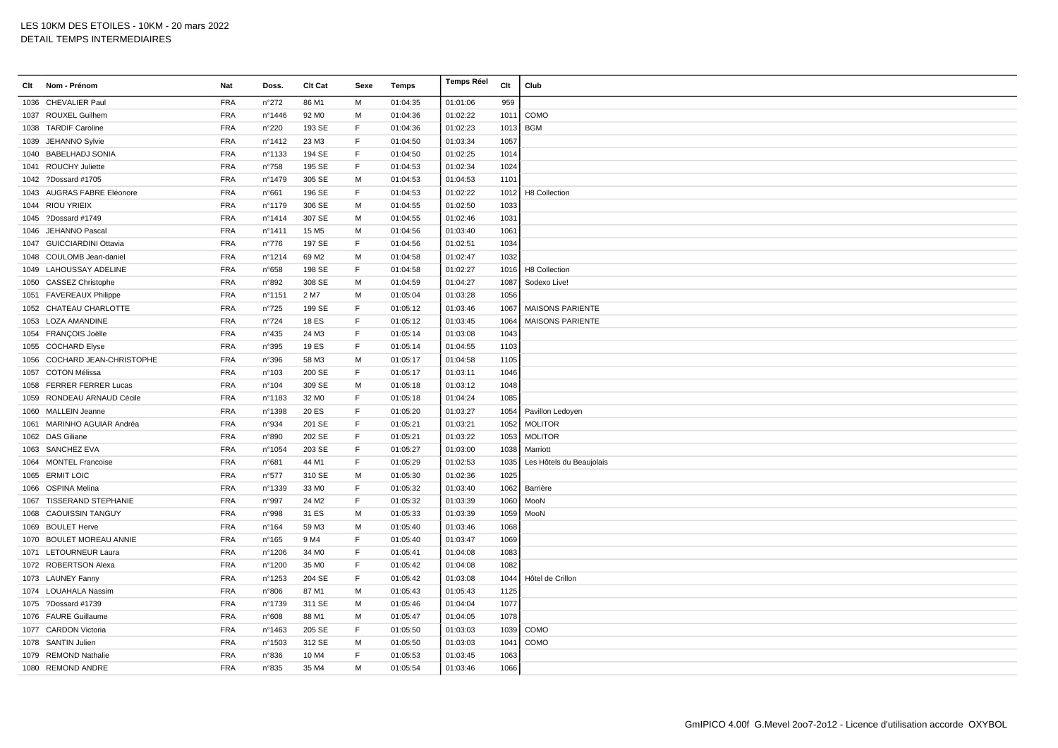| Clt Nom - Prénom             | Nat        | Doss.          | Clt Cat           | Sexe         | Temps    | <b>Temps Réel</b> | Clt  | Club                     |
|------------------------------|------------|----------------|-------------------|--------------|----------|-------------------|------|--------------------------|
| 1036 CHEVALIER Paul          | <b>FRA</b> | n°272          | 86 M1             | M            | 01:04:35 | 01:01:06          | 959  |                          |
| 1037 ROUXEL Guilhem          | <b>FRA</b> | n°1446         | 92 M <sub>0</sub> | M            | 01:04:36 | 01:02:22          | 1011 | COMO                     |
| 1038 TARDIF Caroline         | <b>FRA</b> | n°220          | 193 SE            | $\mathsf F$  | 01:04:36 | 01:02:23          | 1013 | <b>BGM</b>               |
| 1039 JEHANNO Sylvie          | <b>FRA</b> | n°1412         | 23 M3             | E            | 01:04:50 | 01:03:34          | 1057 |                          |
| 1040 BABELHADJ SONIA         | <b>FRA</b> | n°1133         | 194 SE            | F            | 01:04:50 | 01:02:25          | 1014 |                          |
| 1041 ROUCHY Juliette         | <b>FRA</b> | n°758          | 195 SE            | E            | 01:04:53 | 01:02:34          | 1024 |                          |
| 1042 ?Dossard #1705          | <b>FRA</b> | n°1479         | 305 SE            | M            | 01:04:53 | 01:04:53          | 1101 |                          |
| 1043 AUGRAS FABRE Eléonore   | <b>FRA</b> | n°661          | 196 SE            | E            | 01:04:53 | 01:02:22          | 1012 | H8 Collection            |
| 1044 RIOU YRIEIX             | <b>FRA</b> | n°1179         | 306 SE            | M            | 01:04:55 | 01:02:50          | 1033 |                          |
| 1045 ?Dossard #1749          | <b>FRA</b> | n°1414         | 307 SE            | M            | 01:04:55 | 01:02:46          | 1031 |                          |
| 1046 JEHANNO Pascal          | <b>FRA</b> | n°1411         | 15 M <sub>5</sub> | M            | 01:04:56 | 01:03:40          | 1061 |                          |
| 1047 GUICCIARDINI Ottavia    | <b>FRA</b> | $n^{\circ}776$ | 197 SE            | $\mathsf F$  | 01:04:56 | 01:02:51          | 1034 |                          |
| 1048 COULOMB Jean-daniel     | <b>FRA</b> | n°1214         | 69 M <sub>2</sub> | M            | 01:04:58 | 01:02:47          | 1032 |                          |
| 1049 LAHOUSSAY ADELINE       | <b>FRA</b> | n°658          | 198 SE            | E            | 01:04:58 | 01:02:27          | 1016 | H8 Collection            |
| 1050 CASSEZ Christophe       | <b>FRA</b> | n°892          | 308 SE            | M            | 01:04:59 | 01:04:27          | 1087 | Sodexo Live!             |
| 1051 FAVEREAUX Philippe      | <b>FRA</b> | n°1151         | 2 M7              | м            | 01:05:04 | 01:03:28          | 1056 |                          |
| 1052 CHATEAU CHARLOTTE       | <b>FRA</b> | n°725          | 199 SE            | $\mathsf F$  | 01:05:12 | 01:03:46          | 1067 | <b>MAISONS PARIENTE</b>  |
| 1053 LOZA AMANDINE           | <b>FRA</b> | $n^{\circ}724$ | 18 ES             | F            | 01:05:12 | 01:03:45          | 1064 | <b>MAISONS PARIENTE</b>  |
| 1054 FRANÇOIS Joëlle         | <b>FRA</b> | n°435          | 24 M3             | E            | 01:05:14 | 01:03:08          | 1043 |                          |
| 1055 COCHARD Elyse           | <b>FRA</b> | n°395          | 19 ES             | $\mathsf F$  | 01:05:14 | 01:04:55          | 1103 |                          |
| 1056 COCHARD JEAN-CHRISTOPHE | <b>FRA</b> | n°396          | 58 M3             | м            | 01:05:17 | 01:04:58          | 1105 |                          |
| 1057 COTON Mélissa           | <b>FRA</b> | n°103          | 200 SE            | $\mathsf F$  | 01:05:17 | 01:03:11          | 1046 |                          |
| 1058 FERRER FERRER Lucas     | <b>FRA</b> | n°104          | 309 SE            | M            | 01:05:18 | 01:03:12          | 1048 |                          |
| 1059 RONDEAU ARNAUD Cécile   | <b>FRA</b> | n°1183         | 32 MO             | F            | 01:05:18 | 01:04:24          | 1085 |                          |
| 1060 MALLEIN Jeanne          | <b>FRA</b> | n°1398         | 20 ES             | $\mathsf F$  | 01:05:20 | 01:03:27          | 1054 | Pavillon Ledoyen         |
| 1061 MARINHO AGUIAR Andréa   | <b>FRA</b> | n°934          | 201 SE            | $\mathsf F$  | 01:05:21 | 01:03:21          | 1052 | <b>MOLITOR</b>           |
| 1062 DAS Giliane             | <b>FRA</b> | n°890          | 202 SE            | F            | 01:05:21 | 01:03:22          | 1053 | <b>MOLITOR</b>           |
| 1063 SANCHEZ EVA             | <b>FRA</b> | n°1054         | 203 SE            | F            | 01:05:27 | 01:03:00          | 1038 | Marriott                 |
| 1064 MONTEL Francoise        | <b>FRA</b> | n°681          | 44 M1             | F            | 01:05:29 | 01:02:53          | 1035 | Les Hôtels du Beaujolais |
| 1065 ERMIT LOIC              | <b>FRA</b> | n°577          | 310 SE            | M            | 01:05:30 | 01:02:36          | 1025 |                          |
| 1066 OSPINA Melina           | <b>FRA</b> | n°1339         | 33 MO             | $\mathsf F$  | 01:05:32 | 01:03:40          | 1062 | Barrière                 |
| 1067 TISSERAND STEPHANIE     | <b>FRA</b> | n°997          | 24 M <sub>2</sub> | $\mathsf{F}$ | 01:05:32 | 01:03:39          | 1060 | MooN                     |
| 1068 CAOUISSIN TANGUY        | <b>FRA</b> | n°998          | 31 ES             | M            | 01:05:33 | 01:03:39          | 1059 | MooN                     |
| 1069 BOULET Herve            | <b>FRA</b> | n°164          | 59 M3             | м            | 01:05:40 | 01:03:46          | 1068 |                          |
| 1070 BOULET MOREAU ANNIE     | <b>FRA</b> | n°165          | 9 M4              | $\mathsf F$  | 01:05:40 | 01:03:47          | 1069 |                          |
| 1071 LETOURNEUR Laura        | <b>FRA</b> | n°1206         | 34 M <sub>0</sub> | F            | 01:05:41 | 01:04:08          | 1083 |                          |
| 1072 ROBERTSON Alexa         | <b>FRA</b> | n°1200         | 35 MO             | $\mathsf{F}$ | 01:05:42 | 01:04:08          | 1082 |                          |
| 1073 LAUNEY Fanny            | <b>FRA</b> | n°1253         | 204 SE            | E            | 01:05:42 | 01:03:08          | 1044 | Hôtel de Crillon         |
| 1074 LOUAHALA Nassim         | <b>FRA</b> | n°806          | 87 M1             | M            | 01:05:43 | 01:05:43          | 1125 |                          |
| 1075 ?Dossard #1739          | <b>FRA</b> | n°1739         | 311 SE            | M            | 01:05:46 | 01:04:04          | 1077 |                          |
| 1076 FAURE Guillaume         | <b>FRA</b> | n°608          | 88 M1             | M            | 01:05:47 | 01:04:05          | 1078 |                          |
| 1077 CARDON Victoria         | <b>FRA</b> | n°1463         | 205 SE            | F            | 01:05:50 | 01:03:03          | 1039 | COMO                     |
| 1078 SANTIN Julien           | <b>FRA</b> | n°1503         | 312 SE            | M            | 01:05:50 | 01:03:03          | 1041 | COMO                     |
| 1079 REMOND Nathalie         | <b>FRA</b> | n°836          | 10 M4             | $\mathsf{F}$ | 01:05:53 | 01:03:45          | 1063 |                          |
| 1080 REMOND ANDRE            | <b>FRA</b> | n°835          | 35 M4             | м            | 01:05:54 | 01:03:46          | 1066 |                          |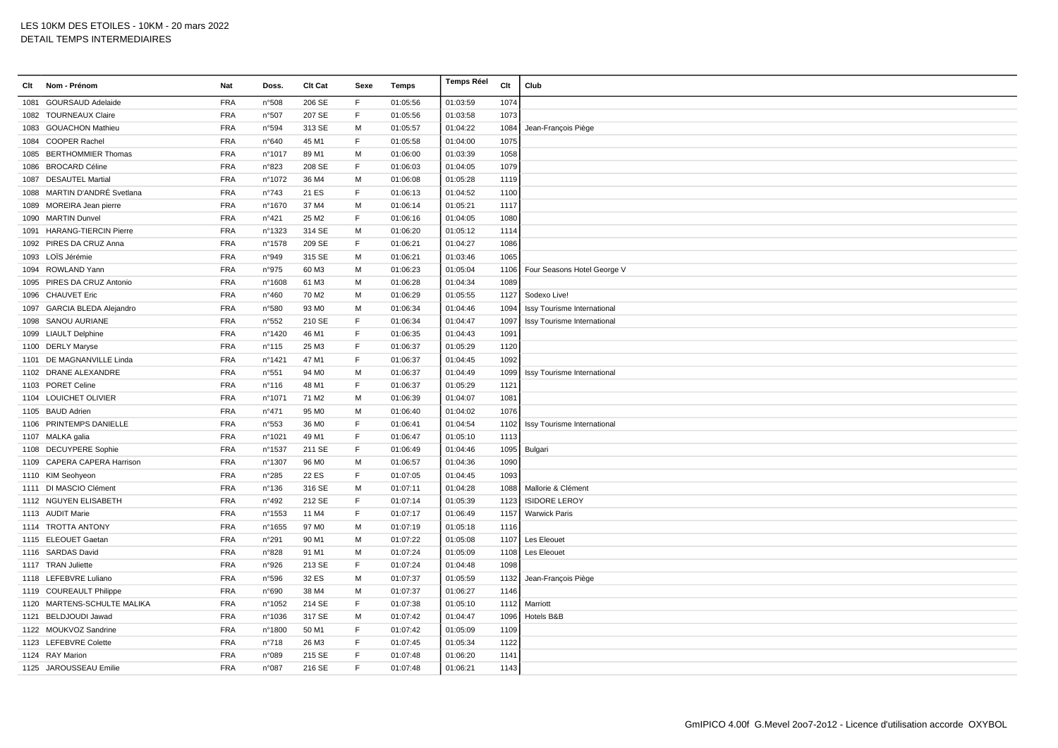| Clt  | Nom - Prénom                 | Nat        | Doss.           | Clt Cat           | Sexe         | Temps    | Temps Réel | Clt  | Club                        |
|------|------------------------------|------------|-----------------|-------------------|--------------|----------|------------|------|-----------------------------|
| 1081 | <b>GOURSAUD Adelaide</b>     | <b>FRA</b> | n°508           | 206 SE            | F            | 01:05:56 | 01:03:59   | 1074 |                             |
|      | 1082 TOURNEAUX Claire        | <b>FRA</b> | n°507           | 207 SE            | F            | 01:05:56 | 01:03:58   | 1073 |                             |
|      | 1083 GOUACHON Mathieu        | <b>FRA</b> | n°594           | 313 SE            | M            | 01:05:57 | 01:04:22   | 1084 | Jean-François Piège         |
|      | 1084 COOPER Rachel           | <b>FRA</b> | n°640           | 45 M1             | $\mathsf F$  | 01:05:58 | 01:04:00   | 1075 |                             |
|      | 1085 BERTHOMMIER Thomas      | <b>FRA</b> | n°1017          | 89 M1             | M            | 01:06:00 | 01:03:39   | 1058 |                             |
|      | 1086 BROCARD Céline          | <b>FRA</b> | n°823           | 208 SE            | F            | 01:06:03 | 01:04:05   | 1079 |                             |
|      | 1087 DESAUTEL Martial        | <b>FRA</b> | n°1072          | 36 M4             | M            | 01:06:08 | 01:05:28   | 1119 |                             |
|      | 1088 MARTIN D'ANDRÉ Svetlana | <b>FRA</b> | n°743           | 21 ES             | F            | 01:06:13 | 01:04:52   | 1100 |                             |
|      | 1089 MOREIRA Jean pierre     | <b>FRA</b> | n°1670          | 37 M4             | м            | 01:06:14 | 01:05:21   | 1117 |                             |
|      | 1090 MARTIN Dunvel           | <b>FRA</b> | n°421           | 25 M2             | $\mathsf F$  | 01:06:16 | 01:04:05   | 1080 |                             |
|      | 1091 HARANG-TIERCIN Pierre   | <b>FRA</b> | n°1323          | 314 SE            | M            | 01:06:20 | 01:05:12   | 1114 |                             |
|      | 1092 PIRES DA CRUZ Anna      | <b>FRA</b> | n°1578          | 209 SE            | F            | 01:06:21 | 01:04:27   | 1086 |                             |
|      | 1093 LOÏS Jérémie            | <b>FRA</b> | n°949           | 315 SE            | M            | 01:06:21 | 01:03:46   | 1065 |                             |
|      | 1094 ROWLAND Yann            | <b>FRA</b> | n°975           | 60 M3             | M            | 01:06:23 | 01:05:04   | 1106 | Four Seasons Hotel George V |
|      | 1095 PIRES DA CRUZ Antonio   | <b>FRA</b> | n°1608          | 61 M3             | м            | 01:06:28 | 01:04:34   | 1089 |                             |
|      | 1096 CHAUVET Eric            | <b>FRA</b> | n°460           | 70 M2             | м            | 01:06:29 | 01:05:55   | 1127 | Sodexo Live!                |
|      | 1097 GARCIA BLEDA Alejandro  | <b>FRA</b> | n°580           | 93 MO             | M            | 01:06:34 | 01:04:46   | 1094 | Issy Tourisme International |
|      | 1098 SANOU AURIANE           | <b>FRA</b> | n°552           | 210 SE            | F            | 01:06:34 | 01:04:47   | 1097 | Issy Tourisme International |
|      | 1099 LIAULT Delphine         | <b>FRA</b> | n°1420          | 46 M1             | $\mathsf{F}$ | 01:06:35 | 01:04:43   | 1091 |                             |
|      | 1100 DERLY Maryse            | <b>FRA</b> | n°115           | 25 M3             | $\mathsf F$  | 01:06:37 | 01:05:29   | 1120 |                             |
|      | 1101 DE MAGNANVILLE Linda    | <b>FRA</b> | n°1421          | 47 M1             | $\mathsf{F}$ | 01:06:37 | 01:04:45   | 1092 |                             |
|      | 1102 DRANE ALEXANDRE         | <b>FRA</b> | n°551           | 94 M <sub>0</sub> | M            | 01:06:37 | 01:04:49   | 1099 | Issy Tourisme International |
|      | 1103 PORET Celine            | <b>FRA</b> | $n^{\circ}$ 116 | 48 M1             | F            | 01:06:37 | 01:05:29   | 1121 |                             |
|      | 1104 LOUICHET OLIVIER        | <b>FRA</b> | n°1071          | 71 M2             | M            | 01:06:39 | 01:04:07   | 1081 |                             |
|      | 1105 BAUD Adrien             | <b>FRA</b> | n°471           | 95 M <sub>0</sub> | M            | 01:06:40 | 01:04:02   | 1076 |                             |
|      | 1106 PRINTEMPS DANIELLE      | <b>FRA</b> | n°553           | 36 MO             | $\mathsf F$  | 01:06:41 | 01:04:54   | 1102 | Issy Tourisme International |
|      | 1107 MALKA galia             | <b>FRA</b> | n°1021          | 49 M1             | $\mathsf F$  | 01:06:47 | 01:05:10   | 1113 |                             |
|      | 1108 DECUYPERE Sophie        | <b>FRA</b> | n°1537          | 211 SE            | F            | 01:06:49 | 01:04:46   | 1095 | Bulgari                     |
|      | 1109 CAPERA CAPERA Harrison  | <b>FRA</b> | n°1307          | 96 MO             | M            | 01:06:57 | 01:04:36   | 1090 |                             |
|      | 1110 KIM Seohyeon            | <b>FRA</b> | n°285           | 22 ES             | F            | 01:07:05 | 01:04:45   | 1093 |                             |
|      | 1111 DI MASCIO Clément       | <b>FRA</b> | $n^{\circ}$ 136 | 316 SE            | м            | 01:07:11 | 01:04:28   | 1088 | Mallorie & Clément          |
|      | 1112 NGUYEN ELISABETH        | <b>FRA</b> | n°492           | 212 SE            | E            | 01:07:14 | 01:05:39   | 1123 | <b>ISIDORE LEROY</b>        |
|      | 1113 AUDIT Marie             | <b>FRA</b> | n°1553          | 11 M4             | $\mathsf F$  | 01:07:17 | 01:06:49   | 1157 | <b>Warwick Paris</b>        |
|      | 1114 TROTTA ANTONY           | <b>FRA</b> | n°1655          | 97 MO             | M            | 01:07:19 | 01:05:18   | 1116 |                             |
|      | 1115 ELEOUET Gaetar          | <b>FRA</b> | n°291           | 90 M1             | M            | 01:07:22 | 01:05:08   | 1107 | Les Eleouet                 |
|      | 1116 SARDAS David            | <b>FRA</b> | n°828           | 91 M1             | M            | 01:07:24 | 01:05:09   | 1108 | Les Eleouet                 |
|      | 1117 TRAN Juliette           | <b>FRA</b> | n°926           | 213 SE            | $\mathsf{F}$ | 01:07:24 | 01:04:48   | 1098 |                             |
|      | 1118 LEFEBVRE Luliano        | <b>FRA</b> | n°596           | 32 ES             | M            | 01:07:37 | 01:05:59   | 1132 | Jean-François Piège         |
|      | 1119 COUREAULT Philippe      | <b>FRA</b> | n°690           | 38 M4             | M            | 01:07:37 | 01:06:27   | 1146 |                             |
|      | 1120 MARTENS-SCHULTE MALIKA  | <b>FRA</b> | n°1052          | 214 SE            | E            | 01:07:38 | 01:05:10   | 1112 | Marriott                    |
|      | 1121 BELDJOUDI Jawad         | <b>FRA</b> | n°1036          | 317 SE            | M            | 01:07:42 | 01:04:47   | 1096 | Hotels B&B                  |
|      | 1122 MOUKVOZ Sandrine        | <b>FRA</b> | n°1800          | 50 M1             | $\mathsf{F}$ | 01:07:42 | 01:05:09   | 1109 |                             |
|      | 1123 LEFEBVRE Colette        | <b>FRA</b> | $n^{\circ}718$  | 26 M3             | $\mathsf{F}$ | 01:07:45 | 01:05:34   | 1122 |                             |
|      | 1124 RAY Marion              | <b>FRA</b> | n°089           | 215 SE            | $\mathsf F$  | 01:07:48 | 01:06:20   | 1141 |                             |
|      | 1125 JAROUSSEAU Emilie       | <b>FRA</b> | n°087           | 216 SE            | E            | 01:07:48 | 01:06:21   | 1143 |                             |
|      |                              |            |                 |                   |              |          |            |      |                             |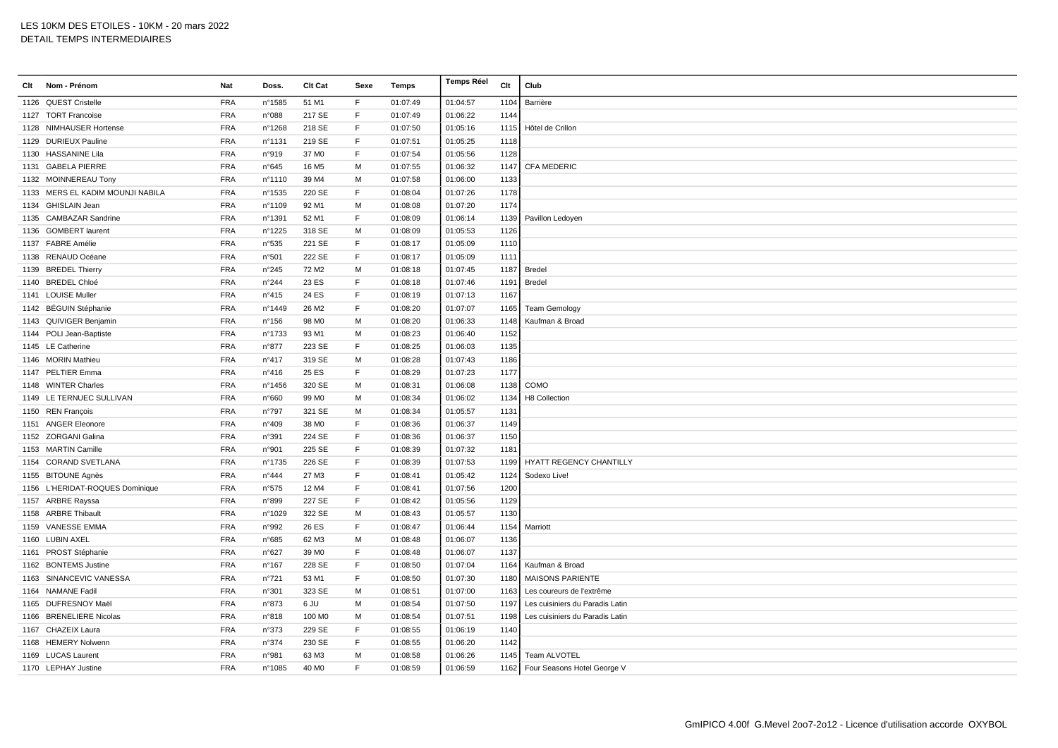| Clt | Nom - Prénom                     | Nat        | Doss.           | Clt Cat           | Sexe         | Temps    | <b>Temps Réel</b> | Clt  | Club                             |
|-----|----------------------------------|------------|-----------------|-------------------|--------------|----------|-------------------|------|----------------------------------|
|     | 1126 QUEST Cristelle             | <b>FRA</b> | n°1585          | 51 M1             | F            | 01:07:49 | 01:04:57          | 1104 | Barrière                         |
|     | 1127 TORT Francoise              | <b>FRA</b> | n°088           | 217 SE            | F            | 01:07:49 | 01:06:22          | 1144 |                                  |
|     | 1128 NIMHAUSER Hortense          | <b>FRA</b> | n°1268          | 218 SE            | $\mathsf F$  | 01:07:50 | 01:05:16          | 1115 | Hôtel de Crillon                 |
|     | 1129 DURIEUX Pauline             | <b>FRA</b> | n°1131          | 219 SE            | E            | 01:07:51 | 01:05:25          | 1118 |                                  |
|     | 1130 HASSANINE Lila              | <b>FRA</b> | n°919           | 37 MO             | F            | 01:07:54 | 01:05:56          | 1128 |                                  |
|     | 1131 GABELA PIERRE               | <b>FRA</b> | $n^{\circ}645$  | 16 M <sub>5</sub> | M            | 01:07:55 | 01:06:32          | 1147 | <b>CFA MEDERIC</b>               |
|     | 1132 MOINNEREAU Tony             | <b>FRA</b> | n°1110          | 39 M4             | M            | 01:07:58 | 01:06:00          | 1133 |                                  |
|     | 1133 MERS EL KADIM MOUNJI NABILA | <b>FRA</b> | n°1535          | 220 SE            | $\mathsf{F}$ | 01:08:04 | 01:07:26          | 1178 |                                  |
|     | 1134 GHISLAIN Jean               | <b>FRA</b> | n°1109          | 92 M1             | м            | 01:08:08 | 01:07:20          | 1174 |                                  |
|     | 1135 CAMBAZAR Sandrine           | <b>FRA</b> | n°1391          | 52 M1             | $\mathsf{F}$ | 01:08:09 | 01:06:14          | 1139 | Pavillon Ledoyen                 |
|     | 1136 GOMBERT laurent             | <b>FRA</b> | n°1225          | 318 SE            | M            | 01:08:09 | 01:05:53          | 1126 |                                  |
|     | 1137 FABRE Amélie                | <b>FRA</b> | n°535           | 221 SE            | F            | 01:08:17 | 01:05:09          | 1110 |                                  |
|     | 1138 RENAUD Océane               | <b>FRA</b> | n°501           | 222 SE            | E            | 01:08:17 | 01:05:09          | 1111 |                                  |
|     | 1139 BREDEL Thierry              | <b>FRA</b> | n°245           | 72 M <sub>2</sub> | м            | 01:08:18 | 01:07:45          | 1187 | Bredel                           |
|     | 1140 BREDEL Chloé                | <b>FRA</b> | $n^{\circ}244$  | 23 ES             | E            | 01:08:18 | 01:07:46          | 1191 | Bredel                           |
|     | 1141 LOUISE Muller               | <b>FRA</b> | n°415           | 24 ES             | $\mathsf{F}$ | 01:08:19 | 01:07:13          | 1167 |                                  |
|     | 1142 BÉGUIN Stéphanie            | <b>FRA</b> | n°1449          | 26 M <sub>2</sub> | F            | 01:08:20 | 01:07:07          | 1165 | <b>Team Gemology</b>             |
|     | 1143 QUIVIGER Benjamin           | <b>FRA</b> | $n^{\circ}$ 156 | 98 M <sub>0</sub> | M            | 01:08:20 | 01:06:33          | 1148 | Kaufman & Broad                  |
|     | 1144 POLI Jean-Baptiste          | <b>FRA</b> | n°1733          | 93 M1             | M            | 01:08:23 | 01:06:40          | 1152 |                                  |
|     | 1145 LE Catherine                | <b>FRA</b> | n°877           | 223 SE            | $\mathsf F$  | 01:08:25 | 01:06:03          | 1135 |                                  |
|     | 1146 MORIN Mathieu               | <b>FRA</b> | n°417           | 319 SE            | м            | 01:08:28 | 01:07:43          | 1186 |                                  |
|     | 1147 PELTIER Emma                | <b>FRA</b> | n°416           | 25 ES             | $\mathsf F$  | 01:08:29 | 01:07:23          | 1177 |                                  |
|     | 1148 WINTER Charles              | <b>FRA</b> | n°1456          | 320 SE            | M            | 01:08:31 | 01:06:08          | 1138 | COMO                             |
|     | 1149 LE TERNUEC SULLIVAN         | <b>FRA</b> | n°660           | 99 MO             | M            | 01:08:34 | 01:06:02          | 1134 | H8 Collection                    |
|     | 1150 REN François                | <b>FRA</b> | n°797           | 321 SE            | M            | 01:08:34 | 01:05:57          | 1131 |                                  |
|     | 1151 ANGER Eleonore              | <b>FRA</b> | n°409           | 38 MO             | $\mathsf F$  | 01:08:36 | 01:06:37          | 1149 |                                  |
|     | 1152 ZORGANI Galina              | <b>FRA</b> | n°391           | 224 SE            | $\mathsf F$  | 01:08:36 | 01:06:37          | 1150 |                                  |
|     | 1153 MARTIN Camille              | <b>FRA</b> | n°901           | 225 SE            | $\mathsf F$  | 01:08:39 | 01:07:32          | 1181 |                                  |
|     | 1154 CORAND SVETLANA             | <b>FRA</b> | n°1735          | 226 SE            | $\mathsf F$  | 01:08:39 | 01:07:53          | 1199 | HYATT REGENCY CHANTILLY          |
|     | 1155 BITOUNE Agnès               | <b>FRA</b> | n°444           | 27 M3             | F            | 01:08:41 | 01:05:42          | 1124 | Sodexo Live!                     |
|     | 1156 L'HERIDAT-ROQUES Dominique  | <b>FRA</b> | n°575           | 12 M4             | $\mathsf{F}$ | 01:08:41 | 01:07:56          | 1200 |                                  |
|     | 1157 ARBRE Rayssa                | <b>FRA</b> | n°899           | 227 SE            | F            | 01:08:42 | 01:05:56          | 1129 |                                  |
|     | 1158 ARBRE Thibault              | <b>FRA</b> | n°1029          | 322 SE            | M            | 01:08:43 | 01:05:57          | 1130 |                                  |
|     | 1159 VANESSE EMMA                | <b>FRA</b> | n°992           | 26 ES             | F            | 01:08:47 | 01:06:44          | 1154 | Marriott                         |
|     | 1160 LUBIN AXEL                  | <b>FRA</b> | n°685           | 62 M3             | M            | 01:08:48 | 01:06:07          | 1136 |                                  |
|     | 1161 PROST Stéphanie             | <b>FRA</b> | n°627           | 39 MO             | F            | 01:08:48 | 01:06:07          | 1137 |                                  |
|     | 1162 BONTEMS Justine             | <b>FRA</b> | n°167           | 228 SE            | $\mathsf F$  | 01:08:50 | 01:07:04          | 1164 | Kaufman & Broad                  |
|     | 1163 SINANCEVIC VANESSA          | <b>FRA</b> | n°721           | 53 M1             | E            | 01:08:50 | 01:07:30          | 1180 | <b>MAISONS PARIENTE</b>          |
|     | 1164 NAMANE Fadil                | <b>FRA</b> | n°301           | 323 SE            | M            | 01:08:51 | 01:07:00          | 1163 | Les coureurs de l'extrême        |
|     | 1165 DUFRESNOY Maël              | <b>FRA</b> | n°873           | 6 JU              | M            | 01:08:54 | 01:07:50          | 1197 | Les cuisiniers du Paradis Latin  |
|     | 1166 BRENELIERE Nicolas          | <b>FRA</b> | n°818           | 100 MO            | M            | 01:08:54 | 01:07:51          | 1198 | Les cuisiniers du Paradis Latin  |
|     | 1167 CHAZEIX Laura               | <b>FRA</b> | n°373           | 229 SE            | $\mathsf F$  | 01:08:55 | 01:06:19          | 1140 |                                  |
|     | 1168 HEMERY Nolwenn              | <b>FRA</b> | n°374           | 230 SE            | $\mathsf F$  | 01:08:55 | 01:06:20          | 1142 |                                  |
|     | 1169 LUCAS Laurent               | <b>FRA</b> | n°981           | 63 M3             | м            | 01:08:58 | 01:06:26          | 1145 | Team ALVOTEL                     |
|     | 1170 LEPHAY Justine              | <b>FRA</b> | n°1085          | 40 MO             | E            | 01:08:59 | 01:06:59          |      | 1162 Four Seasons Hotel George V |
|     |                                  |            |                 |                   |              |          |                   |      |                                  |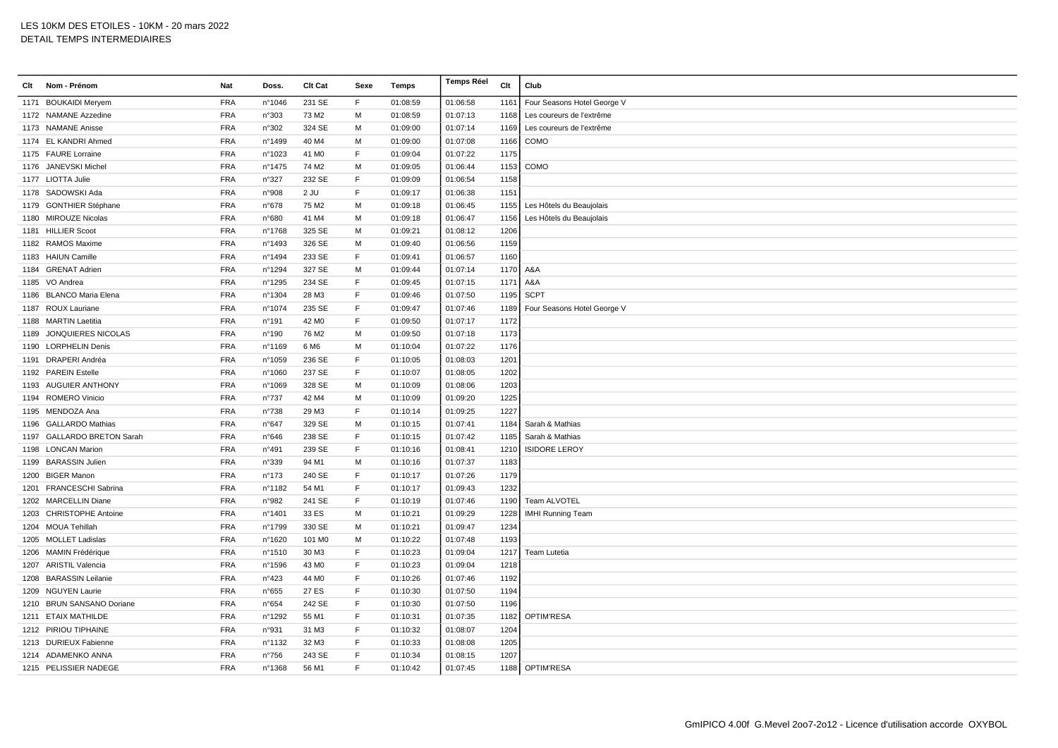| Nom - Prénom<br>Clt        | Nat        | Doss.            | Clt Cat           | Sexe | Temps    | <b>Temps Réel</b> | Clt  | Club                        |
|----------------------------|------------|------------------|-------------------|------|----------|-------------------|------|-----------------------------|
| 1171 BOUKAIDI Meryem       | <b>FRA</b> | n°1046           | 231 SE            | F.   | 01:08:59 | 01:06:58          | 1161 | Four Seasons Hotel George V |
| 1172 NAMANE Azzedine       | <b>FRA</b> | n°303            | 73 M2             | M    | 01:08:59 | 01:07:13          | 1168 | Les coureurs de l'extrême   |
| 1173 NAMANE Anisse         | <b>FRA</b> | n°302            | 324 SE            | M    | 01:09:00 | 01:07:14          | 1169 | Les coureurs de l'extrême   |
| 1174 EL KANDRI Ahmed       | <b>FRA</b> | n°1499           | 40 M4             | M    | 01:09:00 | 01:07:08          | 1166 | COMO                        |
| 1175 FAURE Lorraine        | <b>FRA</b> | n°1023           | 41 M <sub>0</sub> | F    | 01:09:04 | 01:07:22          | 1175 |                             |
| 1176 JANEVSKI Michel       | <b>FRA</b> | $n^{\circ}$ 1475 | 74 M2             | M    | 01:09:05 | 01:06:44          | 1153 | COMO                        |
| 1177 LIOTTA Julie          | <b>FRA</b> | n°327            | 232 SE            | F    | 01:09:09 | 01:06:54          | 1158 |                             |
| 1178 SADOWSKI Ada          | <b>FRA</b> | n°908            | 2 JU              | F    | 01:09:17 | 01:06:38          | 1151 |                             |
| 1179 GONTHIER Stéphane     | <b>FRA</b> | n°678            | 75 M2             | M    | 01:09:18 | 01:06:45          | 1155 | Les Hôtels du Beaujolais    |
| 1180 MIROUZE Nicolas       | <b>FRA</b> | n°680            | 41 M4             | M    | 01:09:18 | 01:06:47          | 1156 | Les Hôtels du Beaujolais    |
| 1181 HILLIER Scoot         | <b>FRA</b> | n°1768           | 325 SE            | M    | 01:09:21 | 01:08:12          | 1206 |                             |
| 1182 RAMOS Maxime          | <b>FRA</b> | n°1493           | 326 SE            | M    | 01:09:40 | 01:06:56          | 1159 |                             |
| 1183 HAIUN Camille         | <b>FRA</b> | nº1494           | 233 SE            | F    | 01:09:41 | 01:06:57          | 1160 |                             |
| 1184 GRENAT Adrien         | <b>FRA</b> | n°1294           | 327 SE            | M    | 01:09:44 | 01:07:14          | 1170 | A&A                         |
| 1185 VO Andrea             | <b>FRA</b> | nº1295           | 234 SE            | F    | 01:09:45 | 01:07:15          | 1171 | A&A                         |
| 1186 BLANCO Maria Elena    | <b>FRA</b> | nº1304           | 28 M3             | F    | 01:09:46 | 01:07:50          | 1195 | <b>SCPT</b>                 |
| 1187 ROUX Lauriane         | <b>FRA</b> | $n^{\circ}1074$  | 235 SE            | F    | 01:09:47 | 01:07:46          | 1189 | Four Seasons Hotel George V |
| 1188 MARTIN Laetitia       | <b>FRA</b> | n°191            | 42 M <sub>0</sub> | F    | 01:09:50 | 01:07:17          | 1172 |                             |
| 1189 JONQUIERES NICOLAS    | <b>FRA</b> | n°190            | 76 M2             | M    | 01:09:50 | 01:07:18          | 1173 |                             |
| 1190 LORPHELIN Denis       | <b>FRA</b> | n°1169           | 6 M6              | M    | 01:10:04 | 01:07:22          | 1176 |                             |
| 1191 DRAPERI Andréa        | <b>FRA</b> | n°1059           | 236 SE            | F    | 01:10:05 | 01:08:03          | 1201 |                             |
| 1192 PAREIN Estelle        | <b>FRA</b> | n°1060           | 237 SE            | F.   | 01:10:07 | 01:08:05          | 1202 |                             |
| 1193 AUGUIER ANTHONY       | <b>FRA</b> | n°1069           | 328 SE            | M    | 01:10:09 | 01:08:06          | 1203 |                             |
| 1194 ROMERO Vinicio        | <b>FRA</b> | n°737            | 42 M4             | M    | 01:10:09 | 01:09:20          | 1225 |                             |
| 1195 MENDOZA Ana           | <b>FRA</b> | n°738            | 29 M3             | F    | 01:10:14 | 01:09:25          | 1227 |                             |
| 1196 GALLARDO Mathias      | <b>FRA</b> | n°647            | 329 SE            | M    | 01:10:15 | 01:07:41          | 1184 | Sarah & Mathias             |
| 1197 GALLARDO BRETON Sarah | <b>FRA</b> | n°646            | 238 SE            | F    | 01:10:15 | 01:07:42          | 1185 | Sarah & Mathias             |
| 1198 LONCAN Marion         | <b>FRA</b> | n°491            | 239 SE            | F    | 01:10:16 | 01:08:41          | 1210 | <b>ISIDORE LEROY</b>        |
| 1199 BARASSIN Julien       | <b>FRA</b> | n°339            | 94 M1             | M    | 01:10:16 | 01:07:37          | 1183 |                             |
| 1200 BIGER Manon           | <b>FRA</b> | n°173            | 240 SE            | F    | 01:10:17 | 01:07:26          | 1179 |                             |
| 1201 FRANCESCHI Sabrina    | <b>FRA</b> | n°1182           | 54 M1             | F    | 01:10:17 | 01:09:43          | 1232 |                             |
| 1202 MARCELLIN Diane       | <b>FRA</b> | n°982            | 241 SE            | F    | 01:10:19 | 01:07:46          | 1190 | Team ALVOTEL                |
| 1203 CHRISTOPHE Antoine    | <b>FRA</b> | n°1401           | 33 ES             | M    | 01:10:21 | 01:09:29          | 1228 | <b>IMHI Running Team</b>    |
| 1204 MOUA Tehillah         | <b>FRA</b> | n°1799           | 330 SE            | M    | 01:10:21 | 01:09:47          | 1234 |                             |
| 1205 MOLLET Ladislas       | <b>FRA</b> | nº1620           | 101 MO            | M    | 01:10:22 | 01:07:48          | 1193 |                             |
| 1206 MAMIN Frédérique      | <b>FRA</b> | nº1510           | 30 M3             | F    | 01:10:23 | 01:09:04          | 1217 | Team Lutetia                |
| 1207 ARISTIL Valencia      | <b>FRA</b> | nº1596           | 43 MO             | F    | 01:10:23 | 01:09:04          | 1218 |                             |
| 1208 BARASSIN Leilanie     | <b>FRA</b> | n°423            | 44 M <sub>0</sub> | F    | 01:10:26 | 01:07:46          | 1192 |                             |
| 1209 NGUYEN Laurie         | <b>FRA</b> | n°655            | 27 ES             | E    | 01:10:30 | 01:07:50          | 1194 |                             |
| 1210 BRUN SANSANO Doriane  | <b>FRA</b> | n°654            | 242 SE            | F    | 01:10:30 | 01:07:50          | 1196 |                             |
| 1211 ETAIX MATHILDE        | <b>FRA</b> | n°1292           | 55 M1             | F    | 01:10:31 | 01:07:35          | 1182 | OPTIM'RESA                  |
| 1212 PIRIOU TIPHAINE       | <b>FRA</b> | n°931            | 31 M3             | F    | 01:10:32 | 01:08:07          | 1204 |                             |
| 1213 DURIEUX Fabienne      | <b>FRA</b> | n°1132           | 32 M3             | F    | 01:10:33 | 01:08:08          | 1205 |                             |
| 1214 ADAMENKO ANNA         | <b>FRA</b> | $n^{\circ}756$   | 243 SE            | F    | 01:10:34 | 01:08:15          | 1207 |                             |
| 1215 PELISSIER NADEGE      | <b>FRA</b> | $n^{\circ}$ 1368 | 56 M1             | F    | 01:10:42 | 01:07:45          |      | 1188 OPTIM'RESA             |
|                            |            |                  |                   |      |          |                   |      |                             |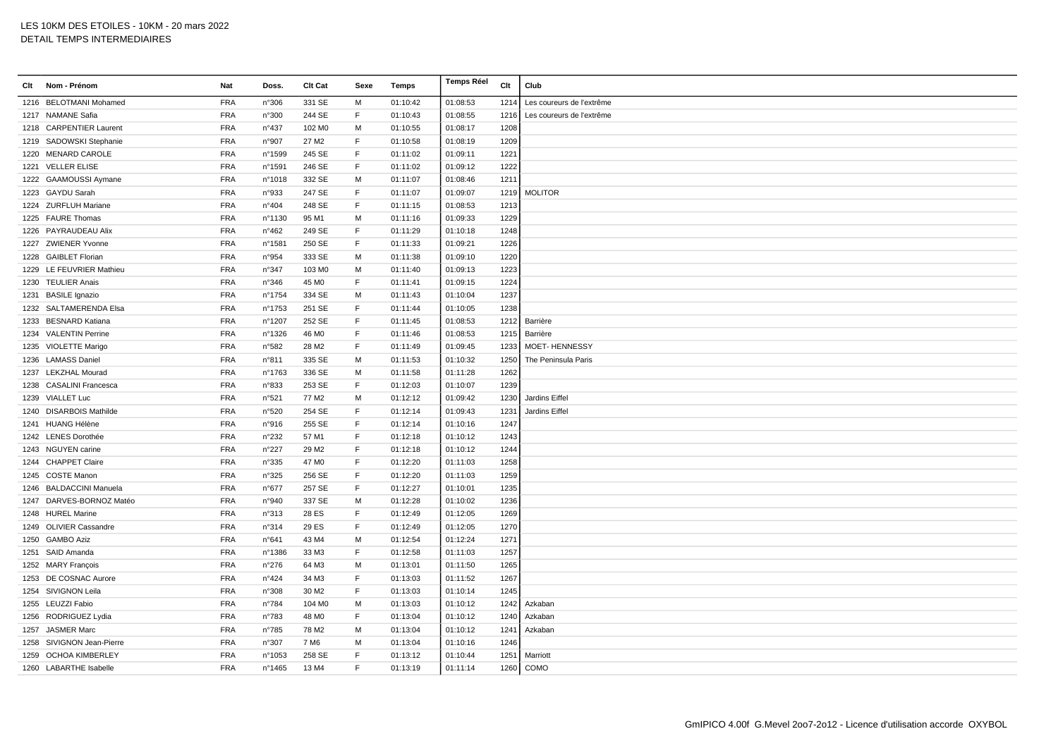| Clt | Nom - Prénom              | Nat        | Doss.            | Clt Cat            | Sexe         | Temps    | Temps Réel | Clt  | Club                      |
|-----|---------------------------|------------|------------------|--------------------|--------------|----------|------------|------|---------------------------|
|     | 1216 BELOTMANI Mohamed    | <b>FRA</b> | n°306            | 331 SE             | М            | 01:10:42 | 01:08:53   | 1214 | Les coureurs de l'extrême |
|     | 1217 NAMANE Safia         | <b>FRA</b> | n°300            | 244 SE             | F            | 01:10:43 | 01:08:55   | 1216 | Les coureurs de l'extrême |
|     | 1218 CARPENTIER Laurent   | <b>FRA</b> | n°437            | 102 M <sub>0</sub> | M            | 01:10:55 | 01:08:17   | 1208 |                           |
|     | 1219 SADOWSKI Stephanie   | <b>FRA</b> | n°907            | 27 M <sub>2</sub>  | $\mathsf F$  | 01:10:58 | 01:08:19   | 1209 |                           |
|     | 1220 MENARD CAROLE        | <b>FRA</b> | n°1599           | 245 SE             | F.           | 01:11:02 | 01:09:11   | 1221 |                           |
|     | 1221 VELLER ELISE         | <b>FRA</b> | n°1591           | 246 SE             | F.           | 01:11:02 | 01:09:12   | 1222 |                           |
|     | 1222 GAAMOUSSI Aymane     | <b>FRA</b> | n°1018           | 332 SE             | M            | 01:11:07 | 01:08:46   | 1211 |                           |
|     | 1223 GAYDU Sarah          | <b>FRA</b> | n°933            | 247 SE             | F            | 01:11:07 | 01:09:07   | 1219 | <b>MOLITOR</b>            |
|     | 1224 ZURFLUH Mariane      | <b>FRA</b> | n°404            | 248 SE             | F            | 01:11:15 | 01:08:53   | 1213 |                           |
|     | 1225 FAURE Thomas         | <b>FRA</b> | nº1130           | 95 M1              | м            | 01:11:16 | 01:09:33   | 1229 |                           |
|     | 1226 PAYRAUDEAU Alix      | <b>FRA</b> | $n^{\circ}462$   | 249 SE             | F            | 01:11:29 | 01:10:18   | 1248 |                           |
|     | 1227 ZWIENER Yvonne       | <b>FRA</b> | n°1581           | 250 SE             | F            | 01:11:33 | 01:09:21   | 1226 |                           |
|     | 1228 GAIBLET Florian      | <b>FRA</b> | n°954            | 333 SE             | M            | 01:11:38 | 01:09:10   | 1220 |                           |
|     | 1229 LE FEUVRIER Mathieu  | <b>FRA</b> | n°347            | 103 MO             | М            | 01:11:40 | 01:09:13   | 1223 |                           |
|     | 1230 TEULIER Anais        | <b>FRA</b> | n°346            | 45 M <sub>0</sub>  | $\mathsf F$  | 01:11:41 | 01:09:15   | 1224 |                           |
|     | 1231 BASILE Ignazio       | <b>FRA</b> | n°1754           | 334 SE             | M            | 01:11:43 | 01:10:04   | 1237 |                           |
|     | 1232 SALTAMERENDA Elsa    | <b>FRA</b> | n°1753           | 251 SE             | F            | 01:11:44 | 01:10:05   | 1238 |                           |
|     | 1233 BESNARD Katiana      | <b>FRA</b> | n°1207           | 252 SE             | F            | 01:11:45 | 01:08:53   | 1212 | Barrière                  |
|     | 1234 VALENTIN Perrine     | <b>FRA</b> | n°1326           | 46 MO              | F            | 01:11:46 | 01:08:53   | 1215 | Barrière                  |
|     | 1235 VIOLETTE Marigo      | <b>FRA</b> | n°582            | 28 M2              | F            | 01:11:49 | 01:09:45   | 1233 | <b>MOET-HENNESSY</b>      |
|     | 1236 LAMASS Daniel        | <b>FRA</b> | n°811            | 335 SE             | М            | 01:11:53 | 01:10:32   | 1250 | The Peninsula Paris       |
|     | 1237 LEKZHAL Mourad       | <b>FRA</b> | n°1763           | 336 SE             | M            | 01:11:58 | 01:11:28   | 1262 |                           |
|     | 1238 CASALINI Francesca   | <b>FRA</b> | n°833            | 253 SE             | F            | 01:12:03 | 01:10:07   | 1239 |                           |
|     | 1239 VIALLET Luc          | <b>FRA</b> | n°521            | 77 M2              | М            | 01:12:12 | 01:09:42   | 1230 | Jardins Eiffel            |
|     | 1240 DISARBOIS Mathilde   | <b>FRA</b> | n°520            | 254 SE             | F            | 01:12:14 | 01:09:43   | 1231 | Jardins Eiffel            |
|     | 1241 HUANG Hélène         | <b>FRA</b> | n°916            | 255 SE             | $\mathsf F$  | 01:12:14 | 01:10:16   | 1247 |                           |
|     | 1242 LENES Dorothée       | <b>FRA</b> | n°232            | 57 M1              | F            | 01:12:18 | 01:10:12   | 1243 |                           |
|     | 1243 NGUYEN carine        | <b>FRA</b> | $n^{\circ}227$   | 29 M2              | F            | 01:12:18 | 01:10:12   | 1244 |                           |
|     | 1244 CHAPPET Claire       | <b>FRA</b> | n°335            | 47 M <sub>0</sub>  | F            | 01:12:20 | 01:11:03   | 1258 |                           |
|     | 1245 COSTE Manon          | <b>FRA</b> | n°325            | 256 SE             | F            | 01:12:20 | 01:11:03   | 1259 |                           |
|     | 1246 BALDACCINI Manuela   | <b>FRA</b> | $n^{\circ}677$   | 257 SE             | F            | 01:12:27 | 01:10:01   | 1235 |                           |
|     | 1247 DARVES-BORNOZ Matéo  | <b>FRA</b> | n°940            | 337 SE             | М            | 01:12:28 | 01:10:02   | 1236 |                           |
|     | 1248 HUREL Marine         | <b>FRA</b> | n°313            | 28 ES              | F            | 01:12:49 | 01:12:05   | 1269 |                           |
|     | 1249 OLIVIER Cassandre    | <b>FRA</b> | n°314            | 29 ES              | F            | 01:12:49 | 01:12:05   | 1270 |                           |
|     | 1250 GAMBO Aziz           | <b>FRA</b> | n°641            | 43 M4              | M            | 01:12:54 | 01:12:24   | 1271 |                           |
|     | 1251 SAID Amanda          | <b>FRA</b> | n°1386           | 33 M3              | F            | 01:12:58 | 01:11:03   | 1257 |                           |
|     | 1252 MARY François        | <b>FRA</b> | n°276            | 64 M3              | M            | 01:13:01 | 01:11:50   | 1265 |                           |
|     | 1253 DE COSNAC Aurore     | <b>FRA</b> | $n^{\circ}424$   | 34 M3              | F            | 01:13:03 | 01:11:52   | 1267 |                           |
|     | 1254 SIVIGNON Leila       | <b>FRA</b> | n°308            | 30 M <sub>2</sub>  | F            | 01:13:03 | 01:10:14   | 1245 |                           |
|     | 1255 LEUZZI Fabio         | <b>FRA</b> | n°784            | 104 M <sub>0</sub> | M            | 01:13:03 | 01:10:12   | 1242 | Azkaban                   |
|     | 1256 RODRIGUEZ Lydia      | <b>FRA</b> | n°783            | 48 M <sub>0</sub>  | F            | 01:13:04 | 01:10:12   | 1240 | Azkaban                   |
|     | 1257 JASMER Marc          | <b>FRA</b> | $n^{\circ}785$   | 78 M2              | М            | 01:13:04 | 01:10:12   | 1241 | Azkaban                   |
|     | 1258 SIVIGNON Jean-Pierre | <b>FRA</b> | n°307            | 7 M <sub>6</sub>   | м            | 01:13:04 | 01:10:16   | 1246 |                           |
|     | 1259 OCHOA KIMBERLEY      | <b>FRA</b> | n°1053           | 258 SE             | F            | 01:13:12 | 01:10:44   | 1251 | Marriott                  |
|     | 1260 LABARTHE Isabelle    | <b>FRA</b> | $n^{\circ}$ 1465 | 13 M4              | $\mathsf{F}$ | 01:13:19 | 01:11:14   |      | 1260 COMO                 |
|     |                           |            |                  |                    |              |          |            |      |                           |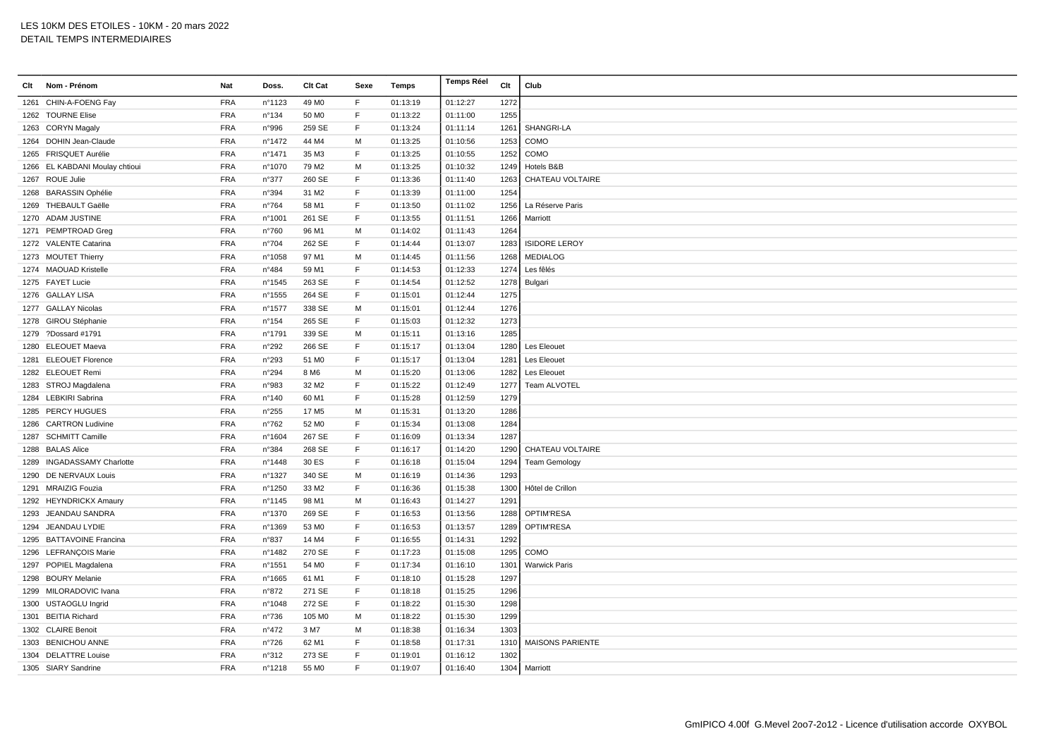| Clt | Nom - Prénom                   | <b>Nat</b> | Doss.            | <b>Clt Cat</b>    | Sexe        | Temps    | Temps Réel | Clt  | Club                    |
|-----|--------------------------------|------------|------------------|-------------------|-------------|----------|------------|------|-------------------------|
|     | 1261 CHIN-A-FOENG Fay          | <b>FRA</b> | n°1123           | 49 M <sub>0</sub> | F.          | 01:13:19 | 01:12:27   | 1272 |                         |
|     | 1262 TOURNE Elise              | <b>FRA</b> | n°134            | 50 MO             | $\mathsf F$ | 01:13:22 | 01:11:00   | 1255 |                         |
|     | 1263 CORYN Magaly              | <b>FRA</b> | n°996            | 259 SE            | F           | 01:13:24 | 01:11:14   | 1261 | SHANGRI-LA              |
|     | 1264 DOHIN Jean-Claude         | <b>FRA</b> | nº1472           | 44 M4             | M           | 01:13:25 | 01:10:56   | 1253 | COMO                    |
|     | 1265 FRISQUET Aurélie          | <b>FRA</b> | nº1471           | 35 M3             | F           | 01:13:25 | 01:10:55   | 1252 | COMO                    |
|     | 1266 EL KABDANI Moulay chtioui | <b>FRA</b> | n°1070           | 79 M2             | м           | 01:13:25 | 01:10:32   | 1249 | Hotels B&B              |
|     | 1267 ROUE Julie                | <b>FRA</b> | n°377            | 260 SE            | F           | 01:13:36 | 01:11:40   | 1263 | CHATEAU VOLTAIRE        |
|     | 1268 BARASSIN Ophélie          | <b>FRA</b> | n°394            | 31 M2             | F           | 01:13:39 | 01:11:00   | 1254 |                         |
|     | 1269 THEBAULT Gaëlle           | <b>FRA</b> | n°764            | 58 M1             | F           | 01:13:50 | 01:11:02   | 1256 | La Réserve Paris        |
|     | 1270 ADAM JUSTINE              | <b>FRA</b> | n°1001           | 261 SE            | F           | 01:13:55 | 01:11:51   | 1266 | Marriott                |
|     | 1271 PEMPTROAD Greg            | <b>FRA</b> | n°760            | 96 M1             | M           | 01:14:02 | 01:11:43   | 1264 |                         |
|     | 1272 VALENTE Catarina          | <b>FRA</b> | n°704            | 262 SE            | F           | 01:14:44 | 01:13:07   | 1283 | <b>ISIDORE LEROY</b>    |
|     | 1273 MOUTET Thierry            | <b>FRA</b> | n°1058           | 97 M1             | М           | 01:14:45 | 01:11:56   | 1268 | <b>MEDIALOG</b>         |
|     | 1274 MAOUAD Kristelle          | FRA        | $n^{\circ}484$   | 59 M1             | F           | 01:14:53 | 01:12:33   | 1274 | Les fêlés               |
|     | 1275 FAYET Lucie               | <b>FRA</b> | n°1545           | 263 SE            | F           | 01:14:54 | 01:12:52   | 1278 | Bulgari                 |
|     | 1276 GALLAY LISA               | <b>FRA</b> | n°1555           | 264 SE            | F           | 01:15:01 | 01:12:44   | 1275 |                         |
|     | 1277 GALLAY Nicolas            | <b>FRA</b> | n°1577           | 338 SE            | M           | 01:15:01 | 01:12:44   | 1276 |                         |
|     | 1278 GIROU Stéphanie           | <b>FRA</b> | $n^{\circ}154$   | 265 SE            | F.          | 01:15:03 | 01:12:32   | 1273 |                         |
|     | 1279 ?Dossard #1791            | <b>FRA</b> | n°1791           | 339 SE            | M           | 01:15:11 | 01:13:16   | 1285 |                         |
|     | 1280 ELEOUET Maeva             | <b>FRA</b> | n°292            | 266 SE            | F           | 01:15:17 | 01:13:04   | 1280 | Les Eleouet             |
|     | 1281 ELEOUET Florence          | <b>FRA</b> | n°293            | 51 MO             | F           | 01:15:17 | 01:13:04   | 1281 | Les Eleouet             |
|     | 1282 ELEOUET Remi              | <b>FRA</b> | n°294            | 8 M <sub>6</sub>  | M           | 01:15:20 | 01:13:06   | 1282 | Les Eleouet             |
|     | 1283 STROJ Magdalena           | <b>FRA</b> | n°983            | 32 M2             | F           | 01:15:22 | 01:12:49   | 1277 | Team ALVOTEL            |
|     | 1284 LEBKIRI Sabrina           | <b>FRA</b> | n°140            | 60 M1             | E           | 01:15:28 | 01:12:59   | 1279 |                         |
|     | 1285 PERCY HUGUES              | <b>FRA</b> | n°255            | 17 M <sub>5</sub> | M           | 01:15:31 | 01:13:20   | 1286 |                         |
|     | 1286 CARTRON Ludivine          | <b>FRA</b> | n°762            | 52 M <sub>0</sub> | F           | 01:15:34 | 01:13:08   | 1284 |                         |
|     | 1287 SCHMITT Camille           | <b>FRA</b> | n°1604           | 267 SE            | F           | 01:16:09 | 01:13:34   | 1287 |                         |
|     | 1288 BALAS Alice               | <b>FRA</b> | n°384            | 268 SE            | F           | 01:16:17 | 01:14:20   | 1290 | <b>CHATEAU VOLTAIRE</b> |
|     | 1289 INGADASSAMY Charlotte     | <b>FRA</b> | n°1448           | 30 ES             | F.          | 01:16:18 | 01:15:04   | 1294 | <b>Team Gemology</b>    |
|     | 1290 DE NERVAUX Louis          | <b>FRA</b> | n°1327           | 340 SE            | M           | 01:16:19 | 01:14:36   | 1293 |                         |
|     | 1291 MRAIZIG Fouzia            | <b>FRA</b> | n°1250           | 33 M2             | F           | 01:16:36 | 01:15:38   | 1300 | Hôtel de Crillon        |
|     | 1292 HEYNDRICKX Amaury         | <b>FRA</b> | $n^{\circ}$ 1145 | 98 M1             | М           | 01:16:43 | 01:14:27   | 1291 |                         |
|     | 1293 JEANDAU SANDRA            | <b>FRA</b> | n°1370           | 269 SE            | F           | 01:16:53 | 01:13:56   | 1288 | <b>OPTIM'RESA</b>       |
|     | 1294 JEANDAU LYDIE             | <b>FRA</b> | n°1369           | 53 MO             | F           | 01:16:53 | 01:13:57   | 1289 | <b>OPTIM'RESA</b>       |
|     | 1295 BATTAVOINE Francina       | <b>FRA</b> | n°837            | 14 M4             | F           | 01:16:55 | 01:14:31   | 1292 |                         |
|     | 1296 LEFRANÇOIS Marie          | <b>FRA</b> | n°1482           | 270 SE            | F           | 01:17:23 | 01:15:08   | 1295 | COMO                    |
|     | 1297 POPIEL Magdalena          | <b>FRA</b> | n°1551           | 54 M <sub>0</sub> | F           | 01:17:34 | 01:16:10   | 1301 | <b>Warwick Paris</b>    |
|     | 1298 BOURY Melanie             | <b>FRA</b> | n°1665           | 61 M1             | F           | 01:18:10 | 01:15:28   | 1297 |                         |
|     | 1299 MILORADOVIC Ivana         | <b>FRA</b> | n°872            | 271 SE            | F           | 01:18:18 | 01:15:25   | 1296 |                         |
|     | 1300 USTAOGLU Ingrid           | <b>FRA</b> | n°1048           | 272 SE            | F           | 01:18:22 | 01:15:30   | 1298 |                         |
|     | 1301 BEITIA Richard            | <b>FRA</b> | n°736            | 105 MO            | M           | 01:18:22 | 01:15:30   | 1299 |                         |
|     | 1302 CLAIRE Benoit             | <b>FRA</b> | n°472            | 3 M7              | М           | 01:18:38 | 01:16:34   | 1303 |                         |
|     | 1303 BENICHOU ANNE             | <b>FRA</b> | $n^{\circ}726$   | 62 M1             | F           | 01:18:58 | 01:17:31   | 1310 | <b>MAISONS PARIENTE</b> |
|     | 1304 DELATTRE Louise           | <b>FRA</b> | n°312            | 273 SE            | F           | 01:19:01 | 01:16:12   | 1302 |                         |
|     | 1305 SIARY Sandrine            | <b>FRA</b> | n°1218           | 55 M <sub>0</sub> | F           | 01:19:07 | 01:16:40   |      | 1304 Marriott           |
|     |                                |            |                  |                   |             |          |            |      |                         |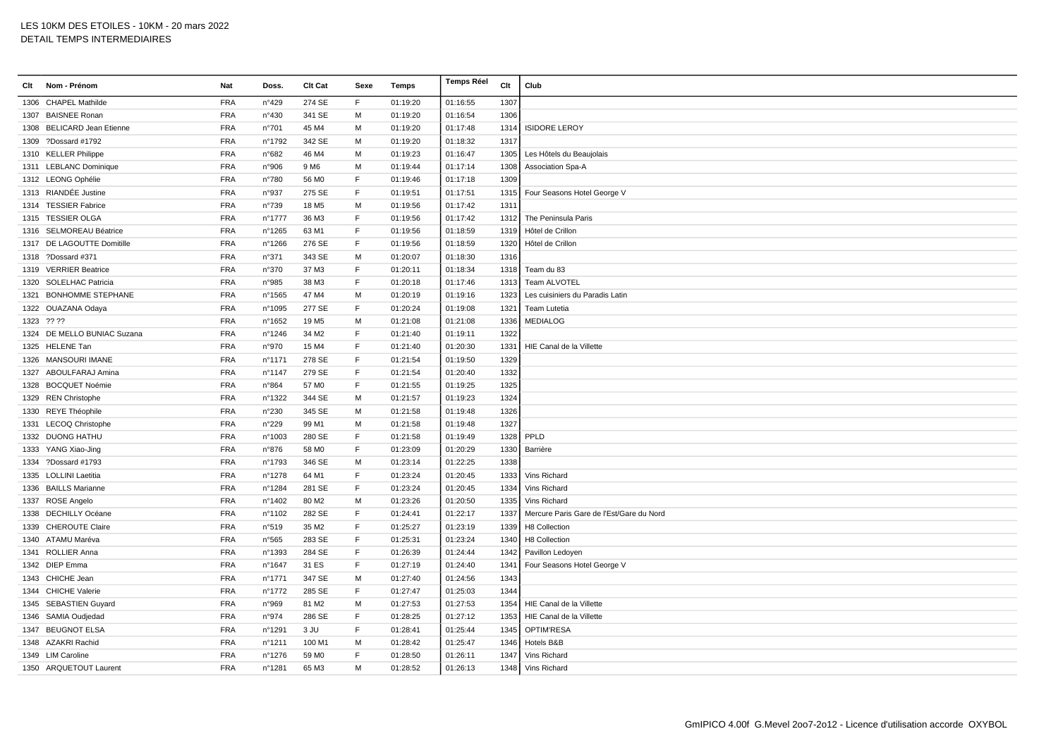| Clt | Nom - Prénom                | Nat        | Doss.  | Clt Cat           | Sexe         | Temps    | <b>Temps Réel</b> | Clt  | Club                                     |
|-----|-----------------------------|------------|--------|-------------------|--------------|----------|-------------------|------|------------------------------------------|
|     | 1306 CHAPEL Mathilde        | <b>FRA</b> | n°429  | 274 SE            | F            | 01:19:20 | 01:16:55          | 1307 |                                          |
|     | 1307 BAISNEE Ronan          | <b>FRA</b> | n°430  | 341 SE            | M            | 01:19:20 | 01:16:54          | 1306 |                                          |
|     | 1308 BELICARD Jean Etienne  | <b>FRA</b> | n°701  | 45 M4             | M            | 01:19:20 | 01:17:48          | 1314 | <b>ISIDORE LEROY</b>                     |
|     | 1309 ?Dossard #1792         | <b>FRA</b> | n°1792 | 342 SE            | М            | 01:19:20 | 01:18:32          | 1317 |                                          |
|     | 1310 KELLER Philippe        | <b>FRA</b> | n°682  | 46 M4             | M            | 01:19:23 | 01:16:47          | 1305 | Les Hôtels du Beaujolais                 |
|     | 1311 LEBLANC Dominique      | <b>FRA</b> | n°906  | 9 M <sub>6</sub>  | M            | 01:19:44 | 01:17:14          | 1308 | Association Spa-A                        |
|     | 1312 LEONG Ophélie          | <b>FRA</b> | n°780  | 56 MO             | $\mathsf F$  | 01:19:46 | 01:17:18          | 1309 |                                          |
|     | 1313 RIANDÉE Justine        | <b>FRA</b> | n°937  | 275 SE            | F            | 01:19:51 | 01:17:51          | 1315 | Four Seasons Hotel George V              |
|     | 1314 TESSIER Fabrice        | <b>FRA</b> | n°739  | 18 M <sub>5</sub> | М            | 01:19:56 | 01:17:42          | 1311 |                                          |
|     | 1315 TESSIER OLGA           | <b>FRA</b> | n°1777 | 36 M3             | $\mathsf{F}$ | 01:19:56 | 01:17:42          | 1312 | The Peninsula Paris                      |
|     | 1316 SELMOREAU Béatrice     | <b>FRA</b> | n°1265 | 63 M1             | E            | 01:19:56 | 01:18:59          | 1319 | Hôtel de Crillon                         |
|     | 1317 DE LAGOUTTE Domitille  | <b>FRA</b> | n°1266 | 276 SE            | $\mathsf F$  | 01:19:56 | 01:18:59          | 1320 | Hôtel de Crillon                         |
|     | 1318 ?Dossard #371          | <b>FRA</b> | n°371  | 343 SE            | M            | 01:20:07 | 01:18:30          | 1316 |                                          |
|     | 1319 VERRIER Beatrice       | <b>FRA</b> | n°370  | 37 M3             | $\mathsf F$  | 01:20:11 | 01:18:34          | 1318 | Team du 83                               |
|     | 1320 SOLELHAC Patricia      | <b>FRA</b> | n°985  | 38 M3             | F            | 01:20:18 | 01:17:46          | 1313 | Team ALVOTEL                             |
|     | 1321 BONHOMME STEPHANE      | <b>FRA</b> | n°1565 | 47 M4             | M            | 01:20:19 | 01:19:16          | 1323 | Les cuisiniers du Paradis Latin          |
|     | 1322 OUAZANA Odaya          | <b>FRA</b> | n°1095 | 277 SE            | E            | 01:20:24 | 01:19:08          | 1321 | Team Lutetia                             |
|     | 1323 ?? ??                  | <b>FRA</b> | n°1652 | 19 M <sub>5</sub> | M            | 01:21:08 | 01:21:08          | 1336 | <b>MEDIALOG</b>                          |
|     | 1324 DE MELLO BUNIAC Suzana | <b>FRA</b> | n°1246 | 34 M2             | $\mathsf F$  | 01:21:40 | 01:19:11          | 1322 |                                          |
|     | 1325 HELENE Tan             | <b>FRA</b> | n°970  | 15 M4             | $\mathsf F$  | 01:21:40 | 01:20:30          | 1331 | HIE Canal de la Villette                 |
|     | 1326 MANSOURI IMANE         | <b>FRA</b> | nº1171 | 278 SE            | F            | 01:21:54 | 01:19:50          | 1329 |                                          |
|     | 1327 ABOULFARAJ Amina       | <b>FRA</b> | n°1147 | 279 SE            | $\mathsf F$  | 01:21:54 | 01:20:40          | 1332 |                                          |
|     | 1328 BOCQUET Noémie         | <b>FRA</b> | n°864  | 57 M <sub>0</sub> | $\mathsf F$  | 01:21:55 | 01:19:25          | 1325 |                                          |
|     | 1329 REN Christophe         | <b>FRA</b> | n°1322 | 344 SE            | М            | 01:21:57 | 01:19:23          | 1324 |                                          |
|     | 1330 REYE Théophile         | <b>FRA</b> | n°230  | 345 SE            | M            | 01:21:58 | 01:19:48          | 1326 |                                          |
|     | 1331 LECOQ Christophe       | <b>FRA</b> | n°229  | 99 M1             | M            | 01:21:58 | 01:19:48          | 1327 |                                          |
|     | 1332 DUONG HATHU            | <b>FRA</b> | n°1003 | 280 SE            | $\mathsf{F}$ | 01:21:58 | 01:19:49          | 1328 | PPLD                                     |
|     | 1333 YANG Xiao-Jing         | <b>FRA</b> | n°876  | 58 MO             | E            | 01:23:09 | 01:20:29          | 1330 | Barrière                                 |
|     | 1334 ?Dossard #1793         | <b>FRA</b> | n°1793 | 346 SE            | м            | 01:23:14 | 01:22:25          | 1338 |                                          |
|     | 1335 LOLLINI Laetitia       | <b>FRA</b> | n°1278 | 64 M1             | F            | 01:23:24 | 01:20:45          | 1333 | Vins Richard                             |
|     | 1336 BAILLS Marianne        | <b>FRA</b> | n°1284 | 281 SE            | E            | 01:23:24 | 01:20:45          | 1334 | Vins Richard                             |
|     | 1337 ROSE Angelo            | <b>FRA</b> | nº1402 | 80 M <sub>2</sub> | M            | 01:23:26 | 01:20:50          | 1335 | Vins Richard                             |
|     | 1338 DECHILLY Océane        | <b>FRA</b> | nº1102 | 282 SE            | $\mathsf F$  | 01:24:41 | 01:22:17          | 1337 | Mercure Paris Gare de l'Est/Gare du Nord |
|     | 1339 CHEROUTE Claire        | <b>FRA</b> | n°519  | 35 M2             | F            | 01:25:27 | 01:23:19          | 1339 | H8 Collection                            |
|     | 1340 ATAMU Maréva           | <b>FRA</b> | n°565  | 283 SE            | F            | 01:25:31 | 01:23:24          | 1340 | H8 Collection                            |
|     | 1341 ROLLIER Anna           | <b>FRA</b> | n°1393 | 284 SE            | $\mathsf F$  | 01:26:39 | 01:24:44          | 1342 | Pavillon Ledoyen                         |
|     | 1342 DIEP Emma              | <b>FRA</b> | n°1647 | 31 ES             | E            | 01:27:19 | 01:24:40          | 1341 | Four Seasons Hotel George V              |
|     | 1343 CHICHE Jean            | <b>FRA</b> | n°1771 | 347 SE            | M            | 01:27:40 | 01:24:56          | 1343 |                                          |
|     | 1344 CHICHE Valerie         | <b>FRA</b> | n°1772 | 285 SE            | $\mathsf F$  | 01:27:47 | 01:25:03          | 1344 |                                          |
|     | 1345 SEBASTIEN Guyard       | <b>FRA</b> | n°969  | 81 M2             | M            | 01:27:53 | 01:27:53          | 1354 | HIE Canal de la Villette                 |
|     | 1346 SAMIA Oudjedad         | <b>FRA</b> | n°974  | 286 SE            | $\mathsf F$  | 01:28:25 | 01:27:12          | 1353 | HIE Canal de la Villette                 |
|     | 1347 BEUGNOT ELSA           | <b>FRA</b> | n°1291 | 3 JU              | $\mathsf{F}$ | 01:28:41 | 01:25:44          | 1345 | <b>OPTIM'RESA</b>                        |
|     | 1348 AZAKRI Rachid          | <b>FRA</b> | n°1211 | 100 M1            | M            | 01:28:42 | 01:25:47          | 1346 | Hotels B&B                               |
|     | 1349 LIM Caroline           | <b>FRA</b> | n°1276 | 59 MO             | $\mathsf F$  | 01:28:50 | 01:26:11          | 1347 | Vins Richard                             |
|     | 1350 ARQUETOUT Laurent      | <b>FRA</b> | n°1281 | 65 M3             | М            | 01:28:52 | 01:26:13          |      | 1348 Vins Richard                        |